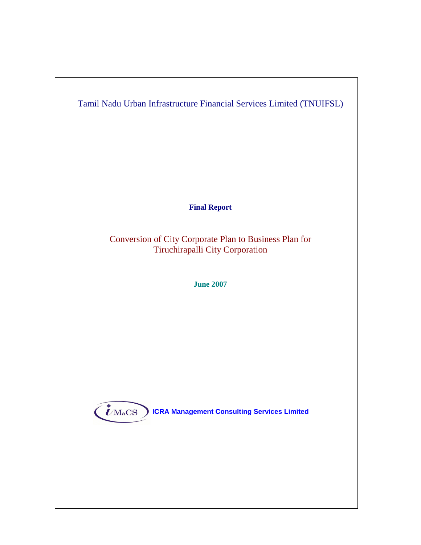

**Final Report** 

Conversion of City Corporate Plan to Business Plan for Tiruchirapalli City Corporation

**June 2007**

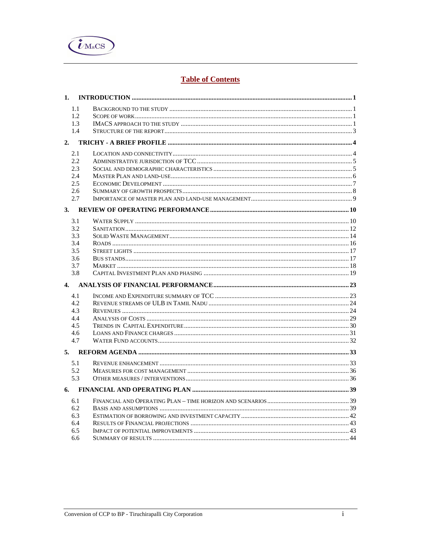

# **Table of Contents**

| 1.  |  |
|-----|--|
| 1.1 |  |
| 1.2 |  |
| 1.3 |  |
| 1.4 |  |
| 2.  |  |
| 2.1 |  |
| 2.2 |  |
| 2.3 |  |
| 2.4 |  |
| 2.5 |  |
| 2.6 |  |
| 2.7 |  |
| 3.  |  |
| 3.1 |  |
| 3.2 |  |
| 3.3 |  |
| 3.4 |  |
| 3.5 |  |
| 3.6 |  |
| 3.7 |  |
| 3.8 |  |
|     |  |
| 4.1 |  |
| 4.2 |  |
| 4.3 |  |
| 4.4 |  |
| 4.5 |  |
| 4.6 |  |
| 4.7 |  |
|     |  |
| 5.1 |  |
| 5.2 |  |
| 5.3 |  |
|     |  |
| 6.1 |  |
| 6.2 |  |
| 6.3 |  |
| 6.4 |  |
| 6.5 |  |
| 6.6 |  |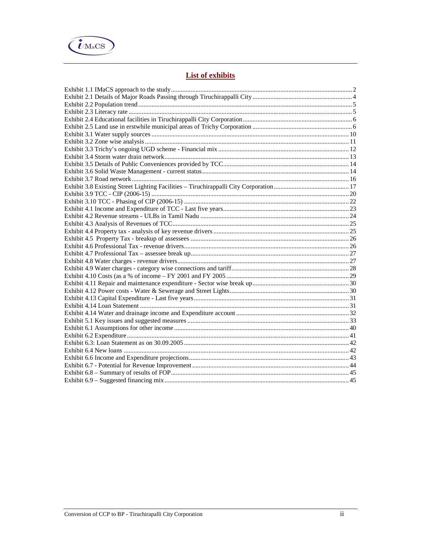

# **List of exhibits**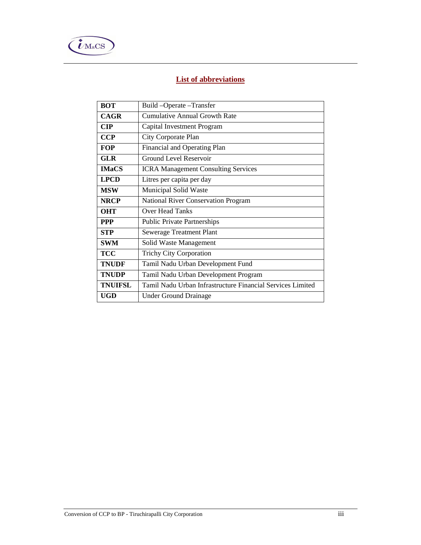

# **List of abbreviations**

| <b>BOT</b><br>Build-Operate-Transfer |                                                            |  |  |  |  |
|--------------------------------------|------------------------------------------------------------|--|--|--|--|
| <b>CAGR</b>                          | Cumulative Annual Growth Rate                              |  |  |  |  |
| <b>CIP</b>                           | Capital Investment Program                                 |  |  |  |  |
| <b>CCP</b>                           | City Corporate Plan                                        |  |  |  |  |
| <b>FOP</b>                           | Financial and Operating Plan                               |  |  |  |  |
| <b>GLR</b>                           | <b>Ground Level Reservoir</b>                              |  |  |  |  |
| <b>IMaCS</b>                         | <b>ICRA Management Consulting Services</b>                 |  |  |  |  |
| <b>LPCD</b>                          | Litres per capita per day                                  |  |  |  |  |
| <b>MSW</b>                           | Municipal Solid Waste                                      |  |  |  |  |
| <b>NRCP</b>                          | <b>National River Conservation Program</b>                 |  |  |  |  |
| <b>OHT</b>                           | Over Head Tanks                                            |  |  |  |  |
| <b>PPP</b>                           | <b>Public Private Partnerships</b>                         |  |  |  |  |
| <b>STP</b>                           | Sewerage Treatment Plant                                   |  |  |  |  |
| <b>SWM</b>                           | Solid Waste Management                                     |  |  |  |  |
| <b>TCC</b>                           | <b>Trichy City Corporation</b>                             |  |  |  |  |
| <b>TNUDF</b>                         | Tamil Nadu Urban Development Fund                          |  |  |  |  |
| <b>TNUDP</b>                         | Tamil Nadu Urban Development Program                       |  |  |  |  |
| <b>TNUIFSL</b>                       | Tamil Nadu Urban Infrastructure Financial Services Limited |  |  |  |  |
| <b>UGD</b>                           | <b>Under Ground Drainage</b>                               |  |  |  |  |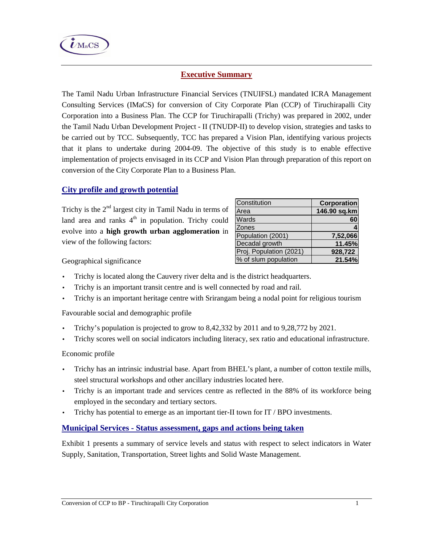

# **Executive Summary**

The Tamil Nadu Urban Infrastructure Financial Services (TNUIFSL) mandated ICRA Management Consulting Services (IMaCS) for conversion of City Corporate Plan (CCP) of Tiruchirapalli City Corporation into a Business Plan. The CCP for Tiruchirapalli (Trichy) was prepared in 2002, under the Tamil Nadu Urban Development Project - II (TNUDP-II) to develop vision, strategies and tasks to be carried out by TCC. Subsequently, TCC has prepared a Vision Plan, identifying various projects that it plans to undertake during 2004-09. The objective of this study is to enable effective implementation of projects envisaged in its CCP and Vision Plan through preparation of this report on conversion of the City Corporate Plan to a Business Plan.

# **City profile and growth potential**

Trichy is the  $2<sup>nd</sup>$  largest city in Tamil Nadu in terms of land area and ranks  $4<sup>th</sup>$  in population. Trichy could evolve into a **high growth urban agglomeration** in view of the following factors:

| Constitution            | <b>Corporation</b> |
|-------------------------|--------------------|
| Area                    | 146.90 sq.km       |
| Wards                   | 60                 |
| Zones                   |                    |
| Population (2001)       | 7,52,066           |
| Decadal growth          | 11.45%             |
| Proj. Population (2021) | 928,722            |
| % of slum population    | 21.54%             |

Geographical significance

- Trichy is located along the Cauvery river delta and is the district headquarters.
- Trichy is an important transit centre and is well connected by road and rail.
- Trichy is an important heritage centre with Srirangam being a nodal point for religious tourism

Favourable social and demographic profile

- Trichy's population is projected to grow to 8,42,332 by 2011 and to 9,28,772 by 2021.
- Trichy scores well on social indicators including literacy, sex ratio and educational infrastructure.

Economic profile

- Trichy has an intrinsic industrial base. Apart from BHEL's plant, a number of cotton textile mills, steel structural workshops and other ancillary industries located here.
- Trichy is an important trade and services centre as reflected in the 88% of its workforce being employed in the secondary and tertiary sectors.
- Trichy has potential to emerge as an important tier-II town for IT / BPO investments.

# **Municipal Services - Status assessment, gaps and actions being taken**

Exhibit 1 presents a summary of service levels and status with respect to select indicators in Water Supply, Sanitation, Transportation, Street lights and Solid Waste Management.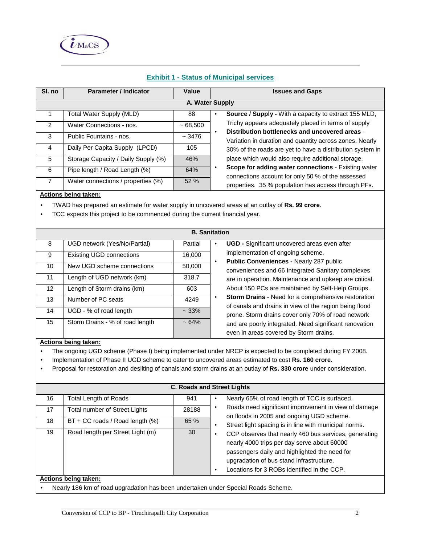

| SI. no         | <b>Parameter / Indicator</b>                                                                                                                                                   | Value    | <b>Issues and Gaps</b>                                                                                                 |  |  |  |  |  |
|----------------|--------------------------------------------------------------------------------------------------------------------------------------------------------------------------------|----------|------------------------------------------------------------------------------------------------------------------------|--|--|--|--|--|
|                | A. Water Supply                                                                                                                                                                |          |                                                                                                                        |  |  |  |  |  |
| $\mathbf{1}$   | <b>Total Water Supply (MLD)</b>                                                                                                                                                | 88       | Source / Supply - With a capacity to extract 155 MLD,<br>$\bullet$                                                     |  |  |  |  |  |
| 2              | Water Connections - nos.                                                                                                                                                       | ~568,500 | Trichy appears adequately placed in terms of supply                                                                    |  |  |  |  |  |
| 3              | Public Fountains - nos.                                                                                                                                                        | ~1.3476  | Distribution bottlenecks and uncovered areas -<br>$\bullet$<br>Variation in duration and quantity across zones. Nearly |  |  |  |  |  |
| 4              | Daily Per Capita Supply (LPCD)                                                                                                                                                 | 105      | 30% of the roads are yet to have a distribution system in                                                              |  |  |  |  |  |
| 5              | Storage Capacity / Daily Supply (%)                                                                                                                                            | 46%      | place which would also require additional storage.                                                                     |  |  |  |  |  |
| 6              | Pipe length / Road Length (%)                                                                                                                                                  | 64%      | Scope for adding water connections - Existing water<br>$\bullet$                                                       |  |  |  |  |  |
| $\overline{7}$ | Water connections / properties (%)                                                                                                                                             | 52 %     | connections account for only 50 % of the assessed<br>properties. 35 % population has access through PFs.               |  |  |  |  |  |
|                | TWAD has prepared an estimate for water supply in uncovered areas at an outlay of Rs. 99 crore.<br>TCC expects this project to be commenced during the current financial year. |          |                                                                                                                        |  |  |  |  |  |
|                | <b>B.</b> Sanitation                                                                                                                                                           |          |                                                                                                                        |  |  |  |  |  |
| 8              | UGD network (Yes/No/Partial)                                                                                                                                                   | Partial  | UGD - Significant uncovered areas even after<br>$\bullet$                                                              |  |  |  |  |  |
| 9              | <b>Existing UGD connections</b>                                                                                                                                                | 16,000   | implementation of ongoing scheme.<br>Public Conveniences - Nearly 287 public                                           |  |  |  |  |  |
| 10             | New UGD scheme connections                                                                                                                                                     | 50,000   | $\bullet$<br>conveniences and 66 Integrated Sanitary complexes                                                         |  |  |  |  |  |
| 11             | Length of UGD network (km)                                                                                                                                                     | 318.7    | are in operation. Maintenance and upkeep are critical.                                                                 |  |  |  |  |  |
| 12             | Length of Storm drains (km)                                                                                                                                                    | 603      | About 150 PCs are maintained by Self-Help Groups.                                                                      |  |  |  |  |  |
| 13             | Number of PC seats                                                                                                                                                             | 4249     | Storm Drains - Need for a comprehensive restoration<br>$\bullet$                                                       |  |  |  |  |  |
| 14             | UGD - % of road length                                                                                                                                                         | ~133%    | of canals and drains in view of the region being flood<br>prone. Storm drains cover only 70% of road network           |  |  |  |  |  |
| 15             | Storm Drains - % of road length<br>$~54\%$                                                                                                                                     |          | and are poorly integrated. Need significant renovation<br>even in areas covered by Storm drains.                       |  |  |  |  |  |

## **Exhibit 1 - Status of Municipal services**

#### **Actions being taken:**

- The ongoing UGD scheme (Phase I) being implemented under NRCP is expected to be completed during FY 2008.
- Implementation of Phase II UGD scheme to cater to uncovered areas estimated to cost **Rs. 160 crore.**
- Proposal for restoration and desilting of canals and storm drains at an outlay of **Rs. 330 crore** under consideration.

|    | <b>C. Roads and Street Lights</b> |       |                                                                                                                                                                                                                                                               |  |  |  |  |  |
|----|-----------------------------------|-------|---------------------------------------------------------------------------------------------------------------------------------------------------------------------------------------------------------------------------------------------------------------|--|--|--|--|--|
| 16 | <b>Total Length of Roads</b>      | 941   | Nearly 65% of road length of TCC is surfaced.<br>$\bullet$                                                                                                                                                                                                    |  |  |  |  |  |
| 17 | Total number of Street Lights     | 28188 | Roads need significant improvement in view of damage<br>on floods in 2005 and ongoing UGD scheme.                                                                                                                                                             |  |  |  |  |  |
| 18 | BT + CC roads / Road length (%)   | 65 %  | Street light spacing is in line with municipal norms.<br>٠                                                                                                                                                                                                    |  |  |  |  |  |
| 19 | Road length per Street Light (m)  | 30    | CCP observes that nearly 460 bus services, generating<br>nearly 4000 trips per day serve about 60000<br>passengers daily and highlighted the need for<br>upgradation of bus stand infrastructure.<br>Locations for 3 ROBs identified in the CCP.<br>$\bullet$ |  |  |  |  |  |
|    | Actions being taken:              |       |                                                                                                                                                                                                                                                               |  |  |  |  |  |

• Nearly 186 km of road upgradation has been undertaken under Special Roads Scheme.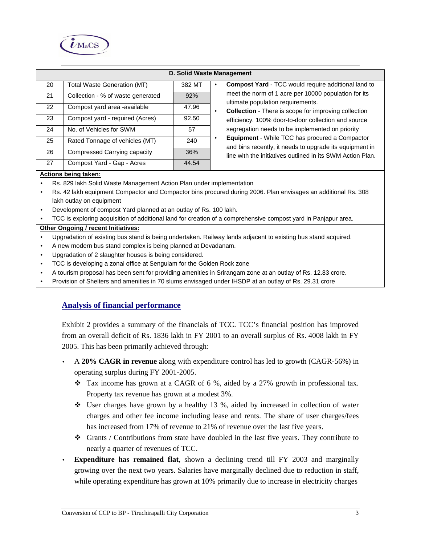

|                      |                                    |        | <b>D. Solid Waste Management</b>                                                                                       |  |  |  |  |
|----------------------|------------------------------------|--------|------------------------------------------------------------------------------------------------------------------------|--|--|--|--|
| 20                   | <b>Total Waste Generation (MT)</b> | 382 MT | <b>Compost Yard - TCC would require additional land to</b><br>$\bullet$                                                |  |  |  |  |
| 21                   | Collection - % of waste generated  | 92%    | meet the norm of 1 acre per 10000 population for its<br>ultimate population requirements.                              |  |  |  |  |
| 22                   | Compost yard area -available       | 47.96  | <b>Collection</b> - There is scope for improving collection<br>$\bullet$                                               |  |  |  |  |
| 23                   | Compost yard - required (Acres)    | 92.50  | efficiency. 100% door-to-door collection and source                                                                    |  |  |  |  |
| 24                   | No. of Vehicles for SWM            | 57     | segregation needs to be implemented on priority                                                                        |  |  |  |  |
| 25                   | Rated Tonnage of vehicles (MT)     | 240    | Equipment - While TCC has procured a Compactor<br>$\bullet$<br>and bins recently, it needs to upgrade its equipment in |  |  |  |  |
| 26                   | Compressed Carrying capacity       | 36%    | line with the initiatives outlined in its SWM Action Plan.                                                             |  |  |  |  |
| 27                   | Compost Yard - Gap - Acres         | 44.54  |                                                                                                                        |  |  |  |  |
| Actions being taken: |                                    |        |                                                                                                                        |  |  |  |  |

- Rs. 829 lakh Solid Waste Management Action Plan under implementation
- Rs. 42 lakh equipment Compactor and Compactor bins procured during 2006. Plan envisages an additional Rs. 308 lakh outlay on equipment
- Development of compost Yard planned at an outlay of Rs. 100 lakh.
- TCC is exploring acquisition of additional land for creation of a comprehensive compost yard in Panjapur area.

#### **Other Ongoing / recent Initiatives:**

- Upgradation of existing bus stand is being undertaken. Railway lands adjacent to existing bus stand acquired.
- A new modern bus stand complex is being planned at Devadanam.
- Upgradation of 2 slaughter houses is being considered.
- TCC is developing a zonal office at Sengulam for the Golden Rock zone
- A tourism proposal has been sent for providing amenities in Srirangam zone at an outlay of Rs. 12.83 crore.
- Provision of Shelters and amenities in 70 slums envisaged under IHSDP at an outlay of Rs. 29.31 crore

## **Analysis of financial performance**

Exhibit 2 provides a summary of the financials of TCC. TCC's financial position has improved from an overall deficit of Rs. 1836 lakh in FY 2001 to an overall surplus of Rs. 4008 lakh in FY 2005. This has been primarily achieved through:

- A **20% CAGR in revenue** along with expenditure control has led to growth (CAGR-56%) in operating surplus during FY 2001-2005.
	- $\div$  Tax income has grown at a CAGR of 6 %, aided by a 27% growth in professional tax. Property tax revenue has grown at a modest 3%.
	- User charges have grown by a healthy 13 %, aided by increased in collection of water charges and other fee income including lease and rents. The share of user charges/fees has increased from 17% of revenue to 21% of revenue over the last five years.
	- $\triangleleft$  Grants / Contributions from state have doubled in the last five years. They contribute to nearly a quarter of revenues of TCC.
- **Expenditure has remained flat**, shown a declining trend till FY 2003 and marginally growing over the next two years. Salaries have marginally declined due to reduction in staff, while operating expenditure has grown at 10% primarily due to increase in electricity charges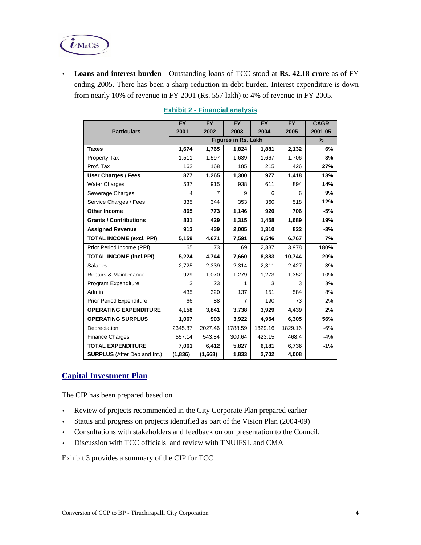

• **Loans and interest burden -** Outstanding loans of TCC stood at **Rs. 42.18 crore** as of FY ending 2005. There has been a sharp reduction in debt burden. Interest expenditure is down from nearly 10% of revenue in FY 2001 (Rs. 557 lakh) to 4% of revenue in FY 2005.

|                                     | <b>FY</b> | <b>FY</b> | <b>FY</b> | FY      | <b>FY</b> | <b>CAGR</b> |
|-------------------------------------|-----------|-----------|-----------|---------|-----------|-------------|
| <b>Particulars</b>                  | 2001      | 2002      | 2003      | 2004    | 2005      | 2001-05     |
|                                     |           | %         |           |         |           |             |
| <b>Taxes</b>                        | 1,674     | 1,765     | 1,824     | 1,881   | 2,132     | 6%          |
| <b>Property Tax</b>                 | 1,511     | 1,597     | 1,639     | 1,667   | 1,706     | 3%          |
| Prof. Tax                           | 162       | 168       | 185       | 215     | 426       | 27%         |
| <b>User Charges / Fees</b>          | 877       | 1,265     | 1,300     | 977     | 1,418     | 13%         |
| <b>Water Charges</b>                | 537       | 915       | 938       | 611     | 894       | 14%         |
| Sewerage Charges                    | 4         | 7         | 9         | 6       | 6         | 9%          |
| Service Charges / Fees              | 335       | 344       | 353       | 360     | 518       | 12%         |
| <b>Other Income</b>                 | 865       | 773       | 1,146     | 920     | 706       | -5%         |
| <b>Grants / Contributions</b>       | 831       | 429       | 1,315     | 1,458   | 1,689     | 19%         |
| <b>Assigned Revenue</b>             | 913       | 439       | 2,005     | 1,310   | 822       | $-3%$       |
| <b>TOTAL INCOME (excl. PPI)</b>     | 5,159     | 4,671     | 7,591     | 6,546   | 6,767     | 7%          |
| Prior Period Income (PPI)           | 65        | 73        | 69        | 2,337   | 3,978     | 180%        |
| <b>TOTAL INCOME (incl.PPI)</b>      | 5,224     | 4,744     | 7,660     | 8,883   | 10,744    | 20%         |
| Salaries                            | 2,725     | 2,339     | 2,314     | 2,311   | 2,427     | $-3%$       |
| Repairs & Maintenance               | 929       | 1,070     | 1,279     | 1,273   | 1,352     | 10%         |
| Program Expenditure                 | 3         | 23        | 1         | 3       | 3         | 3%          |
| Admin                               | 435       | 320       | 137       | 151     | 584       | 8%          |
| <b>Prior Period Expenditure</b>     | 66        | 88        | 7         | 190     | 73        | 2%          |
| <b>OPERATING EXPENDITURE</b>        | 4,158     | 3,841     | 3,738     | 3,929   | 4,439     | 2%          |
| <b>OPERATING SURPLUS</b>            | 1,067     | 903       | 3,922     | 4,954   | 6,305     | 56%         |
| Depreciation                        | 2345.87   | 2027.46   | 1788.59   | 1829.16 | 1829.16   | $-6%$       |
| Finance Charges                     | 557.14    | 543.84    | 300.64    | 423.15  | 468.4     | $-4%$       |
| <b>TOTAL EXPENDITURE</b>            | 7,061     | 6,412     | 5,827     | 6,181   | 6,736     | $-1%$       |
| <b>SURPLUS</b> (After Dep and Int.) | (1, 836)  | (1,668)   | 1,833     | 2,702   | 4,008     |             |

## **Exhibit 2 - Financial analysis**

# **Capital Investment Plan**

The CIP has been prepared based on

- Review of projects recommended in the City Corporate Plan prepared earlier
- Status and progress on projects identified as part of the Vision Plan (2004-09)
- Consultations with stakeholders and feedback on our presentation to the Council.
- Discussion with TCC officials and review with TNUIFSL and CMA

Exhibit 3 provides a summary of the CIP for TCC.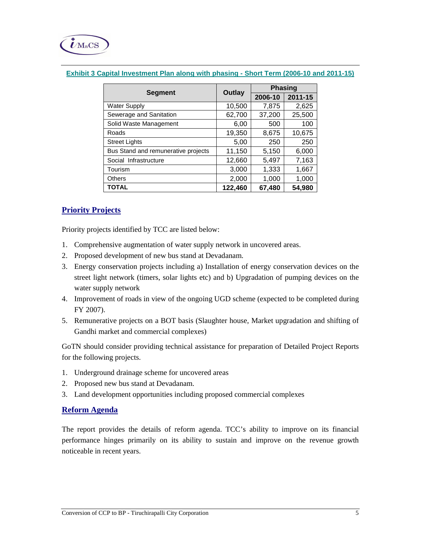|                                     |         | <b>Phasing</b> |         |  |
|-------------------------------------|---------|----------------|---------|--|
| <b>Segment</b>                      | Outlay  | 2006-10        | 2011-15 |  |
| <b>Water Supply</b>                 | 10,500  | 7,875          | 2,625   |  |
| Sewerage and Sanitation             | 62,700  | 37,200         | 25,500  |  |
| Solid Waste Management              | 6,00    | 500            | 100     |  |
| Roads                               | 19,350  | 8,675          | 10,675  |  |
| <b>Street Lights</b>                | 5,00    | 250            | 250     |  |
| Bus Stand and remunerative projects | 11,150  | 5,150          | 6,000   |  |
| Social Infrastructure               | 12,660  | 5,497          | 7,163   |  |
| Tourism                             | 3,000   | 1,333          | 1,667   |  |
| <b>Others</b>                       | 2,000   | 1,000          | 1,000   |  |
| <b>TOTAL</b>                        | 122,460 | 67,480         | 54,980  |  |

## **Exhibit 3 Capital Investment Plan along with phasing - Short Term (2006-10 and 2011-15)**

# **Priority Projects**

Priority projects identified by TCC are listed below:

- 1. Comprehensive augmentation of water supply network in uncovered areas.
- 2. Proposed development of new bus stand at Devadanam.
- 3. Energy conservation projects including a) Installation of energy conservation devices on the street light network (timers, solar lights etc) and b) Upgradation of pumping devices on the water supply network
- 4. Improvement of roads in view of the ongoing UGD scheme (expected to be completed during FY 2007).
- 5. Remunerative projects on a BOT basis (Slaughter house, Market upgradation and shifting of Gandhi market and commercial complexes)

GoTN should consider providing technical assistance for preparation of Detailed Project Reports for the following projects.

- 1. Underground drainage scheme for uncovered areas
- 2. Proposed new bus stand at Devadanam.
- 3. Land development opportunities including proposed commercial complexes

## **Reform Agenda**

The report provides the details of reform agenda. TCC's ability to improve on its financial performance hinges primarily on its ability to sustain and improve on the revenue growth noticeable in recent years.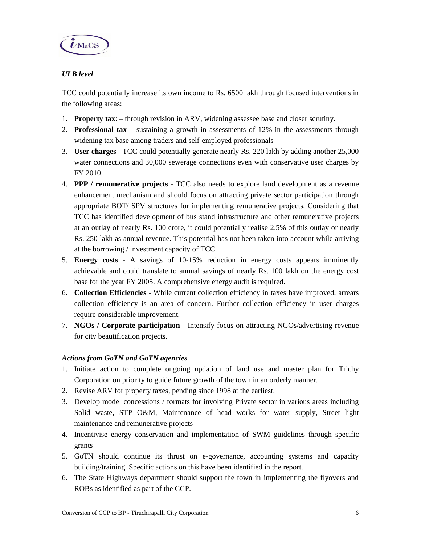

# *ULB level*

TCC could potentially increase its own income to Rs. 6500 lakh through focused interventions in the following areas:

- 1. **Property tax**: through revision in ARV, widening assessee base and closer scrutiny.
- 2. **Professional tax**  sustaining a growth in assessments of 12% in the assessments through widening tax base among traders and self-employed professionals
- 3. **User charges**  TCC could potentially generate nearly Rs. 220 lakh by adding another 25,000 water connections and 30,000 sewerage connections even with conservative user charges by FY 2010.
- 4. **PPP / remunerative projects**  TCC also needs to explore land development as a revenue enhancement mechanism and should focus on attracting private sector participation through appropriate BOT/ SPV structures for implementing remunerative projects. Considering that TCC has identified development of bus stand infrastructure and other remunerative projects at an outlay of nearly Rs. 100 crore, it could potentially realise 2.5% of this outlay or nearly Rs. 250 lakh as annual revenue. This potential has not been taken into account while arriving at the borrowing / investment capacity of TCC.
- 5. **Energy costs**  A savings of 10-15% reduction in energy costs appears imminently achievable and could translate to annual savings of nearly Rs. 100 lakh on the energy cost base for the year FY 2005. A comprehensive energy audit is required.
- 6. **Collection Efficiencies**  While current collection efficiency in taxes have improved, arrears collection efficiency is an area of concern. Further collection efficiency in user charges require considerable improvement.
- 7. **NGOs / Corporate participation** Intensify focus on attracting NGOs/advertising revenue for city beautification projects.

## *Actions from GoTN and GoTN agencies*

- 1. Initiate action to complete ongoing updation of land use and master plan for Trichy Corporation on priority to guide future growth of the town in an orderly manner.
- 2. Revise ARV for property taxes, pending since 1998 at the earliest.
- 3. Develop model concessions / formats for involving Private sector in various areas including Solid waste, STP O&M, Maintenance of head works for water supply, Street light maintenance and remunerative projects
- 4. Incentivise energy conservation and implementation of SWM guidelines through specific grants
- 5. GoTN should continue its thrust on e-governance, accounting systems and capacity building/training. Specific actions on this have been identified in the report.
- 6. The State Highways department should support the town in implementing the flyovers and ROBs as identified as part of the CCP.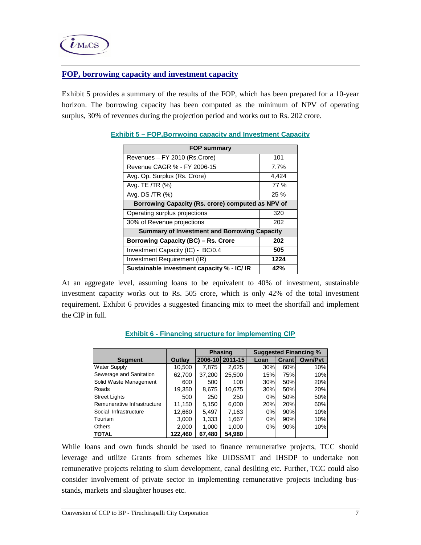## **FOP, borrowing capacity and investment capacity**

Exhibit 5 provides a summary of the results of the FOP, which has been prepared for a 10-year horizon. The borrowing capacity has been computed as the minimum of NPV of operating surplus, 30% of revenues during the projection period and works out to Rs. 202 crore.

| FOP summary                                         |       |  |  |  |  |
|-----------------------------------------------------|-------|--|--|--|--|
| Revenues - FY 2010 (Rs.Crore)                       | 101   |  |  |  |  |
| Revenue CAGR % - FY 2006-15                         | 7.7%  |  |  |  |  |
| Avg. Op. Surplus (Rs. Crore)                        | 4,424 |  |  |  |  |
| Avg. TE /TR (%)                                     | 77 %  |  |  |  |  |
| Avg. DS /TR (%)                                     | 25%   |  |  |  |  |
| Borrowing Capacity (Rs. crore) computed as NPV of   |       |  |  |  |  |
| Operating surplus projections                       | 320   |  |  |  |  |
| 30% of Revenue projections                          | 202   |  |  |  |  |
| <b>Summary of Investment and Borrowing Capacity</b> |       |  |  |  |  |
| <b>Borrowing Capacity (BC) - Rs. Crore</b>          | 202   |  |  |  |  |
| Investment Capacity (IC) - BC/0.4                   | 505   |  |  |  |  |
| Investment Requirement (IR)                         | 1224  |  |  |  |  |
| Sustainable investment capacity % - IC/ IR          | 42%   |  |  |  |  |

## **Exhibit 5 – FOP,Borrwoing capacity and Investment Capacity**

At an aggregate level, assuming loans to be equivalent to 40% of investment, sustainable investment capacity works out to Rs. 505 crore, which is only 42% of the total investment requirement. Exhibit 6 provides a suggested financing mix to meet the shortfall and implement the CIP in full.

|                             |         | <b>Phasing</b> |         |      | <b>Suggested Financing %</b> |                |  |
|-----------------------------|---------|----------------|---------|------|------------------------------|----------------|--|
| <b>Segment</b>              | Outlay  | 2006-10        | 2011-15 | Loan | Grant                        | <b>Own/Pyt</b> |  |
| <b>Water Supply</b>         | 10,500  | 7.875          | 2,625   | 30%  | 60%                          | 10%            |  |
| Sewerage and Sanitation     | 62,700  | 37,200         | 25,500  | 15%  | 75%                          | 10%            |  |
| Solid Waste Management      | 600     | 500            | 100     | 30%  | 50%                          | 20%            |  |
| Roads                       | 19,350  | 8,675          | 10,675  | 30%  | 50%                          | 20%            |  |
| <b>Street Lights</b>        | 500     | 250            | 250     | 0%   | 50%                          | 50%            |  |
| Remunerative Infrastructure | 11,150  | 5,150          | 6,000   | 20%  | 20%                          | 60%            |  |
| Social Infrastructure       | 12,660  | 5,497          | 7,163   | 0%   | 90%                          | 10%            |  |
| Tourism                     | 3,000   | 1,333          | 1,667   | 0%   | 90%                          | 10%            |  |
| <b>Others</b>               | 2,000   | 1,000          | 1,000   | 0%   | 90%                          | 10%            |  |
| <b>TOTAL</b>                | 122,460 | 67,480         | 54,980  |      |                              |                |  |

## **Exhibit 6 - Financing structure for implementing CIP**

While loans and own funds should be used to finance remunerative projects, TCC should leverage and utilize Grants from schemes like UIDSSMT and IHSDP to undertake non remunerative projects relating to slum development, canal desilting etc. Further, TCC could also consider involvement of private sector in implementing remunerative projects including busstands, markets and slaughter houses etc.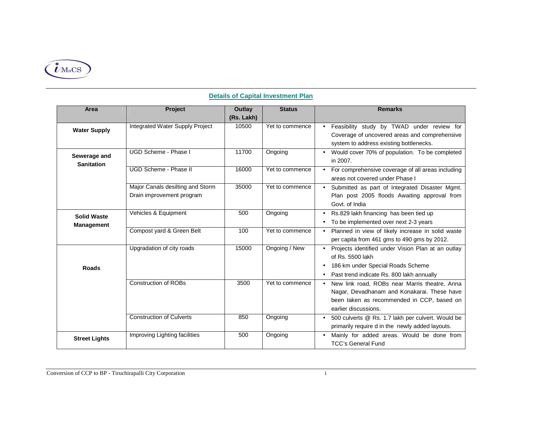

| Area                                    | <b>Project</b>                                                | Outlay     | <b>Status</b>   | <b>Remarks</b>                                                                                                                                                     |
|-----------------------------------------|---------------------------------------------------------------|------------|-----------------|--------------------------------------------------------------------------------------------------------------------------------------------------------------------|
|                                         |                                                               | (Rs. Lakh) |                 |                                                                                                                                                                    |
| <b>Water Supply</b>                     | Integrated Water Supply Project                               | 10500      | Yet to commence | Feasibility study by TWAD under review for<br>Coverage of uncovered areas and comprehensive<br>system to address existing bottlenecks.                             |
| Sewerage and<br><b>Sanitation</b>       | UGD Scheme - Phase I                                          | 11700      | Ongoing         | Would cover 70% of population. To be completed<br>in 2007.                                                                                                         |
|                                         | UGD Scheme - Phase II                                         | 16000      | Yet to commence | For comprehensive coverage of all areas including<br>areas not covered under Phase I                                                                               |
|                                         | Major Canals desilting and Storm<br>Drain improvement program | 35000      | Yet to commence | Submitted as part of Integrated Disaster Mgmt.<br>Plan post 2005 floods Awaiting approval from<br>Govt. of India                                                   |
| <b>Solid Waste</b><br><b>Management</b> | Vehicles & Equipment                                          | 500        | Ongoing         | Rs.829 lakh financing has been tied up<br>$\bullet$<br>To be implemented over next 2-3 years                                                                       |
|                                         | Compost yard & Green Belt                                     | 100        | Yet to commence | Planned in view of likely increase in solid waste<br>per capita from 461 gms to 490 gms by 2012.                                                                   |
| <b>Roads</b>                            | Upgradation of city roads                                     | 15000      | Ongoing / New   | Projects identified under Vision Plan at an outlay<br>of Rs. 5500 lakh<br>186 km under Special Roads Scheme<br>Past trend indicate Rs. 800 lakh annually           |
|                                         | <b>Construction of ROBs</b>                                   | 3500       | Yet to commence | New link road, ROBs near Marris theatre, Anna<br>Nagar, Devadhanam and Konakarai. These have<br>been taken as recommended in CCP, based on<br>earlier discussions. |
|                                         | <b>Construction of Culverts</b>                               | 850        | Ongoing         | 500 culverts @ Rs. 1.7 lakh per culvert. Would be<br>primarily require d in the newly added layouts.                                                               |
| <b>Street Lights</b>                    | Improving Lighting facilities                                 | 500        | Ongoing         | Mainly for added areas. Would be done from<br><b>TCC's General Fund</b>                                                                                            |

## **Details of Capital Investment Plan**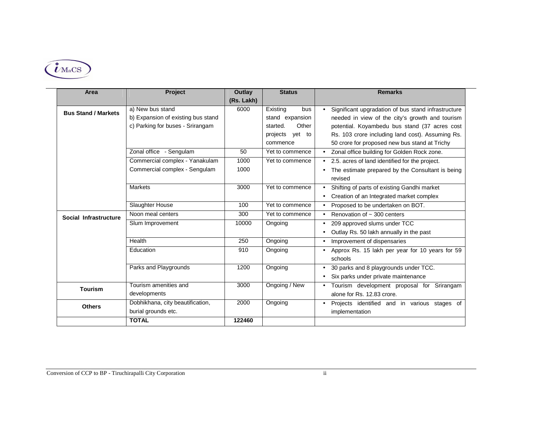

| Area                       | Project                                                                                    | Outlay<br>(Rs. Lakh) | <b>Status</b>                                                                             | <b>Remarks</b>                                                                                                                                                                                                                                               |
|----------------------------|--------------------------------------------------------------------------------------------|----------------------|-------------------------------------------------------------------------------------------|--------------------------------------------------------------------------------------------------------------------------------------------------------------------------------------------------------------------------------------------------------------|
| <b>Bus Stand / Markets</b> | a) New bus stand<br>b) Expansion of existing bus stand<br>c) Parking for buses - Srirangam | 6000                 | Existing<br>bus<br>stand expansion<br>Other<br>started.<br>yet to<br>projects<br>commence | Significant upgradation of bus stand infrastructure<br>needed in view of the city's growth and tourism<br>potential. Koyambedu bus stand (37 acres cost<br>Rs. 103 crore including land cost). Assuming Rs.<br>50 crore for proposed new bus stand at Trichy |
|                            | Zonal office - Sengulam                                                                    | 50                   | Yet to commence                                                                           | Zonal office building for Golden Rock zone.                                                                                                                                                                                                                  |
|                            | Commercial complex - Yanakulam<br>Commercial complex - Sengulam                            | 1000<br>1000         | Yet to commence                                                                           | 2.5. acres of land identified for the project.<br>The estimate prepared by the Consultant is being<br>revised                                                                                                                                                |
|                            | <b>Markets</b>                                                                             | 3000                 | Yet to commence                                                                           | Shifting of parts of existing Gandhi market<br>Creation of an Integrated market complex<br>$\bullet$                                                                                                                                                         |
|                            | Slaughter House                                                                            | 100                  | Yet to commence                                                                           | Proposed to be undertaken on BOT.                                                                                                                                                                                                                            |
| Social Infrastructure      | Noon meal centers                                                                          | 300                  | Yet to commence                                                                           | Renovation of $\sim$ 300 centers                                                                                                                                                                                                                             |
|                            | Slum Improvement                                                                           | 10000                | Ongoing                                                                                   | 209 approved slums under TCC<br>Outlay Rs. 50 lakh annually in the past                                                                                                                                                                                      |
|                            | Health                                                                                     | 250                  | Ongoing                                                                                   | Improvement of dispensaries<br>$\bullet$                                                                                                                                                                                                                     |
|                            | Education                                                                                  | 910                  | Ongoing                                                                                   | Approx Rs. 15 lakh per year for 10 years for 59<br>schools                                                                                                                                                                                                   |
|                            | Parks and Playgrounds                                                                      | 1200                 | Ongoing                                                                                   | 30 parks and 8 playgrounds under TCC.<br>Six parks under private maintenance                                                                                                                                                                                 |
| <b>Tourism</b>             | Tourism amenities and<br>developments                                                      | 3000                 | Ongoing / New                                                                             | Tourism development proposal for Srirangam<br>alone for Rs. 12.83 crore.                                                                                                                                                                                     |
| <b>Others</b>              | Dobhikhana, city beautification,<br>burial grounds etc.                                    | 2000                 | Ongoing                                                                                   | Projects identified and in various stages of<br>implementation                                                                                                                                                                                               |
|                            | <b>TOTAL</b>                                                                               | 122460               |                                                                                           |                                                                                                                                                                                                                                                              |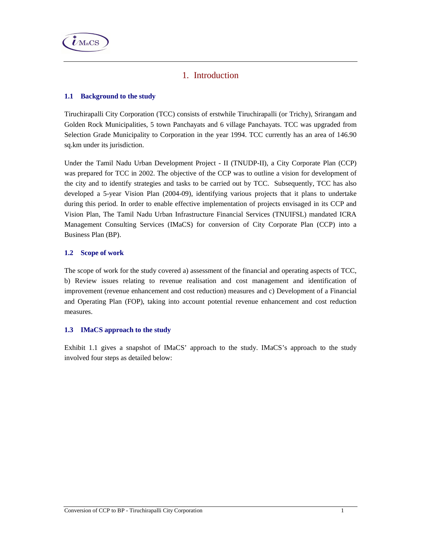

# 1. Introduction

## **1.1 Background to the study**

Tiruchirapalli City Corporation (TCC) consists of erstwhile Tiruchirapalli (or Trichy), Srirangam and Golden Rock Municipalities, 5 town Panchayats and 6 village Panchayats. TCC was upgraded from Selection Grade Municipality to Corporation in the year 1994. TCC currently has an area of 146.90 sq.km under its jurisdiction.

Under the Tamil Nadu Urban Development Project - II (TNUDP-II), a City Corporate Plan (CCP) was prepared for TCC in 2002. The objective of the CCP was to outline a vision for development of the city and to identify strategies and tasks to be carried out by TCC. Subsequently, TCC has also developed a 5-year Vision Plan (2004-09), identifying various projects that it plans to undertake during this period. In order to enable effective implementation of projects envisaged in its CCP and Vision Plan, The Tamil Nadu Urban Infrastructure Financial Services (TNUIFSL) mandated ICRA Management Consulting Services (IMaCS) for conversion of City Corporate Plan (CCP) into a Business Plan (BP).

## **1.2 Scope of work**

The scope of work for the study covered a) assessment of the financial and operating aspects of TCC, b) Review issues relating to revenue realisation and cost management and identification of improvement (revenue enhancement and cost reduction) measures and c) Development of a Financial and Operating Plan (FOP), taking into account potential revenue enhancement and cost reduction measures.

## **1.3 IMaCS approach to the study**

Exhibit 1.1 gives a snapshot of IMaCS' approach to the study. IMaCS's approach to the study involved four steps as detailed below: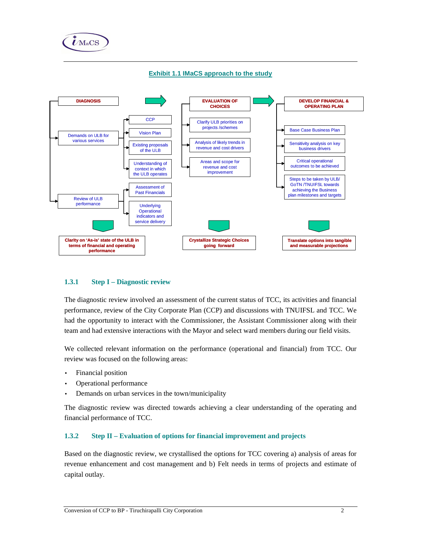





#### **1.3.1 Step I – Diagnostic review**

The diagnostic review involved an assessment of the current status of TCC, its activities and financial performance, review of the City Corporate Plan (CCP) and discussions with TNUIFSL and TCC. We had the opportunity to interact with the Commissioner, the Assistant Commissioner along with their team and had extensive interactions with the Mayor and select ward members during our field visits.

We collected relevant information on the performance (operational and financial) from TCC. Our review was focused on the following areas:

- Financial position
- Operational performance
- Demands on urban services in the town/municipality

The diagnostic review was directed towards achieving a clear understanding of the operating and financial performance of TCC.

### **1.3.2 Step II – Evaluation of options for financial improvement and projects**

Based on the diagnostic review, we crystallised the options for TCC covering a) analysis of areas for revenue enhancement and cost management and b) Felt needs in terms of projects and estimate of capital outlay.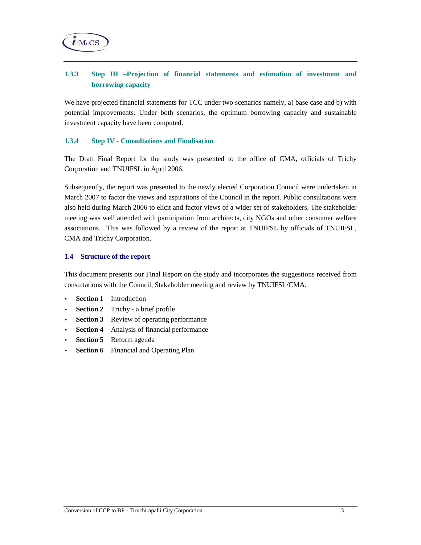

# **1.3.3 Step III –Projection of financial statements and estimation of investment and borrowing capacity**

We have projected financial statements for TCC under two scenarios namely, a) base case and b) with potential improvements. Under both scenarios, the optimum borrowing capacity and sustainable investment capacity have been computed.

### **1.3.4 Step IV - Consultations and Finalisation**

The Draft Final Report for the study was presented to the office of CMA, officials of Trichy Corporation and TNUIFSL in April 2006.

Subsequently, the report was presented to the newly elected Corporation Council were undertaken in March 2007 to factor the views and aspirations of the Council in the report. Public consultations were also held during March 2006 to elicit and factor views of a wider set of stakeholders. The stakeholder meeting was well attended with participation from architects, city NGOs and other consumer welfare associations. This was followed by a review of the report at TNUIFSL by officials of TNUIFSL, CMA and Trichy Corporation.

#### **1.4 Structure of the report**

This document presents our Final Report on the study and incorporates the suggestions received from consultations with the Council, Stakeholder meeting and review by TNUIFSL/CMA.

- **Section 1** Introduction
- **Section 2** Trichy a brief profile
- **Section 3** Review of operating performance
- **Section 4** Analysis of financial performance
- **Section 5** Reform agenda
- **Section 6** Financial and Operating Plan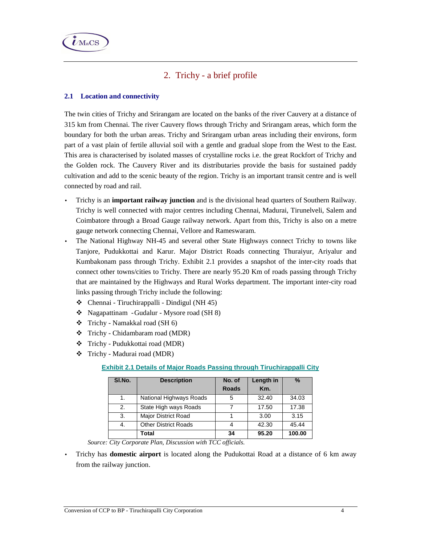

# 2. Trichy - a brief profile

## **2.1 Location and connectivity**

The twin cities of Trichy and Srirangam are located on the banks of the river Cauvery at a distance of 315 km from Chennai. The river Cauvery flows through Trichy and Srirangam areas, which form the boundary for both the urban areas. Trichy and Srirangam urban areas including their environs, form part of a vast plain of fertile alluvial soil with a gentle and gradual slope from the West to the East. This area is characterised by isolated masses of crystalline rocks i.e. the great Rockfort of Trichy and the Golden rock. The Cauvery River and its distributaries provide the basis for sustained paddy cultivation and add to the scenic beauty of the region. Trichy is an important transit centre and is well connected by road and rail.

- Trichy is an **important railway junction** and is the divisional head quarters of Southern Railway. Trichy is well connected with major centres including Chennai, Madurai, Tirunelveli, Salem and Coimbatore through a Broad Gauge railway network. Apart from this, Trichy is also on a metre gauge network connecting Chennai, Vellore and Rameswaram.
- The National Highway NH-45 and several other State Highways connect Trichy to towns like Tanjore, Pudukkottai and Karur. Major District Roads connecting Thuraiyur, Ariyalur and Kumbakonam pass through Trichy. Exhibit 2.1 provides a snapshot of the inter-city roads that connect other towns/cities to Trichy. There are nearly 95.20 Km of roads passing through Trichy that are maintained by the Highways and Rural Works department. The important inter-city road links passing through Trichy include the following:
	- Chennai Tiruchirappalli Dindigul (NH 45)
	- Nagapattinam Gudalur Mysore road (SH 8)
	- Trichy Namakkal road (SH 6)
	- Trichy Chidambaram road (MDR)
	- Trichy Pudukkottai road (MDR)
	- Trichy Madurai road (MDR)

## **Exhibit 2.1 Details of Major Roads Passing through Tiruchirappalli City**

| SI.No. | <b>Description</b>          | No. of<br><b>Roads</b> | Length in<br>Km. | $\%$   |
|--------|-----------------------------|------------------------|------------------|--------|
| 1.     | National Highways Roads     | 5                      | 32.40            | 34.03  |
| 2.     | State High ways Roads       |                        | 17.50            | 17.38  |
| 3.     | <b>Major District Road</b>  |                        | 3.00             | 3.15   |
| 4.     | <b>Other District Roads</b> |                        | 42.30            | 45.44  |
|        | Total                       | 34                     | 95.20            | 100.00 |

 *Source: City Corporate Plan, Discussion with TCC officials.* 

• Trichy has **domestic airport** is located along the Pudukottai Road at a distance of 6 km away from the railway junction.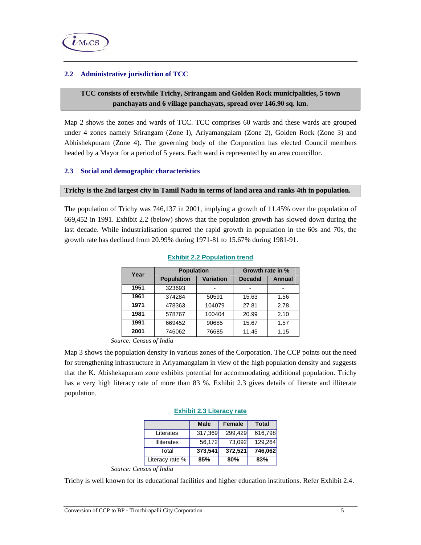## **2.2 Administrative jurisdiction of TCC**

## **TCC consists of erstwhile Trichy, Srirangam and Golden Rock municipalities, 5 town panchayats and 6 village panchayats, spread over 146.90 sq. km.**

Map 2 shows the zones and wards of TCC. TCC comprises 60 wards and these wards are grouped under 4 zones namely Srirangam (Zone I), Ariyamangalam (Zone 2), Golden Rock (Zone 3) and Abhishekpuram (Zone 4). The governing body of the Corporation has elected Council members headed by a Mayor for a period of 5 years. Each ward is represented by an area councillor.

### **2.3 Social and demographic characteristics**

#### **Trichy is the 2nd largest city in Tamil Nadu in terms of land area and ranks 4th in population.**

The population of Trichy was 746,137 in 2001, implying a growth of 11.45% over the population of 669,452 in 1991. Exhibit 2.2 (below) shows that the population growth has slowed down during the last decade. While industrialisation spurred the rapid growth in population in the 60s and 70s, the growth rate has declined from 20.99% during 1971-81 to 15.67% during 1981-91.

| Year | <b>Population</b> |           | Growth rate in % |               |
|------|-------------------|-----------|------------------|---------------|
|      | <b>Population</b> | Variation | <b>Decadal</b>   | <b>Annual</b> |
| 1951 | 323693            |           |                  |               |
| 1961 | 374284            | 50591     | 15.63            | 1.56          |
| 1971 | 478363            | 104079    | 27.81            | 2.78          |
| 1981 | 578767            | 100404    | 20.99            | 2.10          |
| 1991 | 669452            | 90685     | 15.67            | 1.57          |
| 2001 | 746062            | 76685     | 11.45            | 1.15          |

#### **Exhibit 2.2 Population trend**

*Source: Census of India* 

Map 3 shows the population density in various zones of the Corporation. The CCP points out the need for strengthening infrastructure in Ariyamangalam in view of the high population density and suggests that the K. Abishekapuram zone exhibits potential for accommodating additional population. Trichy has a very high literacy rate of more than 83 %. Exhibit 2.3 gives details of literate and illiterate population.

#### **Exhibit 2.3 Literacy rate**

|                    | <b>Male</b> | <b>Female</b> | <b>Total</b> |
|--------------------|-------------|---------------|--------------|
| Literates          | 317,369     | 299,429       | 616,798      |
| <b>Illiterates</b> | 56,172      | 73.092        | 129,264      |
| Total              | 373,541     | 372,521       | 746,062      |
| Literacy rate %    | 85%         | 80%           | 83%          |

*Source: Census of India* 

Trichy is well known for its educational facilities and higher education institutions. Refer Exhibit 2.4.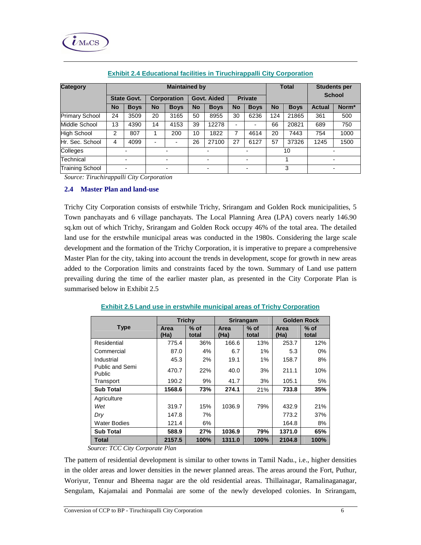

| Category               | <b>Maintained by</b> |                          |           |                          |           |             | <b>Total</b>             |                          | <b>Students per</b><br><b>School</b> |             |               |       |
|------------------------|----------------------|--------------------------|-----------|--------------------------|-----------|-------------|--------------------------|--------------------------|--------------------------------------|-------------|---------------|-------|
|                        |                      | <b>State Govt.</b>       |           | Corporation              |           | Govt. Aided |                          | <b>Private</b>           |                                      |             |               |       |
|                        | <b>No</b>            | <b>Boys</b>              | <b>No</b> | <b>Boys</b>              | <b>No</b> | <b>Boys</b> | <b>No</b>                | <b>Boys</b>              | <b>No</b>                            | <b>Boys</b> | <b>Actual</b> | Norm* |
| <b>Primary School</b>  | 24                   | 3509                     | 20        | 3165                     | 50        | 8955        | 30                       | 6236                     | 124                                  | 21865       | 361           | 500   |
| Middle School          | 13                   | 4390                     | 14        | 4153                     | 39        | 12278       |                          | $\overline{\phantom{0}}$ | 66                                   | 20821       | 689           | 750   |
| <b>High School</b>     | 2                    | 807                      |           | 200                      | 10        | 1822        | 7                        | 4614                     | 20                                   | 7443        | 754           | 1000  |
| Hr. Sec. School        | 4                    | 4099                     |           |                          | 26        | 27100       | 27                       | 6127                     | 57                                   | 37326       | 1245          | 1500  |
| Colleges               |                      | $\overline{\phantom{0}}$ |           |                          |           |             | $\overline{\phantom{0}}$ |                          |                                      | 10          |               |       |
| Technical              |                      | ۰                        |           | $\overline{\phantom{0}}$ |           |             |                          | $\overline{\phantom{a}}$ |                                      |             |               |       |
| <b>Training School</b> |                      | ۰                        |           |                          |           |             |                          | $\blacksquare$           |                                      | 3           |               |       |

#### **Exhibit 2.4 Educational facilities in Tiruchirappalli City Corporation**

*Source: Tiruchirappalli City Corporation* 

#### **2.4 Master Plan and land-use**

Trichy City Corporation consists of erstwhile Trichy, Srirangam and Golden Rock municipalities, 5 Town panchayats and 6 village panchayats. The Local Planning Area (LPA) covers nearly 146.90 sq.km out of which Trichy, Srirangam and Golden Rock occupy 46% of the total area. The detailed land use for the erstwhile municipal areas was conducted in the 1980s. Considering the large scale development and the formation of the Trichy Corporation, it is imperative to prepare a comprehensive Master Plan for the city, taking into account the trends in development, scope for growth in new areas added to the Corporation limits and constraints faced by the town. Summary of Land use pattern prevailing during the time of the earlier master plan, as presented in the City Corporate Plan is summarised below in Exhibit 2.5

|                                  | <b>Trichy</b> |                 |              | <b>Srirangam</b> | <b>Golden Rock</b> |                 |  |
|----------------------------------|---------------|-----------------|--------------|------------------|--------------------|-----------------|--|
| <b>Type</b>                      | Area<br>(Ha)  | $%$ of<br>total | Area<br>(Ha) | $%$ of<br>total  | Area<br>(Ha)       | $%$ of<br>total |  |
| Residential                      | 775.4         | 36%             | 166.6        | 13%              | 253.7              | 12%             |  |
| Commercial                       | 87.0          | 4%              | 6.7          | 1%               | 5.3                | $0\%$           |  |
| Industrial                       | 45.3          | 2%              | 19.1         | 1%               | 158.7              | 8%              |  |
| Public and Semi<br><b>Public</b> | 470.7         | 22%             | 40.0         | 3%               | 211.1              | 10%             |  |
| Transport                        | 190.2         | 9%              | 41.7         | 3%               | 105.1              | 5%              |  |
| <b>Sub Total</b>                 | 1568.6        | 73%             | 274.1        | 21%              | 733.8              | 35%             |  |
| Agriculture                      |               |                 |              |                  |                    |                 |  |
| Wet                              | 319.7         | 15%             | 1036.9       | 79%              | 432.9              | 21%             |  |
| Dry                              | 147.8         | 7%              |              |                  | 773.2              | 37%             |  |
| <b>Water Bodies</b>              | 121.4         | 6%              |              |                  | 164.8              | 8%              |  |
| <b>Sub Total</b>                 | 588.9         | 27%             | 1036.9       | 79%              | 1371.0             | 65%             |  |
| <b>Total</b>                     | 2157.5        | 100%            | 1311.0       | 100%             | 2104.8             | 100%            |  |

#### **Exhibit 2.5 Land use in erstwhile municipal areas of Trichy Corporation**

 *Source: TCC City Corporate Plan* 

The pattern of residential development is similar to other towns in Tamil Nadu., i.e., higher densities in the older areas and lower densities in the newer planned areas. The areas around the Fort, Puthur, Woriyur, Tennur and Bheema nagar are the old residential areas. Thillainagar, Ramalinaganagar, Sengulam, Kajamalai and Ponmalai are some of the newly developed colonies. In Srirangam,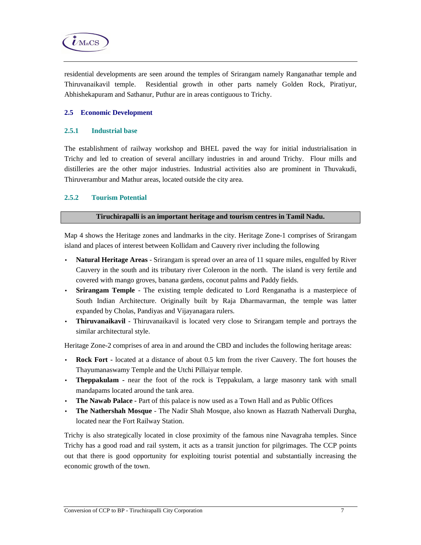

residential developments are seen around the temples of Srirangam namely Ranganathar temple and Thiruvanaikavil temple. Residential growth in other parts namely Golden Rock, Piratiyur, Abhishekapuram and Sathanur, Puthur are in areas contiguous to Trichy.

### **2.5 Economic Development**

#### **2.5.1 Industrial base**

The establishment of railway workshop and BHEL paved the way for initial industrialisation in Trichy and led to creation of several ancillary industries in and around Trichy. Flour mills and distilleries are the other major industries. Industrial activities also are prominent in Thuvakudi, Thiruverambur and Mathur areas, located outside the city area.

## **2.5.2 Tourism Potential**

#### **Tiruchirapalli is an important heritage and tourism centres in Tamil Nadu.**

Map 4 shows the Heritage zones and landmarks in the city. Heritage Zone-1 comprises of Srirangam island and places of interest between Kollidam and Cauvery river including the following

- **Natural Heritage Areas**  Srirangam is spread over an area of 11 square miles, engulfed by River Cauvery in the south and its tributary river Coleroon in the north. The island is very fertile and covered with mango groves, banana gardens, coconut palms and Paddy fields.
- **Srirangam Temple**  The existing temple dedicated to Lord Renganatha is a masterpiece of South Indian Architecture. Originally built by Raja Dharmavarman, the temple was latter expanded by Cholas, Pandiyas and Vijayanagara rulers.
- **Thiruvanaikavil**  Thiruvanaikavil is located very close to Srirangam temple and portrays the similar architectural style.

Heritage Zone-2 comprises of area in and around the CBD and includes the following heritage areas:

- **Rock Fort** located at a distance of about 0.5 km from the river Cauvery. The fort houses the Thayumanaswamy Temple and the Utchi Pillaiyar temple.
- **Theppakulam** near the foot of the rock is Teppakulam, a large masonry tank with small mandapams located around the tank area.
- **The Nawab Palace** Part of this palace is now used as a Town Hall and as Public Offices
- **The Nathershah Mosque** The Nadir Shah Mosque, also known as Hazrath Nathervali Durgha, located near the Fort Railway Station.

Trichy is also strategically located in close proximity of the famous nine Navagraha temples. Since Trichy has a good road and rail system, it acts as a transit junction for pilgrimages. The CCP points out that there is good opportunity for exploiting tourist potential and substantially increasing the economic growth of the town.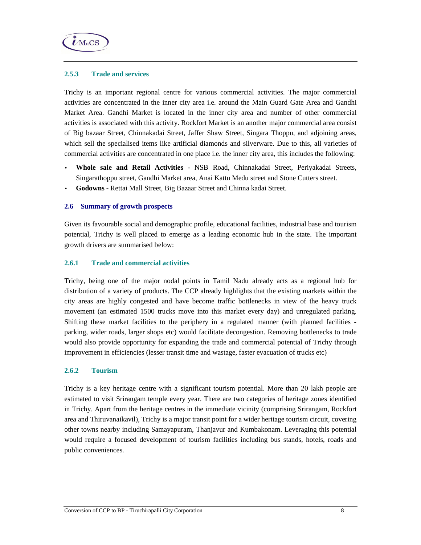

#### **2.5.3 Trade and services**

Trichy is an important regional centre for various commercial activities. The major commercial activities are concentrated in the inner city area i.e. around the Main Guard Gate Area and Gandhi Market Area. Gandhi Market is located in the inner city area and number of other commercial activities is associated with this activity. Rockfort Market is an another major commercial area consist of Big bazaar Street, Chinnakadai Street, Jaffer Shaw Street, Singara Thoppu, and adjoining areas, which sell the specialised items like artificial diamonds and silverware. Due to this, all varieties of commercial activities are concentrated in one place i.e. the inner city area, this includes the following:

- **Whole sale and Retail Activities** NSB Road, Chinnakadai Street, Periyakadai Streets, Singarathoppu street, Gandhi Market area, Anai Kattu Medu street and Stone Cutters street.
- **Godowns** Rettai Mall Street, Big Bazaar Street and Chinna kadai Street.

### **2.6 Summary of growth prospects**

Given its favourable social and demographic profile, educational facilities, industrial base and tourism potential, Trichy is well placed to emerge as a leading economic hub in the state. The important growth drivers are summarised below:

### **2.6.1 Trade and commercial activities**

Trichy, being one of the major nodal points in Tamil Nadu already acts as a regional hub for distribution of a variety of products. The CCP already highlights that the existing markets within the city areas are highly congested and have become traffic bottlenecks in view of the heavy truck movement (an estimated 1500 trucks move into this market every day) and unregulated parking. Shifting these market facilities to the periphery in a regulated manner (with planned facilities parking, wider roads, larger shops etc) would facilitate decongestion. Removing bottlenecks to trade would also provide opportunity for expanding the trade and commercial potential of Trichy through improvement in efficiencies (lesser transit time and wastage, faster evacuation of trucks etc)

#### **2.6.2 Tourism**

Trichy is a key heritage centre with a significant tourism potential. More than 20 lakh people are estimated to visit Srirangam temple every year. There are two categories of heritage zones identified in Trichy. Apart from the heritage centres in the immediate vicinity (comprising Srirangam, Rockfort area and Thiruvanaikavil), Trichy is a major transit point for a wider heritage tourism circuit, covering other towns nearby including Samayapuram, Thanjavur and Kumbakonam. Leveraging this potential would require a focused development of tourism facilities including bus stands, hotels, roads and public conveniences.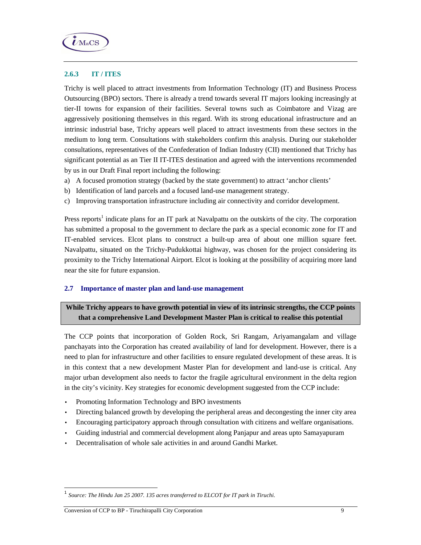

## **2.6.3 IT / ITES**

Trichy is well placed to attract investments from Information Technology (IT) and Business Process Outsourcing (BPO) sectors. There is already a trend towards several IT majors looking increasingly at tier-II towns for expansion of their facilities. Several towns such as Coimbatore and Vizag are aggressively positioning themselves in this regard. With its strong educational infrastructure and an intrinsic industrial base, Trichy appears well placed to attract investments from these sectors in the medium to long term. Consultations with stakeholders confirm this analysis. During our stakeholder consultations, representatives of the Confederation of Indian Industry (CII) mentioned that Trichy has significant potential as an Tier II IT-ITES destination and agreed with the interventions recommended by us in our Draft Final report including the following:

- a) A focused promotion strategy (backed by the state government) to attract 'anchor clients'
- b) Identification of land parcels and a focused land-use management strategy.
- c) Improving transportation infrastructure including air connectivity and corridor development.

Press reports<sup>1</sup> indicate plans for an IT park at Navalpattu on the outskirts of the city. The corporation has submitted a proposal to the government to declare the park as a special economic zone for IT and IT-enabled services. Elcot plans to construct a built-up area of about one million square feet. Navalpattu, situated on the Trichy-Pudukkottai highway, was chosen for the project considering its proximity to the Trichy International Airport. Elcot is looking at the possibility of acquiring more land near the site for future expansion.

#### **2.7 Importance of master plan and land-use management**

## **While Trichy appears to have growth potential in view of its intrinsic strengths, the CCP points that a comprehensive Land Development Master Plan is critical to realise this potential**

The CCP points that incorporation of Golden Rock, Sri Rangam, Ariyamangalam and village panchayats into the Corporation has created availability of land for development. However, there is a need to plan for infrastructure and other facilities to ensure regulated development of these areas. It is in this context that a new development Master Plan for development and land-use is critical. Any major urban development also needs to factor the fragile agricultural environment in the delta region in the city's vicinity. Key strategies for economic development suggested from the CCP include:

- Promoting Information Technology and BPO investments
- Directing balanced growth by developing the peripheral areas and decongesting the inner city area
- Encouraging participatory approach through consultation with citizens and welfare organisations.
- Guiding industrial and commercial development along Panjapur and areas upto Samayapuram
- Decentralisation of whole sale activities in and around Gandhi Market.

 $\overline{\phantom{a}}$ 

<sup>1</sup> *Source: The Hindu Jan 25 2007. 135 acres transferred to ELCOT for IT park in Tiruchi.*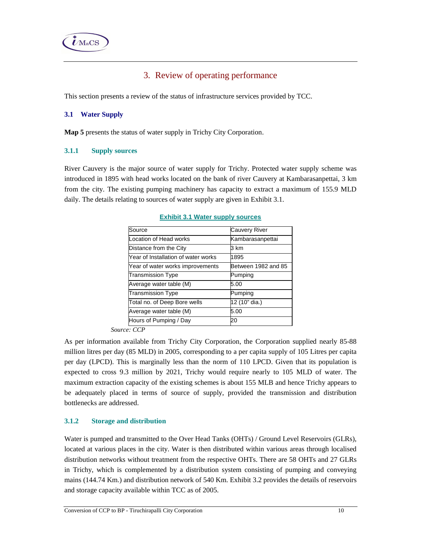

# 3. Review of operating performance

This section presents a review of the status of infrastructure services provided by TCC.

## **3.1 Water Supply**

**Map 5** presents the status of water supply in Trichy City Corporation.

### **3.1.1 Supply sources**

River Cauvery is the major source of water supply for Trichy. Protected water supply scheme was introduced in 1895 with head works located on the bank of river Cauvery at Kambarasanpettai, 3 km from the city. The existing pumping machinery has capacity to extract a maximum of 155.9 MLD daily. The details relating to sources of water supply are given in Exhibit 3.1.

| Source                              | Cauvery River       |
|-------------------------------------|---------------------|
| Location of Head works              | Kambarasanpettai    |
| Distance from the City              | 3 km                |
| Year of Installation of water works | 1895                |
| Year of water works improvements    | Between 1982 and 85 |
| <b>Transmission Type</b>            | Pumping             |
| Average water table (M)             | 5.00                |
| <b>Transmission Type</b>            | Pumping             |
| Total no. of Deep Bore wells        | 12 (10" dia.)       |
| Average water table (M)             | 5.00                |
| Hours of Pumping / Day              | 20                  |

#### **Exhibit 3.1 Water supply sources**

 *Source: CCP* 

As per information available from Trichy City Corporation, the Corporation supplied nearly 85-88 million litres per day (85 MLD) in 2005, corresponding to a per capita supply of 105 Litres per capita per day (LPCD). This is marginally less than the norm of 110 LPCD. Given that its population is expected to cross 9.3 million by 2021, Trichy would require nearly to 105 MLD of water. The maximum extraction capacity of the existing schemes is about 155 MLB and hence Trichy appears to be adequately placed in terms of source of supply, provided the transmission and distribution bottlenecks are addressed.

## **3.1.2 Storage and distribution**

Water is pumped and transmitted to the Over Head Tanks (OHTs) / Ground Level Reservoirs (GLRs), located at various places in the city. Water is then distributed within various areas through localised distribution networks without treatment from the respective OHTs. There are 58 OHTs and 27 GLRs in Trichy, which is complemented by a distribution system consisting of pumping and conveying mains (144.74 Km.) and distribution network of 540 Km. Exhibit 3.2 provides the details of reservoirs and storage capacity available within TCC as of 2005.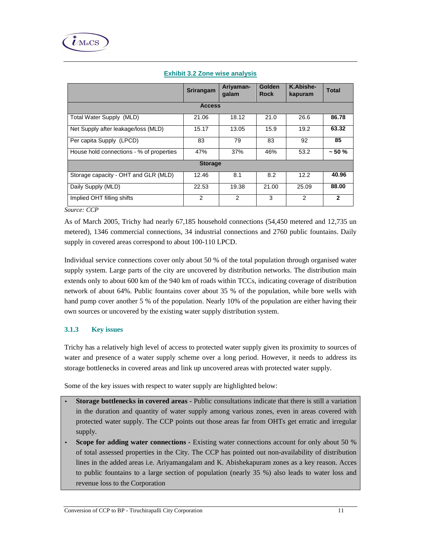|                                          | Srirangam      | Ariyaman-<br>qalam | Golden<br><b>Rock</b> | K.Abishe-<br>kapuram | <b>Total</b> |
|------------------------------------------|----------------|--------------------|-----------------------|----------------------|--------------|
|                                          | <b>Access</b>  |                    |                       |                      |              |
| Total Water Supply (MLD)                 | 21.06          | 18.12              | 21.0                  | 26.6                 | 86.78        |
| Net Supply after leakage/loss (MLD)      | 15.17          | 13.05              | 15.9                  | 19.2                 | 63.32        |
| Per capita Supply (LPCD)                 | 83             | 79                 | 83                    | 92                   | 85           |
| House hold connections - % of properties | 47%            | 37%                | 46%                   | 53.2                 | $~1$ - 50 %  |
|                                          | <b>Storage</b> |                    |                       |                      |              |
| Storage capacity - OHT and GLR (MLD)     | 12.46          | 8.1                | 8.2                   | 12.2                 | 40.96        |
| Daily Supply (MLD)                       | 22.53          | 19.38              | 21.00                 | 25.09                | 88.00        |
| Implied OHT filling shifts               | 2              | 2                  | 3                     | 2                    | $\mathbf{2}$ |

## **Exhibit 3.2 Zone wise analysis**

*Source: CCP* 

As of March 2005, Trichy had nearly 67,185 household connections (54,450 metered and 12,735 un metered), 1346 commercial connections, 34 industrial connections and 2760 public fountains. Daily supply in covered areas correspond to about 100-110 LPCD.

Individual service connections cover only about 50 % of the total population through organised water supply system. Large parts of the city are uncovered by distribution networks. The distribution main extends only to about 600 km of the 940 km of roads within TCCs, indicating coverage of distribution network of about 64%. Public fountains cover about 35 % of the population, while bore wells with hand pump cover another 5 % of the population. Nearly 10% of the population are either having their own sources or uncovered by the existing water supply distribution system.

## **3.1.3 Key issues**

Trichy has a relatively high level of access to protected water supply given its proximity to sources of water and presence of a water supply scheme over a long period. However, it needs to address its storage bottlenecks in covered areas and link up uncovered areas with protected water supply.

Some of the key issues with respect to water supply are highlighted below:

- **Storage bottlenecks in covered areas -** Public consultations indicate that there is still a variation in the duration and quantity of water supply among various zones, even in areas covered with protected water supply. The CCP points out those areas far from OHTs get erratic and irregular supply.
- **Scope for adding water connections -** Existing water connections account for only about 50 % of total assessed properties in the City. The CCP has pointed out non-availability of distribution lines in the added areas i.e. Ariyamangalam and K. Abishekapuram zones as a key reason. Acces to public fountains to a large section of population (nearly 35 %) also leads to water loss and revenue loss to the Corporation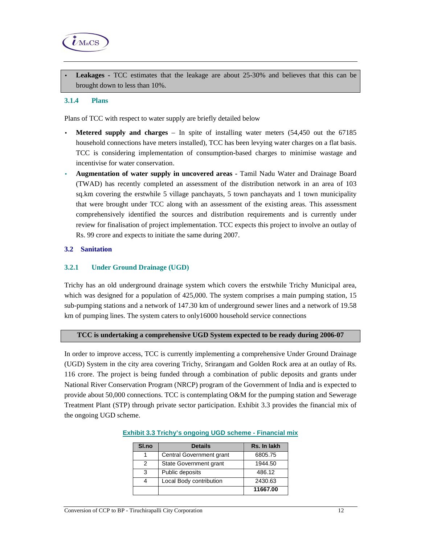

• **Leakages -** TCC estimates that the leakage are about 25-30% and believes that this can be brought down to less than 10%.

#### **3.1.4 Plans**

Plans of TCC with respect to water supply are briefly detailed below

- **Metered supply and charges**  In spite of installing water meters (54,450 out the 67185 household connections have meters installed), TCC has been levying water charges on a flat basis. TCC is considering implementation of consumption-based charges to minimise wastage and incentivise for water conservation.
- **Augmentation of water supply in uncovered areas** Tamil Nadu Water and Drainage Board (TWAD) has recently completed an assessment of the distribution network in an area of 103 sq.km covering the erstwhile 5 village panchayats, 5 town panchayats and 1 town municipality that were brought under TCC along with an assessment of the existing areas. This assessment comprehensively identified the sources and distribution requirements and is currently under review for finalisation of project implementation. TCC expects this project to involve an outlay of Rs. 99 crore and expects to initiate the same during 2007.

## **3.2 Sanitation**

### **3.2.1 Under Ground Drainage (UGD)**

Trichy has an old underground drainage system which covers the erstwhile Trichy Municipal area, which was designed for a population of 425,000. The system comprises a main pumping station, 15 sub-pumping stations and a network of 147.30 km of underground sewer lines and a network of 19.58 km of pumping lines. The system caters to only16000 household service connections

## **TCC is undertaking a comprehensive UGD System expected to be ready during 2006-07**

In order to improve access, TCC is currently implementing a comprehensive Under Ground Drainage (UGD) System in the city area covering Trichy, Srirangam and Golden Rock area at an outlay of Rs. 116 crore. The project is being funded through a combination of public deposits and grants under National River Conservation Program (NRCP) program of the Government of India and is expected to provide about 50,000 connections. TCC is contemplating O&M for the pumping station and Sewerage Treatment Plant (STP) through private sector participation. Exhibit 3.3 provides the financial mix of the ongoing UGD scheme.

| SI.no | <b>Details</b>           | Rs. In lakh |
|-------|--------------------------|-------------|
|       | Central Government grant | 6805.75     |
| 2     | State Government grant   | 1944.50     |
| 3     | Public deposits          | 486.12      |
|       | Local Body contribution  | 2430.63     |
|       |                          | 11667.00    |

#### **Exhibit 3.3 Trichy's ongoing UGD scheme - Financial mix**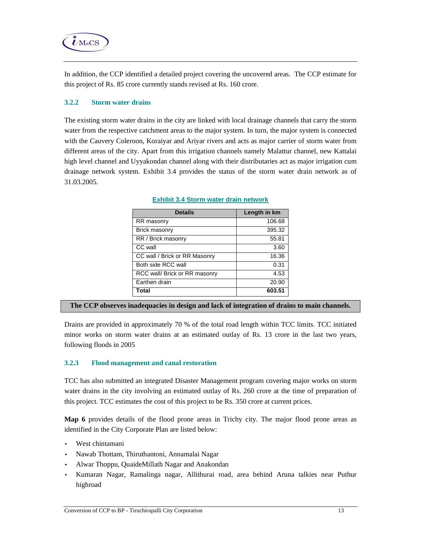

In addition, the CCP identified a detailed project covering the uncovered areas. The CCP estimate for this project of Rs. 85 crore currently stands revised at Rs. 160 crore.

## **3.2.2 Storm water drains**

The existing storm water drains in the city are linked with local drainage channels that carry the storm water from the respective catchment areas to the major system. In turn, the major system is connected with the Cauvery Coleroon, Koraiyar and Ariyar rivers and acts as major carrier of storm water from different areas of the city. Apart from this irrigation channels namely Malattur channel, new Kattalai high level channel and Uyyakondan channel along with their distributaries act as major irrigation cum drainage network system. Exhibit 3.4 provides the status of the storm water drain network as of 31.03.2005.

| <b>Details</b>                | Length in km |
|-------------------------------|--------------|
| RR masonry                    | 106.68       |
| <b>Brick masonry</b>          | 395.32       |
| RR / Brick masonry            | 55.81        |
| CC wall                       | 3.60         |
| CC wall / Brick or RR Masonry | 16.36        |
| Both side RCC wall            | 0.31         |
| RCC wall/ Brick or RR masonry | 4.53         |
| Earthen drain                 | 20.90        |
| Total                         | 603.51       |

#### **Exhibit 3.4 Storm water drain network**

#### **The CCP observes inadequacies in design and lack of integration of drains to main channels.**

Drains are provided in approximately 70 % of the total road length within TCC limits. TCC initiated minor works on storm water drains at an estimated outlay of Rs. 13 crore in the last two years, following floods in 2005

#### **3.2.3 Flood management and canal restoration**

TCC has also submitted an integrated Disaster Management program covering major works on storm water drains in the city involving an estimated outlay of Rs. 260 crore at the time of preparation of this project. TCC estimates the cost of this project to be Rs. 350 crore at current prices.

**Map 6** provides details of the flood prone areas in Trichy city. The major flood prone areas as identified in the City Corporate Plan are listed below:

- West chintamani
- Nawab Thottam, Thiruthantoni, Annamalai Nagar
- Alwar Thoppu, QuaideMillath Nagar and Anakondan
- Kumaran Nagar, Ramalinga nagar, Allithurai road, area behind Aruna talkies near Puthur highroad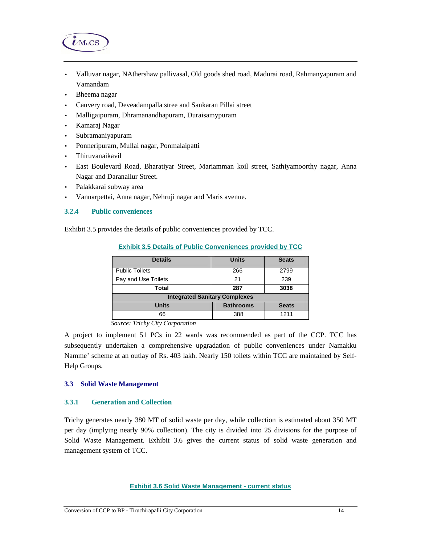

- Valluvar nagar, NAthershaw pallivasal, Old goods shed road, Madurai road, Rahmanyapuram and Vamandam
- Bheema nagar
- Cauvery road, Deveadampalla stree and Sankaran Pillai street
- Malligaipuram, Dhramanandhapuram, Duraisamypuram
- Kamaraj Nagar
- Subramaniyapuram
- Ponneripuram, Mullai nagar, Ponmalaipatti
- Thiruvanaikavil
- East Boulevard Road, Bharatiyar Street, Mariamman koil street, Sathiyamoorthy nagar, Anna Nagar and Daranallur Street.
- Palakkarai subway area
- Vannarpettai, Anna nagar, Nehruji nagar and Maris avenue.

#### **3.2.4 Public conveniences**

Exhibit 3.5 provides the details of public conveniences provided by TCC.

| <b>Details</b>                       | <b>Units</b>     | <b>Seats</b> |  |  |
|--------------------------------------|------------------|--------------|--|--|
| <b>Public Toilets</b>                | 266              | 2799         |  |  |
| Pay and Use Toilets                  | 21               | 239          |  |  |
| Total                                | 287              | 3038         |  |  |
| <b>Integrated Sanitary Complexes</b> |                  |              |  |  |
| <b>Units</b>                         | <b>Bathrooms</b> | <b>Seats</b> |  |  |
| 66                                   | 388              | 1211         |  |  |

**Exhibit 3.5 Details of Public Conveniences provided by TCC**

A project to implement 51 PCs in 22 wards was recommended as part of the CCP. TCC has subsequently undertaken a comprehensive upgradation of public conveniences under Namakku Namme' scheme at an outlay of Rs. 403 lakh. Nearly 150 toilets within TCC are maintained by Self-Help Groups.

#### **3.3 Solid Waste Management**

### **3.3.1 Generation and Collection**

Trichy generates nearly 380 MT of solid waste per day, while collection is estimated about 350 MT per day (implying nearly 90% collection). The city is divided into 25 divisions for the purpose of Solid Waste Management. Exhibit 3.6 gives the current status of solid waste generation and management system of TCC.

#### **Exhibit 3.6 Solid Waste Management - current status**

*Source: Trichy City Corporation*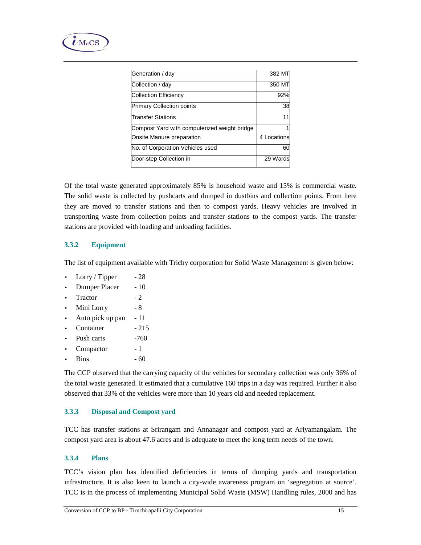

| Generation / day                             | 382 MT      |
|----------------------------------------------|-------------|
| Collection / day                             | 350 MT      |
| <b>Collection Efficiency</b>                 | 92%         |
| <b>Primary Collection points</b>             | 38          |
| Transfer Stations                            | 11          |
| Compost Yard with computerized weight bridge |             |
| Onsite Manure preparation                    | 4 Locations |
| No. of Corporation Vehicles used             | 60          |
| Door-step Collection in                      | 29 Wards    |

Of the total waste generated approximately 85% is household waste and 15% is commercial waste. The solid waste is collected by pushcarts and dumped in dustbins and collection points. From here they are moved to transfer stations and then to compost yards. Heavy vehicles are involved in transporting waste from collection points and transfer stations to the compost yards. The transfer stations are provided with loading and unloading facilities.

## **3.3.2 Equipment**

The list of equipment available with Trichy corporation for Solid Waste Management is given below:

- Lorry / Tipper  $-28$
- Dumper Placer 10
- Tractor 2
- Mini Lorry 8
- Auto pick up pan 11
- Container  $-215$
- Push carts -760
- Compactor 1
- Bins  $-60$

The CCP observed that the carrying capacity of the vehicles for secondary collection was only 36% of the total waste generated. It estimated that a cumulative 160 trips in a day was required. Further it also observed that 33% of the vehicles were more than 10 years old and needed replacement.

### **3.3.3 Disposal and Compost yard**

TCC has transfer stations at Srirangam and Annanagar and compost yard at Ariyamangalam. The compost yard area is about 47.6 acres and is adequate to meet the long term needs of the town.

#### **3.3.4 Plans**

TCC's vision plan has identified deficiencies in terms of dumping yards and transportation infrastructure. It is also keen to launch a city-wide awareness program on 'segregation at source'. TCC is in the process of implementing Municipal Solid Waste (MSW) Handling rules, 2000 and has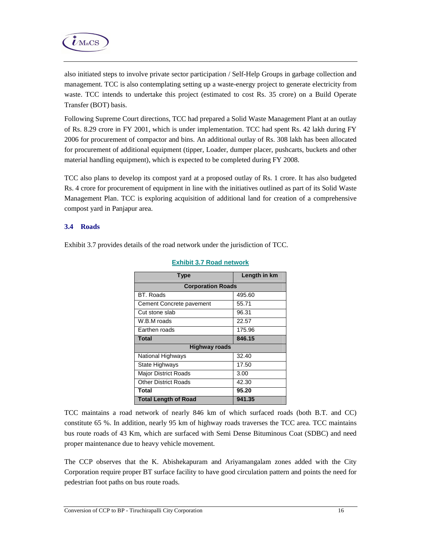

also initiated steps to involve private sector participation / Self-Help Groups in garbage collection and management. TCC is also contemplating setting up a waste-energy project to generate electricity from waste. TCC intends to undertake this project (estimated to cost Rs. 35 crore) on a Build Operate Transfer (BOT) basis.

Following Supreme Court directions, TCC had prepared a Solid Waste Management Plant at an outlay of Rs. 8.29 crore in FY 2001, which is under implementation. TCC had spent Rs. 42 lakh during FY 2006 for procurement of compactor and bins. An additional outlay of Rs. 308 lakh has been allocated for procurement of additional equipment (tipper, Loader, dumper placer, pushcarts, buckets and other material handling equipment), which is expected to be completed during FY 2008.

TCC also plans to develop its compost yard at a proposed outlay of Rs. 1 crore. It has also budgeted Rs. 4 crore for procurement of equipment in line with the initiatives outlined as part of its Solid Waste Management Plan. TCC is exploring acquisition of additional land for creation of a comprehensive compost yard in Panjapur area.

### **3.4 Roads**

Exhibit 3.7 provides details of the road network under the jurisdiction of TCC.

| <b>Type</b>                 | Length in km |  |  |  |  |  |  |
|-----------------------------|--------------|--|--|--|--|--|--|
| <b>Corporation Roads</b>    |              |  |  |  |  |  |  |
| BT. Roads                   | 495.60       |  |  |  |  |  |  |
| Cement Concrete pavement    | 55.71        |  |  |  |  |  |  |
| Cut stone slab              | 96.31        |  |  |  |  |  |  |
| W.B.M roads                 | 22.57        |  |  |  |  |  |  |
| Earthen roads               | 175.96       |  |  |  |  |  |  |
| <b>Total</b>                | 846.15       |  |  |  |  |  |  |
| <b>Highway roads</b>        |              |  |  |  |  |  |  |
| National Highways           | 32.40        |  |  |  |  |  |  |
| State Highways              | 17.50        |  |  |  |  |  |  |
| <b>Major District Roads</b> | 3.00         |  |  |  |  |  |  |
| <b>Other District Roads</b> | 42.30        |  |  |  |  |  |  |
| Total                       | 95.20        |  |  |  |  |  |  |
| <b>Total Length of Road</b> | 941.35       |  |  |  |  |  |  |

### **Exhibit 3.7 Road network**

TCC maintains a road network of nearly 846 km of which surfaced roads (both B.T. and CC) constitute 65 %. In addition, nearly 95 km of highway roads traverses the TCC area. TCC maintains bus route roads of 43 Km, which are surfaced with Semi Dense Bituminous Coat (SDBC) and need proper maintenance due to heavy vehicle movement.

The CCP observes that the K. Abishekapuram and Ariyamangalam zones added with the City Corporation require proper BT surface facility to have good circulation pattern and points the need for pedestrian foot paths on bus route roads.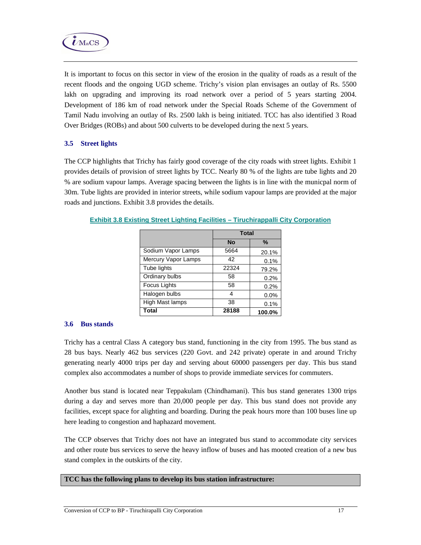

It is important to focus on this sector in view of the erosion in the quality of roads as a result of the recent floods and the ongoing UGD scheme. Trichy's vision plan envisages an outlay of Rs. 5500 lakh on upgrading and improving its road network over a period of 5 years starting 2004. Development of 186 km of road network under the Special Roads Scheme of the Government of Tamil Nadu involving an outlay of Rs. 2500 lakh is being initiated. TCC has also identified 3 Road Over Bridges (ROBs) and about 500 culverts to be developed during the next 5 years.

## **3.5 Street lights**

The CCP highlights that Trichy has fairly good coverage of the city roads with street lights. Exhibit 1 provides details of provision of street lights by TCC. Nearly 80 % of the lights are tube lights and 20 % are sodium vapour lamps. Average spacing between the lights is in line with the municpal norm of 30m. Tube lights are provided in interior streets, while sodium vapour lamps are provided at the major roads and junctions. Exhibit 3.8 provides the details.

|                     | <b>Total</b> |        |  |
|---------------------|--------------|--------|--|
|                     | <b>No</b>    | $\%$   |  |
| Sodium Vapor Lamps  | 5664         | 20.1%  |  |
| Mercury Vapor Lamps | 42           | 0.1%   |  |
| Tube lights         | 22324        | 79.2%  |  |
| Ordinary bulbs      | 58           | 0.2%   |  |
| Focus Lights        | 58           | 0.2%   |  |
| Halogen bulbs       | 4            | 0.0%   |  |
| High Mast lamps     | 38           | 0.1%   |  |
| Total               | 28188        | 100.0% |  |

**Exhibit 3.8 Existing Street Lighting Facilities – Tiruchirappalli City Corporation**

## **3.6 Bus stands**

Trichy has a central Class A category bus stand, functioning in the city from 1995. The bus stand as 28 bus bays. Nearly 462 bus services (220 Govt. and 242 private) operate in and around Trichy generating nearly 4000 trips per day and serving about 60000 passengers per day. This bus stand complex also accommodates a number of shops to provide immediate services for commuters.

Another bus stand is located near Teppakulam (Chindhamani). This bus stand generates 1300 trips during a day and serves more than 20,000 people per day. This bus stand does not provide any facilities, except space for alighting and boarding. During the peak hours more than 100 buses line up here leading to congestion and haphazard movement.

The CCP observes that Trichy does not have an integrated bus stand to accommodate city services and other route bus services to serve the heavy inflow of buses and has mooted creation of a new bus stand complex in the outskirts of the city.

## **TCC has the following plans to develop its bus station infrastructure:**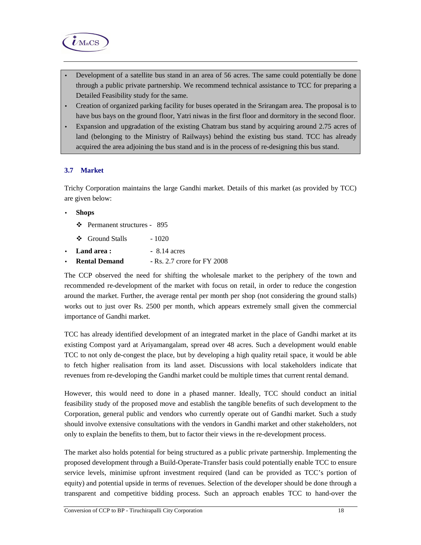

- Development of a satellite bus stand in an area of 56 acres. The same could potentially be done through a public private partnership. We recommend technical assistance to TCC for preparing a Detailed Feasibility study for the same.
- Creation of organized parking facility for buses operated in the Srirangam area. The proposal is to have bus bays on the ground floor, Yatri niwas in the first floor and dormitory in the second floor.
- Expansion and upgradation of the existing Chatram bus stand by acquiring around 2.75 acres of land (belonging to the Ministry of Railways) behind the existing bus stand. TCC has already acquired the area adjoining the bus stand and is in the process of re-designing this bus stand.

## **3.7 Market**

Trichy Corporation maintains the large Gandhi market. Details of this market (as provided by TCC) are given below:

#### • **Shops**

- Permanent structures 895
- $\div$  Ground Stalls 1020
- **Land area :** 8.14 acres
- **Rental Demand** Rs. 2.7 crore for FY 2008

The CCP observed the need for shifting the wholesale market to the periphery of the town and recommended re-development of the market with focus on retail, in order to reduce the congestion around the market. Further, the average rental per month per shop (not considering the ground stalls) works out to just over Rs. 2500 per month, which appears extremely small given the commercial importance of Gandhi market.

TCC has already identified development of an integrated market in the place of Gandhi market at its existing Compost yard at Ariyamangalam, spread over 48 acres. Such a development would enable TCC to not only de-congest the place, but by developing a high quality retail space, it would be able to fetch higher realisation from its land asset. Discussions with local stakeholders indicate that revenues from re-developing the Gandhi market could be multiple times that current rental demand.

However, this would need to done in a phased manner. Ideally, TCC should conduct an initial feasibility study of the proposed move and establish the tangible benefits of such development to the Corporation, general public and vendors who currently operate out of Gandhi market. Such a study should involve extensive consultations with the vendors in Gandhi market and other stakeholders, not only to explain the benefits to them, but to factor their views in the re-development process.

The market also holds potential for being structured as a public private partnership. Implementing the proposed development through a Build-Operate-Transfer basis could potentially enable TCC to ensure service levels, minimise upfront investment required (land can be provided as TCC's portion of equity) and potential upside in terms of revenues. Selection of the developer should be done through a transparent and competitive bidding process. Such an approach enables TCC to hand-over the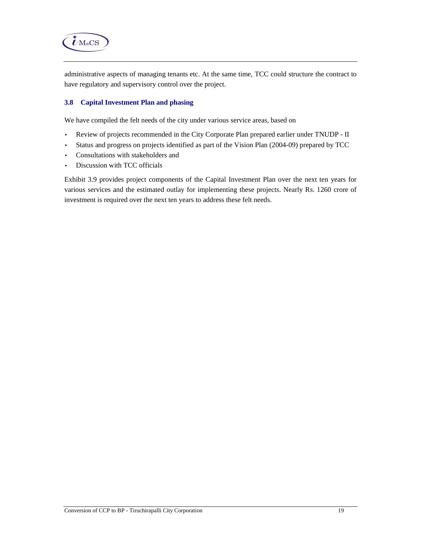

administrative aspects of managing tenants etc. At the same time, TCC could structure the contract to have regulatory and supervisory control over the project.

## **3.8 Capital Investment Plan and phasing**

We have compiled the felt needs of the city under various service areas, based on

- Review of projects recommended in the City Corporate Plan prepared earlier under TNUDP II
- Status and progress on projects identified as part of the Vision Plan (2004-09) prepared by TCC
- Consultations with stakeholders and
- Discussion with TCC officials

Exhibit 3.9 provides project components of the Capital Investment Plan over the next ten years for various services and the estimated outlay for implementing these projects. Nearly Rs. 1260 crore of investment is required over the next ten years to address these felt needs.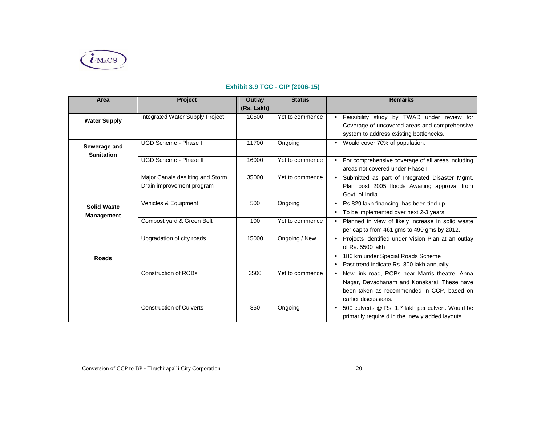

# **Exhibit 3.9 TCC - CIP (2006-15)**

| Area                                    | <b>Project</b>                                                | Outlay     | <b>Status</b>   | <b>Remarks</b>                                                                                                                                                                  |
|-----------------------------------------|---------------------------------------------------------------|------------|-----------------|---------------------------------------------------------------------------------------------------------------------------------------------------------------------------------|
|                                         |                                                               | (Rs. Lakh) |                 |                                                                                                                                                                                 |
| <b>Water Supply</b>                     | Integrated Water Supply Project                               | 10500      | Yet to commence | • Feasibility study by TWAD under review for<br>Coverage of uncovered areas and comprehensive<br>system to address existing bottlenecks.                                        |
| Sewerage and<br><b>Sanitation</b>       | UGD Scheme - Phase I                                          | 11700      | Ongoing         | • Would cover 70% of population.                                                                                                                                                |
|                                         | UGD Scheme - Phase II                                         | 16000      | Yet to commence | • For comprehensive coverage of all areas including<br>areas not covered under Phase I                                                                                          |
|                                         | Major Canals desilting and Storm<br>Drain improvement program | 35000      | Yet to commence | • Submitted as part of Integrated Disaster Mgmt.<br>Plan post 2005 floods Awaiting approval from<br>Govt. of India                                                              |
| <b>Solid Waste</b><br><b>Management</b> | Vehicles & Equipment                                          | 500        | Ongoing         | • Rs.829 lakh financing has been tied up<br>To be implemented over next 2-3 years<br>٠                                                                                          |
|                                         | Compost yard & Green Belt                                     | 100        | Yet to commence | • Planned in view of likely increase in solid waste<br>per capita from 461 gms to 490 gms by 2012.                                                                              |
| <b>Roads</b>                            | Upgradation of city roads                                     | 15000      | Ongoing / New   | • Projects identified under Vision Plan at an outlay<br>of Rs. 5500 lakh<br>186 km under Special Roads Scheme<br>٠<br>Past trend indicate Rs. 800 lakh annually                 |
|                                         | <b>Construction of ROBs</b>                                   | 3500       | Yet to commence | New link road, ROBs near Marris theatre, Anna<br>$\bullet$<br>Nagar, Devadhanam and Konakarai. These have<br>been taken as recommended in CCP, based on<br>earlier discussions. |
|                                         | <b>Construction of Culverts</b>                               | 850        | Ongoing         | • 500 culverts @ Rs. 1.7 lakh per culvert. Would be<br>primarily require d in the newly added layouts.                                                                          |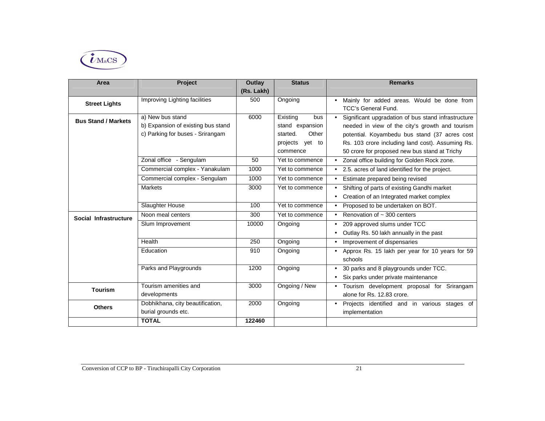

| Area                       | <b>Project</b>                     | Outlay     | <b>Status</b>     | <b>Remarks</b>                                      |
|----------------------------|------------------------------------|------------|-------------------|-----------------------------------------------------|
|                            |                                    | (Rs. Lakh) |                   |                                                     |
| <b>Street Lights</b>       | Improving Lighting facilities      | 500        | Ongoing           | • Mainly for added areas. Would be done from        |
|                            |                                    |            |                   | <b>TCC's General Fund.</b>                          |
| <b>Bus Stand / Markets</b> | a) New bus stand                   | 6000       | Existing<br>bus   | Significant upgradation of bus stand infrastructure |
|                            | b) Expansion of existing bus stand |            | stand expansion   | needed in view of the city's growth and tourism     |
|                            | c) Parking for buses - Srirangam   |            | Other<br>started. | potential. Koyambedu bus stand (37 acres cost       |
|                            |                                    |            | projects yet to   | Rs. 103 crore including land cost). Assuming Rs.    |
|                            |                                    |            | commence          | 50 crore for proposed new bus stand at Trichy       |
|                            | Zonal office - Sengulam            | 50         | Yet to commence   | • Zonal office building for Golden Rock zone.       |
|                            | Commercial complex - Yanakulam     | 1000       | Yet to commence   | • 2.5. acres of land identified for the project.    |
|                            | Commercial complex - Sengulam      | 1000       | Yet to commence   | Estimate prepared being revised                     |
|                            | Markets                            | 3000       | Yet to commence   | Shifting of parts of existing Gandhi market         |
|                            |                                    |            |                   | Creation of an Integrated market complex            |
|                            | Slaughter House                    | 100        | Yet to commence   | • Proposed to be undertaken on BOT.                 |
| Social Infrastructure      | Noon meal centers                  | 300        | Yet to commence   | • Renovation of $\sim$ 300 centers                  |
|                            | Slum Improvement                   | 10000      | Ongoing           | 209 approved slums under TCC                        |
|                            |                                    |            |                   | Outlay Rs. 50 lakh annually in the past             |
|                            | Health                             | 250        | Ongoing           | Improvement of dispensaries                         |
|                            | Education                          | 910        | Ongoing           | • Approx Rs. 15 lakh per year for 10 years for 59   |
|                            |                                    |            |                   | schools                                             |
|                            | Parks and Playgrounds              | 1200       | Ongoing           | 30 parks and 8 playgrounds under TCC.               |
|                            |                                    |            |                   | Six parks under private maintenance                 |
| <b>Tourism</b>             | Tourism amenities and              | 3000       | Ongoing / New     | • Tourism development proposal for Srirangam        |
|                            | developments                       |            |                   | alone for Rs. 12.83 crore.                          |
| <b>Others</b>              | Dobhikhana, city beautification,   | 2000       | Ongoing           | • Projects identified and in various stages of      |
|                            | burial grounds etc.                |            |                   | implementation                                      |
|                            | <b>TOTAL</b>                       | 122460     |                   |                                                     |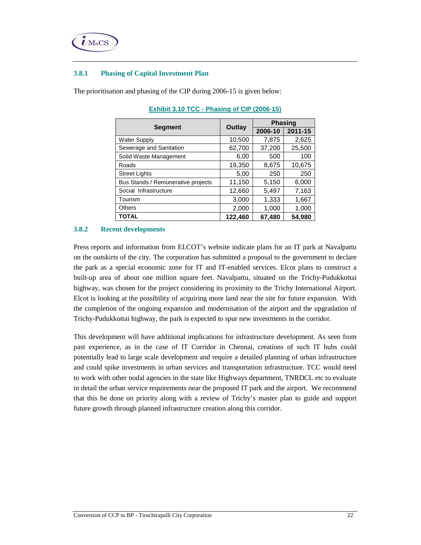

#### **3.8.1 Phasing of Capital Investment Plan**

The prioritisation and phasing of the CIP during 2006-15 is given below:

|                                    |         | <b>Phasing</b> |         |  |
|------------------------------------|---------|----------------|---------|--|
| <b>Segment</b>                     | Outlay  | 2006-10        | 2011-15 |  |
| <b>Water Supply</b>                | 10,500  | 7,875          | 2,625   |  |
| Sewerage and Sanitation            | 62,700  | 37,200         | 25,500  |  |
| Solid Waste Management             | 6,00    | 500            | 100     |  |
| Roads                              | 19,350  | 8,675          | 10,675  |  |
| <b>Street Lights</b>               | 5,00    | 250            | 250     |  |
| Bus Stands / Remunerative projects | 11,150  | 5,150          | 6,000   |  |
| Social Infrastructure              | 12,660  | 5,497          | 7,163   |  |
| Tourism                            | 3,000   | 1,333          | 1,667   |  |
| <b>Others</b>                      | 2,000   | 1,000          | 1,000   |  |
| <b>TOTAL</b>                       | 122,460 | 67,480         | 54,980  |  |

**Exhibit 3.10 TCC - Phasing of CIP (2006-15)** 

#### **3.8.2 Recent developments**

Press reports and information from ELCOT's website indicate plans for an IT park at Navalpattu on the outskirts of the city. The corporation has submitted a proposal to the government to declare the park as a special economic zone for IT and IT-enabled services. Elcot plans to construct a built-up area of about one million square feet. Navalpattu, situated on the Trichy-Pudukkottai highway, was chosen for the project considering its proximity to the Trichy International Airport. Elcot is looking at the possibility of acquiring more land near the site for future expansion. With the completion of the ongoing expansion and modernisation of the airport and the upgradation of Trichy-Pudukkottai highway, the park is expected to spur new investments in the corridor.

This development will have additional implications for infrastructure development. As seen from past experience, as in the case of IT Corridor in Chennai, creations of such IT hubs could potentially lead to large scale development and require a detailed planning of urban infrastructure and could spike investments in urban services and transportation infrastructure. TCC would need to work with other nodal agencies in the state like Highways department, TNRDCL etc to evaluate in detail the urban service requirements near the proposed IT park and the airport. We recommend that this be done on priority along with a review of Trichy's master plan to guide and support future growth through planned infrastructure creation along this corridor.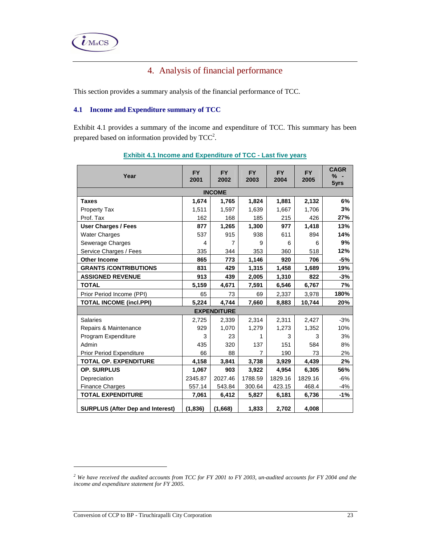

# 4. Analysis of financial performance

This section provides a summary analysis of the financial performance of TCC.

## **4.1 Income and Expenditure summary of TCC**

Exhibit 4.1 provides a summary of the income and expenditure of TCC. This summary has been prepared based on information provided by  $TCC<sup>2</sup>$ .

| Year                                    | <b>FY</b><br>2001 | <b>FY</b><br>2002  | <b>FY</b><br>2003 | <b>FY</b><br>2004 | <b>FY</b><br>2005 | <b>CAGR</b><br>% -<br>5yrs |
|-----------------------------------------|-------------------|--------------------|-------------------|-------------------|-------------------|----------------------------|
|                                         |                   | <b>INCOME</b>      |                   |                   |                   |                            |
| <b>Taxes</b>                            | 1,674             | 1,765              | 1,824             | 1,881             | 2,132             | 6%                         |
| <b>Property Tax</b>                     | 1,511             | 1,597              | 1,639             | 1,667             | 1,706             | 3%                         |
| Prof. Tax                               | 162               | 168                | 185               | 215               | 426               | 27%                        |
| <b>User Charges / Fees</b>              | 877               | 1,265              | 1,300             | 977               | 1,418             | 13%                        |
| <b>Water Charges</b>                    | 537               | 915                | 938               | 611               | 894               | 14%                        |
| Sewerage Charges                        | 4                 | $\overline{7}$     | 9                 | 6                 | 6                 | 9%                         |
| Service Charges / Fees                  | 335               | 344                | 353               | 360               | 518               | 12%                        |
| <b>Other Income</b>                     | 865               | 773                | 1,146             | 920               | 706               | $-5%$                      |
| <b>GRANTS /CONTRIBUTIONS</b>            | 831               | 429                | 1,315             | 1,458             | 1,689             | 19%                        |
| <b>ASSIGNED REVENUE</b>                 | 913               | 439                | 2,005             | 1,310             | 822               | $-3%$                      |
| <b>TOTAL</b>                            | 5,159             | 4,671              | 7,591             | 6,546             | 6,767             | 7%                         |
| Prior Period Income (PPI)               | 65                | 73                 | 69                | 2,337             | 3,978             | 180%                       |
| <b>TOTAL INCOME (incl.PPI)</b>          | 5,224             | 4,744              | 7,660             | 8,883             | 10,744            | 20%                        |
|                                         |                   | <b>EXPENDITURE</b> |                   |                   |                   |                            |
| Salaries                                | 2,725             | 2,339              | 2,314             | 2,311             | 2,427             | $-3%$                      |
| Repairs & Maintenance                   | 929               | 1,070              | 1,279             | 1,273             | 1,352             | 10%                        |
| Program Expenditure                     | 3                 | 23                 | 1                 | 3                 | 3                 | 3%                         |
| Admin                                   | 435               | 320                | 137               | 151               | 584               | 8%                         |
| Prior Period Expenditure                | 66                | 88                 | $\overline{7}$    | 190               | 73                | 2%                         |
| TOTAL OP. EXPENDITURE                   | 4,158             | 3,841              | 3,738             | 3,929             | 4,439             | 2%                         |
| <b>OP. SURPLUS</b>                      | 1,067             | 903                | 3,922             | 4,954             | 6,305             | 56%                        |
| Depreciation                            | 2345.87           | 2027.46            | 1788.59           | 1829.16           | 1829.16           | $-6%$                      |
| <b>Finance Charges</b>                  | 557.14            | 543.84             | 300.64            | 423.15            | 468.4             | $-4%$                      |
| <b>TOTAL EXPENDITURE</b>                | 7,061             | 6,412              | 5,827             | 6,181             | 6,736             | $-1%$                      |
| <b>SURPLUS (After Dep and Interest)</b> | (1,836)           | (1,668)            | 1,833             | 2,702             | 4,008             |                            |

## **Exhibit 4.1 Income and Expenditure of TCC - Last five years**

-

<sup>&</sup>lt;sup>2</sup> We have received the audited accounts from TCC for FY 2001 to FY 2003, un-audited accounts for FY 2004 and the *income and expenditure statement for FY 2005.*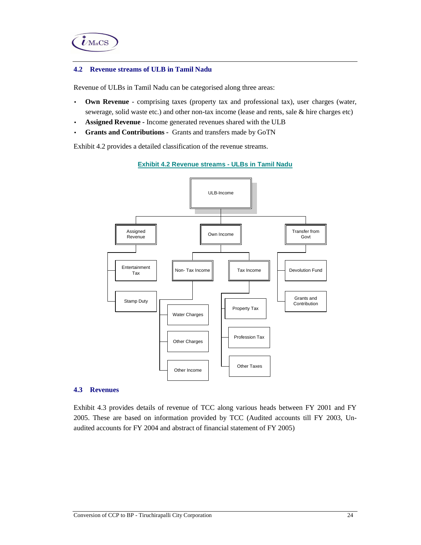

#### **4.2 Revenue streams of ULB in Tamil Nadu**

Revenue of ULBs in Tamil Nadu can be categorised along three areas:

- **Own Revenue**  comprising taxes (property tax and professional tax), user charges (water, sewerage, solid waste etc.) and other non-tax income (lease and rents, sale & hire charges etc)
- **Assigned Revenue** Income generated revenues shared with the ULB
- **Grants and Contributions** Grants and transfers made by GoTN

Exhibit 4.2 provides a detailed classification of the revenue streams.

#### **Exhibit 4.2 Revenue streams - ULBs in Tamil Nadu**



#### **4.3 Revenues**

Exhibit 4.3 provides details of revenue of TCC along various heads between FY 2001 and FY 2005. These are based on information provided by TCC (Audited accounts till FY 2003, Unaudited accounts for FY 2004 and abstract of financial statement of FY 2005)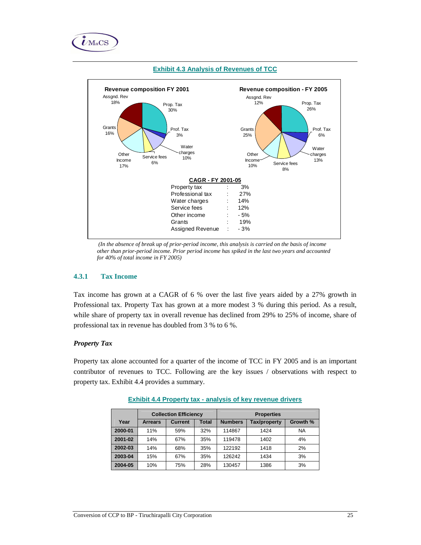



#### **Exhibit 4.3 Analysis of Revenues of TCC**

 *(In the absence of break up of prior-period income, this analysis is carried on the basis of income other than prior-period income. Prior period income has spiked in the last two years and accounted for 40% of total income in FY 2005)* 

### **4.3.1 Tax Income**

Tax income has grown at a CAGR of 6 % over the last five years aided by a 27% growth in Professional tax. Property Tax has grown at a more modest 3 % during this period. As a result, while share of property tax in overall revenue has declined from 29% to 25% of income, share of professional tax in revenue has doubled from 3 % to 6 %.

#### *Property Tax*

Property tax alone accounted for a quarter of the income of TCC in FY 2005 and is an important contributor of revenues to TCC. Following are the key issues / observations with respect to property tax. Exhibit 4.4 provides a summary.

|         |                | <b>Collection Efficiency</b><br><b>Properties</b> |              |                |                     |           |
|---------|----------------|---------------------------------------------------|--------------|----------------|---------------------|-----------|
| Year    | <b>Arrears</b> | <b>Current</b>                                    | <b>Total</b> | <b>Numbers</b> | <b>Tax/property</b> | Growth %  |
| 2000-01 | 11%            | 59%                                               | 32%          | 114867         | 1424                | <b>NA</b> |
| 2001-02 | 14%            | 67%                                               | 35%          | 119478         | 1402                | 4%        |
| 2002-03 | 14%            | 68%                                               | 35%          | 122192         | 1418                | 2%        |
| 2003-04 | 15%            | 67%                                               | 35%          | 126242         | 1434                | 3%        |
| 2004-05 | 10%            | 75%                                               | 28%          | 130457         | 1386                | 3%        |

#### **Exhibit 4.4 Property tax - analysis of key revenue drivers**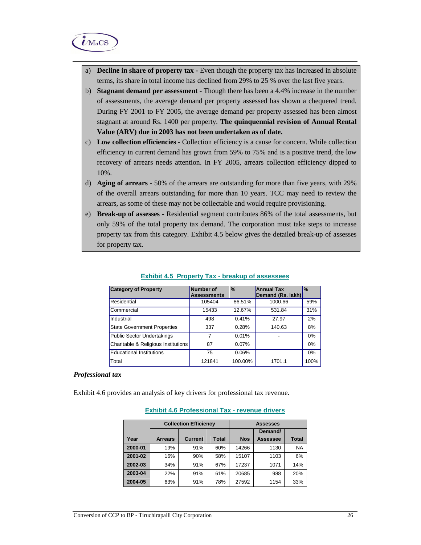

- a) **Decline in share of property tax** Even though the property tax has increased in absolute terms, its share in total income has declined from 29% to 25 % over the last five years.
- b) **Stagnant demand per assessment** Though there has been a 4.4% increase in the number of assessments, the average demand per property assessed has shown a chequered trend. During FY 2001 to FY 2005, the average demand per property assessed has been almost stagnant at around Rs. 1400 per property. **The quinquennial revision of Annual Rental Value (ARV) due in 2003 has not been undertaken as of date.**
- c) **Low collection efficiencies** Collection efficiency is a cause for concern. While collection efficiency in current demand has grown from 59% to 75% and is a positive trend, the low recovery of arrears needs attention. In FY 2005, arrears collection efficiency dipped to 10%.
- d) **Aging of arrears -** 50% of the arrears are outstanding for more than five years, with 29% of the overall arrears outstanding for more than 10 years. TCC may need to review the arrears, as some of these may not be collectable and would require provisioning.
- e) **Break-up of assesses** Residential segment contributes 86% of the total assessments, but only 59% of the total property tax demand. The corporation must take steps to increase property tax from this category. Exhibit 4.5 below gives the detailed break-up of assesses for property tax.

| <b>Category of Property</b>         | <b>Number of</b><br><b>Assessments</b> | $\frac{9}{6}$ | <b>Annual Tax</b><br>Demand (Rs. lakh) | l%   |
|-------------------------------------|----------------------------------------|---------------|----------------------------------------|------|
| Residential                         | 105404                                 | 86.51%        | 1000.66                                | 59%  |
| Commercial                          | 15433                                  | 12.67%        | 531.84                                 | 31%  |
| Industrial                          | 498                                    | 0.41%         | 27.97                                  | 2%   |
| <b>State Government Properties</b>  | 337                                    | 0.28%         | 140.63                                 | 8%   |
| <b>Public Sector Undertakings</b>   | 7                                      | 0.01%         |                                        | 0%   |
| Charitable & Religious Institutions | 87                                     | 0.07%         |                                        | 0%   |
| <b>Educational Institutions</b>     | 75                                     | 0.06%         |                                        | 0%   |
| Total                               | 121841                                 | 100.00%       | 1701.1                                 | 100% |

#### **Exhibit 4.5 Property Tax - breakup of assessees**

#### *Professional tax*

Exhibit 4.6 provides an analysis of key drivers for professional tax revenue.

#### **Exhibit 4.6 Professional Tax - revenue drivers**

|         |                | <b>Collection Efficiency</b> |       |            | <b>Assesses</b> |              |  |
|---------|----------------|------------------------------|-------|------------|-----------------|--------------|--|
|         |                |                              |       |            | Demand/         |              |  |
| Year    | <b>Arrears</b> | <b>Current</b>               | Total | <b>Nos</b> | Assessee        | <b>Total</b> |  |
| 2000-01 | 19%            | 91%                          | 60%   | 14266      | 1130            | <b>NA</b>    |  |
| 2001-02 | 16%            | 90%                          | 58%   | 15107      | 1103            | 6%           |  |
| 2002-03 | 34%            | 91%                          | 67%   | 17237      | 1071            | 14%          |  |
| 2003-04 | 22%            | 91%                          | 61%   | 20685      | 988             | 20%          |  |
| 2004-05 | 63%            | 91%                          | 78%   | 27592      | 1154            | 33%          |  |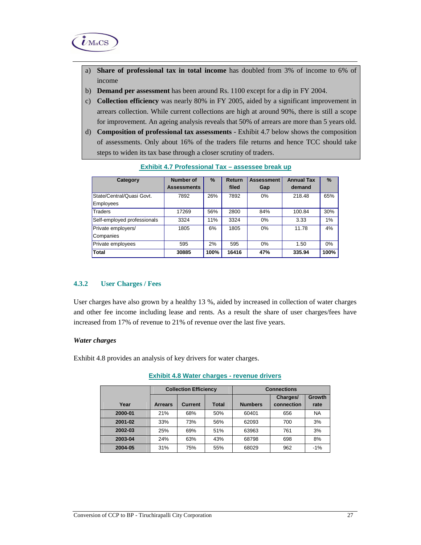

- a) **Share of professional tax in total income** has doubled from 3% of income to 6% of income
- b) **Demand per assessment** has been around Rs. 1100 except for a dip in FY 2004.
- c) **Collection efficiency** was nearly 80% in FY 2005, aided by a significant improvement in arrears collection. While current collections are high at around 90%, there is still a scope for improvement. An ageing analysis reveals that 50% of arrears are more than 5 years old.
- d) **Composition of professional tax assessments**  Exhibit 4.7 below shows the composition of assessments. Only about 16% of the traders file returns and hence TCC should take steps to widen its tax base through a closer scrutiny of traders.

| Category                    | Number of          | $\%$ | <b>Return</b> | <b>Assessment</b> | <b>Annual Tax</b> | %     |
|-----------------------------|--------------------|------|---------------|-------------------|-------------------|-------|
|                             | <b>Assessments</b> |      | filed         | Gap               | demand            |       |
| State/Central/Quasi Govt.   | 7892               | 26%  | 7892          | 0%                | 218.48            | 65%   |
| Employees                   |                    |      |               |                   |                   |       |
| Traders                     | 17269              | 56%  | 2800          | 84%               | 100.84            | 30%   |
| Self-employed professionals | 3324               | 11%  | 3324          | 0%                | 3.33              | 1%    |
| Private employers/          | 1805               | 6%   | 1805          | 0%                | 11.78             | 4%    |
| Companies                   |                    |      |               |                   |                   |       |
| Private employees           | 595                | 2%   | 595           | 0%                | 1.50              | $0\%$ |
| Total                       | 30885              | 100% | 16416         | 47%               | 335.94            | 100%  |

#### **Exhibit 4.7 Professional Tax – assessee break up**

## **4.3.2 User Charges / Fees**

User charges have also grown by a healthy 13 %, aided by increased in collection of water charges and other fee income including lease and rents. As a result the share of user charges/fees have increased from 17% of revenue to 21% of revenue over the last five years.

#### *Water charges*

Exhibit 4.8 provides an analysis of key drivers for water charges.

|         |                | <b>Collection Efficiency</b> |       | <b>Connections</b> |            |           |  |  |  |
|---------|----------------|------------------------------|-------|--------------------|------------|-----------|--|--|--|
|         |                |                              |       |                    | Charges/   | Growth    |  |  |  |
| Year    | <b>Arrears</b> | Current                      | Total | <b>Numbers</b>     | connection | rate      |  |  |  |
| 2000-01 | 21%            | 68%                          | 50%   | 60401              | 656        | <b>NA</b> |  |  |  |
| 2001-02 | 33%            | 73%                          | 56%   | 62093              | 700        | 3%        |  |  |  |
| 2002-03 | 25%            | 69%                          | 51%   | 63963              | 761        | 3%        |  |  |  |
| 2003-04 | 24%            | 63%                          | 43%   | 68798              | 698        | 8%        |  |  |  |
| 2004-05 | 31%            | 75%                          | 55%   | 68029              | 962        | $-1%$     |  |  |  |

#### **Exhibit 4.8 Water charges - revenue drivers**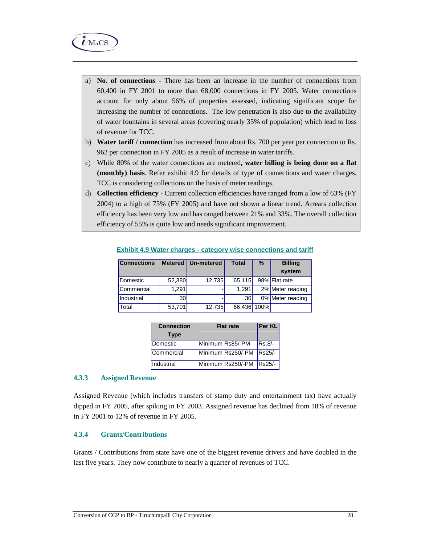

- a) **No. of connections** There has been an increase in the number of connections from 60,400 in FY 2001 to more than 68,000 connections in FY 2005. Water connections account for only about 56% of properties assessed, indicating significant scope for increasing the number of connections. The low penetration is also due to the availability of water fountains in several areas (covering nearly 35% of population) which lead to loss of revenue for TCC.
- b) **Water tariff / connection** has increased from about Rs. 700 per year per connection to Rs. 962 per connection in FY 2005 as a result of increase in water tariffs.
- c) While 80% of the water connections are metered**, water billing is being done on a flat (monthly) basis**. Refer exhibit 4.9 for details of type of connections and water charges. TCC is considering collections on the basis of meter readings.
- d) **Collection efficiency** Current collection efficiencies have ranged from a low of 63% (FY 2004) to a high of 75% (FY 2005) and have not shown a linear trend. Arrears collection efficiency has been very low and has ranged between 21% and 33%. The overall collection efficiency of 55% is quite low and needs significant improvement.

| <b>Connections</b> |        | Metered   Un-metered | <b>Total</b> | $\%$ | <b>Billing</b>   |
|--------------------|--------|----------------------|--------------|------|------------------|
|                    |        |                      |              |      | system           |
| Domestic           | 52,380 | 12,735               | 65,115       |      | 98% Flat rate    |
| Commercial         | 1,291  |                      | 1.291        |      | 2% Meter reading |
| Industrial         | 30     |                      | 30           |      | 0% Meter reading |
| Total              | 53,701 | 12,735               | 66,436 100%  |      |                  |

**Exhibit 4.9 Water charges - category wise connections and tariff**

| <b>Connection</b> | <b>Flat rate</b>         | <b>Per KL</b> |
|-------------------|--------------------------|---------------|
| <b>Type</b>       |                          |               |
| Domestic          | Minimum Rs85/-PM         | $RS.8/-$      |
| Commercial        | Minimum Rs250/-PM        | Rs25/-        |
| Industrial        | Minimum Rs250/-PM Rs25/- |               |

#### **4.3.3 Assigned Revenue**

Assigned Revenue (which includes transfers of stamp duty and entertainment tax) have actually dipped in FY 2005, after spiking in FY 2003. Assigned revenue has declined from 18% of revenue in FY 2001 to 12% of revenue in FY 2005.

#### **4.3.4 Grants/Contributions**

Grants / Contributions from state have one of the biggest revenue drivers and have doubled in the last five years. They now contribute to nearly a quarter of revenues of TCC.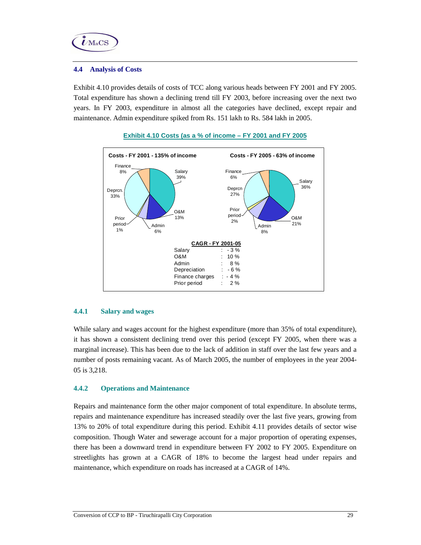

#### **4.4 Analysis of Costs**

Exhibit 4.10 provides details of costs of TCC along various heads between FY 2001 and FY 2005. Total expenditure has shown a declining trend till FY 2003, before increasing over the next two years. In FY 2003, expenditure in almost all the categories have declined, except repair and maintenance. Admin expenditure spiked from Rs. 151 lakh to Rs. 584 lakh in 2005.





## **4.4.1 Salary and wages**

While salary and wages account for the highest expenditure (more than 35% of total expenditure), it has shown a consistent declining trend over this period (except FY 2005, when there was a marginal increase). This has been due to the lack of addition in staff over the last few years and a number of posts remaining vacant. As of March 2005, the number of employees in the year 2004- 05 is 3,218.

## **4.4.2 Operations and Maintenance**

Repairs and maintenance form the other major component of total expenditure. In absolute terms, repairs and maintenance expenditure has increased steadily over the last five years, growing from 13% to 20% of total expenditure during this period. Exhibit 4.11 provides details of sector wise composition. Though Water and sewerage account for a major proportion of operating expenses, there has been a downward trend in expenditure between FY 2002 to FY 2005. Expenditure on streetlights has grown at a CAGR of 18% to become the largest head under repairs and maintenance, which expenditure on roads has increased at a CAGR of 14%.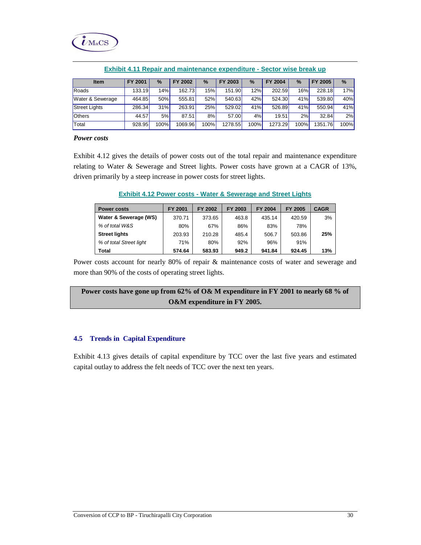

| <b>Item</b>          | <b>FY 2001</b> | $\%$             | 2002<br>FY | $\%$  | 2003<br><b>FY</b> | $\%$ | <b>FY 2004</b> | $\frac{9}{6}$ | FY 2005 | $\frac{9}{6}$ |
|----------------------|----------------|------------------|------------|-------|-------------------|------|----------------|---------------|---------|---------------|
| Roads                | 133.19         | 14% <sub>1</sub> | 162.73     | 15%   | 151.90            | 12%  | 202.59         | 16%           | 228.18  | 17%           |
| Water & Sewerage     | 464.85         | 50%              | 555.81     | 52%   | 540.63            | 42%  | 524.30         | 41%           | 539.80  | 40%           |
| <b>Street Lights</b> | 286.34         | 31%              | 263.91     | 25%   | 529.02            | 41%  | 526.89         | 41%           | 550.94  | 41%           |
| <b>Others</b>        | 44.57          | 5%               | 87.51      | 8%    | 57.00             | 4%   | 19.51          | 2%            | 32.84   | 2%            |
| Total                | 928.95         | 100%             | 1069.96    | 100%l | 1278.55           | 100% | 1273.29        | 100%          | 1351.76 | <b>100%</b>   |

**Exhibit 4.11 Repair and maintenance expenditure - Sector wise break up**

#### *Power costs*

Exhibit 4.12 gives the details of power costs out of the total repair and maintenance expenditure relating to Water & Sewerage and Street lights. Power costs have grown at a CAGR of 13%, driven primarily by a steep increase in power costs for street lights.

| <b>Exhibit 4.12 Power costs - Water &amp; Sewerage and Street Lights</b> |  |  |  |  |  |  |  |  |
|--------------------------------------------------------------------------|--|--|--|--|--|--|--|--|
|--------------------------------------------------------------------------|--|--|--|--|--|--|--|--|

| <b>Power costs</b>      | FY 2001 | FY 2002 | FY 2003 | FY 2004 | <b>FY 2005</b> | <b>CAGR</b> |
|-------------------------|---------|---------|---------|---------|----------------|-------------|
| Water & Sewerage (WS)   | 370.71  | 373.65  | 463.8   | 435.14  | 420.59         | 3%          |
| % of total W&S          | 80%     | 67%     | 86%     | 83%     | 78%            |             |
| <b>Street lights</b>    | 203.93  | 210.28  | 485.4   | 506.7   | 503.86         | 25%         |
| % of total Street light | 71%     | 80%     | 92%     | 96%     | 91%            |             |
| Total                   | 574.64  | 583.93  | 949.2   | 941.84  | 924.45         | 13%         |

Power costs account for nearly 80% of repair & maintenance costs of water and sewerage and more than 90% of the costs of operating street lights.

**Power costs have gone up from 62% of O& M expenditure in FY 2001 to nearly 68 % of O&M expenditure in FY 2005.** 

#### **4.5 Trends in Capital Expenditure**

Exhibit 4.13 gives details of capital expenditure by TCC over the last five years and estimated capital outlay to address the felt needs of TCC over the next ten years.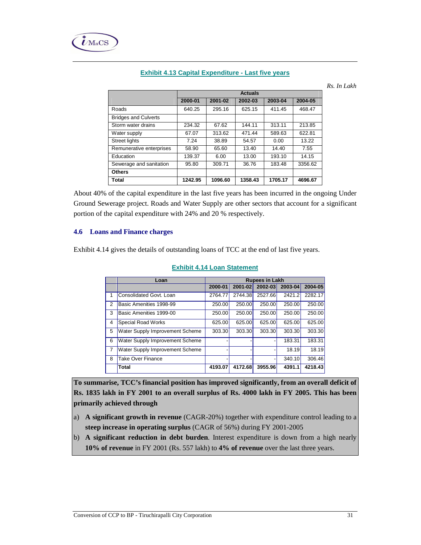|                             |         | <b>Actuals</b> |         |         |         |  |  |
|-----------------------------|---------|----------------|---------|---------|---------|--|--|
|                             | 2000-01 | 2001-02        | 2002-03 | 2003-04 | 2004-05 |  |  |
| Roads                       | 640.25  | 295.16         | 625.15  | 411.45  | 468.47  |  |  |
| <b>Bridges and Culverts</b> |         |                |         |         |         |  |  |
| Storm water drains          | 234.32  | 67.62          | 144.11  | 313.11  | 213.85  |  |  |
| Water supply                | 67.07   | 313.62         | 471.44  | 589.63  | 622.81  |  |  |
| <b>Street lights</b>        | 7.24    | 38.89          | 54.57   | 0.00    | 13.22   |  |  |
| Remunerative enterprises    | 58.90   | 65.60          | 13.40   | 14.40   | 7.55    |  |  |
| Education                   | 139.37  | 6.00           | 13.00   | 193.10  | 14.15   |  |  |
| Sewerage and sanitation     | 95.80   | 309.71         | 36.76   | 183.48  | 3356.62 |  |  |
| <b>Others</b>               |         |                |         |         |         |  |  |
| Total                       | 1242.95 | 1096.60        | 1358.43 | 1705.17 | 4696.67 |  |  |

### **Exhibit 4.13 Capital Expenditure - Last five years**

*In Lakh* 

About 40% of the capital expenditure in the last five years has been incurred in the ongoing Under Ground Sewerage project. Roads and Water Supply are other sectors that account for a significant portion of the capital expenditure with 24% and 20 % respectively.

#### **4.6 Loans and Finance charges**

Exhibit 4.14 gives the details of outstanding loans of TCC at the end of last five years.

|                | Loan                            |         | <b>Rupees in Lakh</b> |         |         |         |  |  |
|----------------|---------------------------------|---------|-----------------------|---------|---------|---------|--|--|
|                |                                 | 2000-01 | 2001-02               | 2002-03 | 2003-04 | 2004-05 |  |  |
| 1              | Consolidated Govt. Loan         | 2764.77 | 2744.38               | 2527.66 | 2421.2  | 2282.17 |  |  |
| $\mathcal{P}$  | Basic Amenities 1998-99         | 250.00  | 250.00                | 250.00  | 250.00  | 250.00  |  |  |
| 3              | Basic Amenities 1999-00         | 250.00  | 250.00                | 250.00  | 250.00  | 250.00  |  |  |
| $\overline{4}$ | <b>Special Road Works</b>       | 625.00  | 625.00                | 625.00  | 625.00  | 625.00  |  |  |
| 5              | Water Supply Improvement Scheme | 303.30  | 303.30                | 303.30  | 303.30  | 303.30  |  |  |
| 6              | Water Supply Improvement Scheme |         |                       |         | 183.31  | 183.31  |  |  |
| 7              | Water Supply Improvement Scheme |         |                       |         | 18.19   | 18.19   |  |  |
| 8              | <b>Take Over Finance</b>        |         |                       |         | 340.10  | 306.46  |  |  |
|                | <b>Total</b>                    | 4193.07 | 4172.68               | 3955.96 | 4391.1  | 4218.43 |  |  |

#### **Exhibit 4.14 Loan Statement**

**To summarise, TCC's financial position has improved significantly, from an overall deficit of Rs. 1835 lakh in FY 2001 to an overall surplus of Rs. 4000 lakh in FY 2005. This has been primarily achieved through** 

- a) **A significant growth in revenue** (CAGR-20%) together with expenditure control leading to a **steep increase in operating surplus** (CAGR of 56%) during FY 2001-2005
- b) **A significant reduction in debt burden**. Interest expenditure is down from a high nearly **10% of revenue** in FY 2001 (Rs. 557 lakh) to **4% of revenue** over the last three years.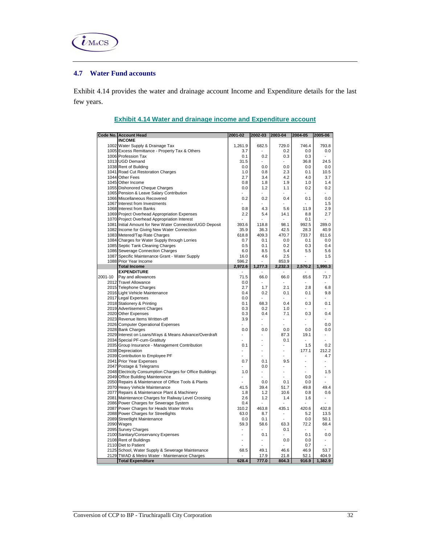

### **4.7 Water Fund accounts**

Exhibit 4.14 provides the water and drainage account Income and Expenditure details for the last few years.

| <b>INCOME</b><br>1002 Water Supply & Drainage Tax<br>1,261.9<br>682.5<br>729.0<br>746.4<br>793.8<br>1005 Excess Remittance - Property Tax & Others<br>3.7<br>0.2<br>0.0<br>0.0<br>1006 Profession Tax<br>0.1<br>0.2<br>0.3<br>0.3<br>1013 UGD Demand<br>31.5<br>36.8<br>24.5<br>1038 Rent of Building<br>0.0<br>0.0<br>0.0<br>0.0<br>0.0<br>2.3<br>1041 Road Cut Restoration Charges<br>1.0<br>0.8<br>0.1<br>10.5<br>1044 Other Fees<br>2.7<br>3.4<br>4.2<br>4.0<br>3.7<br>1045 Other Income<br>0.8<br>1.8<br>1.9<br>1.0<br>1.4<br>1055 Dishonored Cheque Charges<br>0.0<br>0.2<br>1.2<br>1.1<br>0.2<br>1065 Pension & Leave Salary Contribution<br>1066 Miscellaneous Recovered<br>0.0<br>0.2<br>0.2<br>0.4<br>0.1<br>1067 Interest from Investments<br>1.5<br>1068 Interest from Banks<br>0.8<br>4.3<br>5.6<br>11.9<br>2.9<br>2.7<br>1069 Project Overhead Appropriation Expenses<br>2.2<br>5.4<br>14.1<br>8.8<br>1070 Project Overhead Appropriation Interest<br>0.1<br>98.1<br>1081 Initial Amount for New Water Connection/UGD Deposit<br>393.6<br>118.8<br>992.5<br>289.0<br>1082 Income for Giving New Water Connection<br>42.5<br>28.3<br>40.9<br>35.9<br>36.3<br>1083 Metered/Tap Rate Charges<br>409.3<br>470.7<br>733.7<br>618.8<br>811.6<br>1084 Charges for Water Supply through Lorries<br>0.7<br>0.1<br>0.1<br>0.0<br>0.0<br>1085 Septic Tank Cleaning Charges<br>0.5<br>0.1<br>0.2<br>0.3<br>0.4<br>1086 Sewerage Connection Charges<br>6.0<br>8.5<br>5.4<br>5.5<br>5.6<br>1087 Specific Maintenance Grant - Water Supply<br>16.0<br>4.6<br>2.5<br>1.5<br>$\overline{\phantom{0}}$<br>1088 Prior Year Income<br>596.2<br>853.9<br>2,232.3<br><b>Total Income</b><br>2,972.6<br>1,277.3<br>2,570.2<br>1,990.3<br><b>EXPENDITURE</b><br>66.0<br>65.6<br>2001-10<br>Pay and allowances<br>71.5<br>66.0<br>73.7<br>2012 Travel Allowance<br>0.0<br>$\overline{\phantom{a}}$<br>$\overline{a}$<br>2.1<br>2.8<br>2015 Telephone Charges<br>2.7<br>1.7<br>6.8<br>2016 Light Vehicle Maintenance<br>0.4<br>0.1<br>9.8<br>0.2<br>0.1<br>2017 Legal Expenses<br>0.0<br>$\overline{a}$<br>$\overline{a}$<br>$\overline{a}$<br>$\overline{a}$<br>0.1<br>68.3<br>0.4<br>0.3<br>2018 Stationery & Printing<br>0.1<br>2019 Advertisement Charges<br>0.3<br>0.2<br>1.0<br>2020 Other Expenses<br>0.3<br>0.4<br>7.1<br>0.3<br>0.4<br>2023 Revenue Items Written-off<br>3.9<br>2026 Computer Operational Expenses<br>0.0<br>$\overline{a}$<br>$\overline{a}$<br>2028 Bank Charges<br>0.0<br>0.0<br>0.0<br>0.0<br>0.0<br>2029 Interest on Loans/Ways & Means Advance/Overdraft<br>87.3<br>19.1<br>2034 Special PF-cum-Gratituty<br>0.1<br>$\overline{a}$<br>L,<br>2035 Group Insurance - Management Contribution<br>1.5<br>0.2<br>0.1<br>$\overline{a}$<br>2038 Depreciation<br>177.1<br>212.2<br>$\overline{a}$<br>÷,<br>$\overline{a}$<br>2039 Contribution to Employee PF<br>4.7<br>9.5<br>2041 Prior Year Expenses<br>0.7<br>0.1<br>2047 Postage & Telegrams<br>0.0<br>$\overline{a}$<br>$\overline{a}$<br>$\overline{a}$<br>2048 Electricity Consumption Charges for Office Buildings<br>1.0<br>1.5<br>$\overline{a}$<br>$\overline{a}$<br>2049 Office Building Maintenance<br>0.0<br>2050 Repairs & Maintenance of Office Tools & Plants<br>0.1<br>0.0<br>0.0<br>L,<br>39.4<br>49.8<br>49.4<br>2070 Heavy Vehicle Maintenance<br>41.5<br>51.7<br>2077 Repairs & Maintenance Plant & Machinery<br>1.8<br>1.2<br>10.6<br>0.8<br>0.6<br>2081 Maintenance Charges for Railway Level Crossing<br>2.6<br>1.2<br>1.4<br>1.6<br>$\overline{a}$<br>2086 Power Charges for Sewerage System<br>0.4<br>2087 Power Charges for Heads Water Works<br>310.2<br>463.8<br>435.1<br>420.6<br>432.8<br>2088 Power Charges for Streetlights<br>63.0<br>8.7<br>5.2<br>13.5<br>$\overline{a}$<br>2089 Streetlight Maintenance<br>0.0<br>0.1<br>0.0<br>50.1<br>2090 Wages<br>63.3<br>72.2<br>59.3<br>58.6<br>68.4<br>2095 Survey Charges<br>0.1<br>2100 Sanitary/Conservancy Expenses<br>0.1<br>0.1<br>0.0<br>$\overline{a}$<br>$\overline{a}$<br>2108 Rent of Buildings<br>0.0<br>0.0<br>$\overline{a}$<br>$\overline{a}$<br>2110 Diet to Patient<br>0.7<br>2125 School, Water Supply & Sewerage Maintenance<br>68.5<br>49.1<br>46.6<br>46.9<br>53.7<br>2129 TWAD & Metro Water - Maintenance Charges<br>17.9<br>21.8<br>52.1<br>404.9<br>777.0<br>1,382.9<br>628.4<br>804.3<br>916.9<br><b>Total Expenditure</b> | Code No. Account Head | 2001-02 | 2002-03 2003-04 | 2004-05 | 2005-06 |
|------------------------------------------------------------------------------------------------------------------------------------------------------------------------------------------------------------------------------------------------------------------------------------------------------------------------------------------------------------------------------------------------------------------------------------------------------------------------------------------------------------------------------------------------------------------------------------------------------------------------------------------------------------------------------------------------------------------------------------------------------------------------------------------------------------------------------------------------------------------------------------------------------------------------------------------------------------------------------------------------------------------------------------------------------------------------------------------------------------------------------------------------------------------------------------------------------------------------------------------------------------------------------------------------------------------------------------------------------------------------------------------------------------------------------------------------------------------------------------------------------------------------------------------------------------------------------------------------------------------------------------------------------------------------------------------------------------------------------------------------------------------------------------------------------------------------------------------------------------------------------------------------------------------------------------------------------------------------------------------------------------------------------------------------------------------------------------------------------------------------------------------------------------------------------------------------------------------------------------------------------------------------------------------------------------------------------------------------------------------------------------------------------------------------------------------------------------------------------------------------------------------------------------------------------------------------------------------------------------------------------------------------------------------------------------------------------------------------------------------------------------------------------------------------------------------------------------------------------------------------------------------------------------------------------------------------------------------------------------------------------------------------------------------------------------------------------------------------------------------------------------------------------------------------------------------------------------------------------------------------------------------------------------------------------------------------------------------------------------------------------------------------------------------------------------------------------------------------------------------------------------------------------------------------------------------------------------------------------------------------------------------------------------------------------------------------------------------------------------------------------------------------------------------------------------------------------------------------------------------------------------------------------------------------------------------------------------------------------------------------------------------------------------------------------------------------------------------------------------------------------------------------------------------------------------------------------------------------------------------------------------------------------------------------------------------------------------------------------------------------------------------------|-----------------------|---------|-----------------|---------|---------|
|                                                                                                                                                                                                                                                                                                                                                                                                                                                                                                                                                                                                                                                                                                                                                                                                                                                                                                                                                                                                                                                                                                                                                                                                                                                                                                                                                                                                                                                                                                                                                                                                                                                                                                                                                                                                                                                                                                                                                                                                                                                                                                                                                                                                                                                                                                                                                                                                                                                                                                                                                                                                                                                                                                                                                                                                                                                                                                                                                                                                                                                                                                                                                                                                                                                                                                                                                                                                                                                                                                                                                                                                                                                                                                                                                                                                                                                                                                                                                                                                                                                                                                                                                                                                                                                                                                                                                                                                |                       |         |                 |         |         |
|                                                                                                                                                                                                                                                                                                                                                                                                                                                                                                                                                                                                                                                                                                                                                                                                                                                                                                                                                                                                                                                                                                                                                                                                                                                                                                                                                                                                                                                                                                                                                                                                                                                                                                                                                                                                                                                                                                                                                                                                                                                                                                                                                                                                                                                                                                                                                                                                                                                                                                                                                                                                                                                                                                                                                                                                                                                                                                                                                                                                                                                                                                                                                                                                                                                                                                                                                                                                                                                                                                                                                                                                                                                                                                                                                                                                                                                                                                                                                                                                                                                                                                                                                                                                                                                                                                                                                                                                |                       |         |                 |         |         |
|                                                                                                                                                                                                                                                                                                                                                                                                                                                                                                                                                                                                                                                                                                                                                                                                                                                                                                                                                                                                                                                                                                                                                                                                                                                                                                                                                                                                                                                                                                                                                                                                                                                                                                                                                                                                                                                                                                                                                                                                                                                                                                                                                                                                                                                                                                                                                                                                                                                                                                                                                                                                                                                                                                                                                                                                                                                                                                                                                                                                                                                                                                                                                                                                                                                                                                                                                                                                                                                                                                                                                                                                                                                                                                                                                                                                                                                                                                                                                                                                                                                                                                                                                                                                                                                                                                                                                                                                |                       |         |                 |         |         |
|                                                                                                                                                                                                                                                                                                                                                                                                                                                                                                                                                                                                                                                                                                                                                                                                                                                                                                                                                                                                                                                                                                                                                                                                                                                                                                                                                                                                                                                                                                                                                                                                                                                                                                                                                                                                                                                                                                                                                                                                                                                                                                                                                                                                                                                                                                                                                                                                                                                                                                                                                                                                                                                                                                                                                                                                                                                                                                                                                                                                                                                                                                                                                                                                                                                                                                                                                                                                                                                                                                                                                                                                                                                                                                                                                                                                                                                                                                                                                                                                                                                                                                                                                                                                                                                                                                                                                                                                |                       |         |                 |         |         |
|                                                                                                                                                                                                                                                                                                                                                                                                                                                                                                                                                                                                                                                                                                                                                                                                                                                                                                                                                                                                                                                                                                                                                                                                                                                                                                                                                                                                                                                                                                                                                                                                                                                                                                                                                                                                                                                                                                                                                                                                                                                                                                                                                                                                                                                                                                                                                                                                                                                                                                                                                                                                                                                                                                                                                                                                                                                                                                                                                                                                                                                                                                                                                                                                                                                                                                                                                                                                                                                                                                                                                                                                                                                                                                                                                                                                                                                                                                                                                                                                                                                                                                                                                                                                                                                                                                                                                                                                |                       |         |                 |         |         |
|                                                                                                                                                                                                                                                                                                                                                                                                                                                                                                                                                                                                                                                                                                                                                                                                                                                                                                                                                                                                                                                                                                                                                                                                                                                                                                                                                                                                                                                                                                                                                                                                                                                                                                                                                                                                                                                                                                                                                                                                                                                                                                                                                                                                                                                                                                                                                                                                                                                                                                                                                                                                                                                                                                                                                                                                                                                                                                                                                                                                                                                                                                                                                                                                                                                                                                                                                                                                                                                                                                                                                                                                                                                                                                                                                                                                                                                                                                                                                                                                                                                                                                                                                                                                                                                                                                                                                                                                |                       |         |                 |         |         |
|                                                                                                                                                                                                                                                                                                                                                                                                                                                                                                                                                                                                                                                                                                                                                                                                                                                                                                                                                                                                                                                                                                                                                                                                                                                                                                                                                                                                                                                                                                                                                                                                                                                                                                                                                                                                                                                                                                                                                                                                                                                                                                                                                                                                                                                                                                                                                                                                                                                                                                                                                                                                                                                                                                                                                                                                                                                                                                                                                                                                                                                                                                                                                                                                                                                                                                                                                                                                                                                                                                                                                                                                                                                                                                                                                                                                                                                                                                                                                                                                                                                                                                                                                                                                                                                                                                                                                                                                |                       |         |                 |         |         |
|                                                                                                                                                                                                                                                                                                                                                                                                                                                                                                                                                                                                                                                                                                                                                                                                                                                                                                                                                                                                                                                                                                                                                                                                                                                                                                                                                                                                                                                                                                                                                                                                                                                                                                                                                                                                                                                                                                                                                                                                                                                                                                                                                                                                                                                                                                                                                                                                                                                                                                                                                                                                                                                                                                                                                                                                                                                                                                                                                                                                                                                                                                                                                                                                                                                                                                                                                                                                                                                                                                                                                                                                                                                                                                                                                                                                                                                                                                                                                                                                                                                                                                                                                                                                                                                                                                                                                                                                |                       |         |                 |         |         |
|                                                                                                                                                                                                                                                                                                                                                                                                                                                                                                                                                                                                                                                                                                                                                                                                                                                                                                                                                                                                                                                                                                                                                                                                                                                                                                                                                                                                                                                                                                                                                                                                                                                                                                                                                                                                                                                                                                                                                                                                                                                                                                                                                                                                                                                                                                                                                                                                                                                                                                                                                                                                                                                                                                                                                                                                                                                                                                                                                                                                                                                                                                                                                                                                                                                                                                                                                                                                                                                                                                                                                                                                                                                                                                                                                                                                                                                                                                                                                                                                                                                                                                                                                                                                                                                                                                                                                                                                |                       |         |                 |         |         |
|                                                                                                                                                                                                                                                                                                                                                                                                                                                                                                                                                                                                                                                                                                                                                                                                                                                                                                                                                                                                                                                                                                                                                                                                                                                                                                                                                                                                                                                                                                                                                                                                                                                                                                                                                                                                                                                                                                                                                                                                                                                                                                                                                                                                                                                                                                                                                                                                                                                                                                                                                                                                                                                                                                                                                                                                                                                                                                                                                                                                                                                                                                                                                                                                                                                                                                                                                                                                                                                                                                                                                                                                                                                                                                                                                                                                                                                                                                                                                                                                                                                                                                                                                                                                                                                                                                                                                                                                |                       |         |                 |         |         |
|                                                                                                                                                                                                                                                                                                                                                                                                                                                                                                                                                                                                                                                                                                                                                                                                                                                                                                                                                                                                                                                                                                                                                                                                                                                                                                                                                                                                                                                                                                                                                                                                                                                                                                                                                                                                                                                                                                                                                                                                                                                                                                                                                                                                                                                                                                                                                                                                                                                                                                                                                                                                                                                                                                                                                                                                                                                                                                                                                                                                                                                                                                                                                                                                                                                                                                                                                                                                                                                                                                                                                                                                                                                                                                                                                                                                                                                                                                                                                                                                                                                                                                                                                                                                                                                                                                                                                                                                |                       |         |                 |         |         |
|                                                                                                                                                                                                                                                                                                                                                                                                                                                                                                                                                                                                                                                                                                                                                                                                                                                                                                                                                                                                                                                                                                                                                                                                                                                                                                                                                                                                                                                                                                                                                                                                                                                                                                                                                                                                                                                                                                                                                                                                                                                                                                                                                                                                                                                                                                                                                                                                                                                                                                                                                                                                                                                                                                                                                                                                                                                                                                                                                                                                                                                                                                                                                                                                                                                                                                                                                                                                                                                                                                                                                                                                                                                                                                                                                                                                                                                                                                                                                                                                                                                                                                                                                                                                                                                                                                                                                                                                |                       |         |                 |         |         |
|                                                                                                                                                                                                                                                                                                                                                                                                                                                                                                                                                                                                                                                                                                                                                                                                                                                                                                                                                                                                                                                                                                                                                                                                                                                                                                                                                                                                                                                                                                                                                                                                                                                                                                                                                                                                                                                                                                                                                                                                                                                                                                                                                                                                                                                                                                                                                                                                                                                                                                                                                                                                                                                                                                                                                                                                                                                                                                                                                                                                                                                                                                                                                                                                                                                                                                                                                                                                                                                                                                                                                                                                                                                                                                                                                                                                                                                                                                                                                                                                                                                                                                                                                                                                                                                                                                                                                                                                |                       |         |                 |         |         |
|                                                                                                                                                                                                                                                                                                                                                                                                                                                                                                                                                                                                                                                                                                                                                                                                                                                                                                                                                                                                                                                                                                                                                                                                                                                                                                                                                                                                                                                                                                                                                                                                                                                                                                                                                                                                                                                                                                                                                                                                                                                                                                                                                                                                                                                                                                                                                                                                                                                                                                                                                                                                                                                                                                                                                                                                                                                                                                                                                                                                                                                                                                                                                                                                                                                                                                                                                                                                                                                                                                                                                                                                                                                                                                                                                                                                                                                                                                                                                                                                                                                                                                                                                                                                                                                                                                                                                                                                |                       |         |                 |         |         |
|                                                                                                                                                                                                                                                                                                                                                                                                                                                                                                                                                                                                                                                                                                                                                                                                                                                                                                                                                                                                                                                                                                                                                                                                                                                                                                                                                                                                                                                                                                                                                                                                                                                                                                                                                                                                                                                                                                                                                                                                                                                                                                                                                                                                                                                                                                                                                                                                                                                                                                                                                                                                                                                                                                                                                                                                                                                                                                                                                                                                                                                                                                                                                                                                                                                                                                                                                                                                                                                                                                                                                                                                                                                                                                                                                                                                                                                                                                                                                                                                                                                                                                                                                                                                                                                                                                                                                                                                |                       |         |                 |         |         |
|                                                                                                                                                                                                                                                                                                                                                                                                                                                                                                                                                                                                                                                                                                                                                                                                                                                                                                                                                                                                                                                                                                                                                                                                                                                                                                                                                                                                                                                                                                                                                                                                                                                                                                                                                                                                                                                                                                                                                                                                                                                                                                                                                                                                                                                                                                                                                                                                                                                                                                                                                                                                                                                                                                                                                                                                                                                                                                                                                                                                                                                                                                                                                                                                                                                                                                                                                                                                                                                                                                                                                                                                                                                                                                                                                                                                                                                                                                                                                                                                                                                                                                                                                                                                                                                                                                                                                                                                |                       |         |                 |         |         |
|                                                                                                                                                                                                                                                                                                                                                                                                                                                                                                                                                                                                                                                                                                                                                                                                                                                                                                                                                                                                                                                                                                                                                                                                                                                                                                                                                                                                                                                                                                                                                                                                                                                                                                                                                                                                                                                                                                                                                                                                                                                                                                                                                                                                                                                                                                                                                                                                                                                                                                                                                                                                                                                                                                                                                                                                                                                                                                                                                                                                                                                                                                                                                                                                                                                                                                                                                                                                                                                                                                                                                                                                                                                                                                                                                                                                                                                                                                                                                                                                                                                                                                                                                                                                                                                                                                                                                                                                |                       |         |                 |         |         |
|                                                                                                                                                                                                                                                                                                                                                                                                                                                                                                                                                                                                                                                                                                                                                                                                                                                                                                                                                                                                                                                                                                                                                                                                                                                                                                                                                                                                                                                                                                                                                                                                                                                                                                                                                                                                                                                                                                                                                                                                                                                                                                                                                                                                                                                                                                                                                                                                                                                                                                                                                                                                                                                                                                                                                                                                                                                                                                                                                                                                                                                                                                                                                                                                                                                                                                                                                                                                                                                                                                                                                                                                                                                                                                                                                                                                                                                                                                                                                                                                                                                                                                                                                                                                                                                                                                                                                                                                |                       |         |                 |         |         |
|                                                                                                                                                                                                                                                                                                                                                                                                                                                                                                                                                                                                                                                                                                                                                                                                                                                                                                                                                                                                                                                                                                                                                                                                                                                                                                                                                                                                                                                                                                                                                                                                                                                                                                                                                                                                                                                                                                                                                                                                                                                                                                                                                                                                                                                                                                                                                                                                                                                                                                                                                                                                                                                                                                                                                                                                                                                                                                                                                                                                                                                                                                                                                                                                                                                                                                                                                                                                                                                                                                                                                                                                                                                                                                                                                                                                                                                                                                                                                                                                                                                                                                                                                                                                                                                                                                                                                                                                |                       |         |                 |         |         |
|                                                                                                                                                                                                                                                                                                                                                                                                                                                                                                                                                                                                                                                                                                                                                                                                                                                                                                                                                                                                                                                                                                                                                                                                                                                                                                                                                                                                                                                                                                                                                                                                                                                                                                                                                                                                                                                                                                                                                                                                                                                                                                                                                                                                                                                                                                                                                                                                                                                                                                                                                                                                                                                                                                                                                                                                                                                                                                                                                                                                                                                                                                                                                                                                                                                                                                                                                                                                                                                                                                                                                                                                                                                                                                                                                                                                                                                                                                                                                                                                                                                                                                                                                                                                                                                                                                                                                                                                |                       |         |                 |         |         |
|                                                                                                                                                                                                                                                                                                                                                                                                                                                                                                                                                                                                                                                                                                                                                                                                                                                                                                                                                                                                                                                                                                                                                                                                                                                                                                                                                                                                                                                                                                                                                                                                                                                                                                                                                                                                                                                                                                                                                                                                                                                                                                                                                                                                                                                                                                                                                                                                                                                                                                                                                                                                                                                                                                                                                                                                                                                                                                                                                                                                                                                                                                                                                                                                                                                                                                                                                                                                                                                                                                                                                                                                                                                                                                                                                                                                                                                                                                                                                                                                                                                                                                                                                                                                                                                                                                                                                                                                |                       |         |                 |         |         |
|                                                                                                                                                                                                                                                                                                                                                                                                                                                                                                                                                                                                                                                                                                                                                                                                                                                                                                                                                                                                                                                                                                                                                                                                                                                                                                                                                                                                                                                                                                                                                                                                                                                                                                                                                                                                                                                                                                                                                                                                                                                                                                                                                                                                                                                                                                                                                                                                                                                                                                                                                                                                                                                                                                                                                                                                                                                                                                                                                                                                                                                                                                                                                                                                                                                                                                                                                                                                                                                                                                                                                                                                                                                                                                                                                                                                                                                                                                                                                                                                                                                                                                                                                                                                                                                                                                                                                                                                |                       |         |                 |         |         |
|                                                                                                                                                                                                                                                                                                                                                                                                                                                                                                                                                                                                                                                                                                                                                                                                                                                                                                                                                                                                                                                                                                                                                                                                                                                                                                                                                                                                                                                                                                                                                                                                                                                                                                                                                                                                                                                                                                                                                                                                                                                                                                                                                                                                                                                                                                                                                                                                                                                                                                                                                                                                                                                                                                                                                                                                                                                                                                                                                                                                                                                                                                                                                                                                                                                                                                                                                                                                                                                                                                                                                                                                                                                                                                                                                                                                                                                                                                                                                                                                                                                                                                                                                                                                                                                                                                                                                                                                |                       |         |                 |         |         |
|                                                                                                                                                                                                                                                                                                                                                                                                                                                                                                                                                                                                                                                                                                                                                                                                                                                                                                                                                                                                                                                                                                                                                                                                                                                                                                                                                                                                                                                                                                                                                                                                                                                                                                                                                                                                                                                                                                                                                                                                                                                                                                                                                                                                                                                                                                                                                                                                                                                                                                                                                                                                                                                                                                                                                                                                                                                                                                                                                                                                                                                                                                                                                                                                                                                                                                                                                                                                                                                                                                                                                                                                                                                                                                                                                                                                                                                                                                                                                                                                                                                                                                                                                                                                                                                                                                                                                                                                |                       |         |                 |         |         |
|                                                                                                                                                                                                                                                                                                                                                                                                                                                                                                                                                                                                                                                                                                                                                                                                                                                                                                                                                                                                                                                                                                                                                                                                                                                                                                                                                                                                                                                                                                                                                                                                                                                                                                                                                                                                                                                                                                                                                                                                                                                                                                                                                                                                                                                                                                                                                                                                                                                                                                                                                                                                                                                                                                                                                                                                                                                                                                                                                                                                                                                                                                                                                                                                                                                                                                                                                                                                                                                                                                                                                                                                                                                                                                                                                                                                                                                                                                                                                                                                                                                                                                                                                                                                                                                                                                                                                                                                |                       |         |                 |         |         |
|                                                                                                                                                                                                                                                                                                                                                                                                                                                                                                                                                                                                                                                                                                                                                                                                                                                                                                                                                                                                                                                                                                                                                                                                                                                                                                                                                                                                                                                                                                                                                                                                                                                                                                                                                                                                                                                                                                                                                                                                                                                                                                                                                                                                                                                                                                                                                                                                                                                                                                                                                                                                                                                                                                                                                                                                                                                                                                                                                                                                                                                                                                                                                                                                                                                                                                                                                                                                                                                                                                                                                                                                                                                                                                                                                                                                                                                                                                                                                                                                                                                                                                                                                                                                                                                                                                                                                                                                |                       |         |                 |         |         |
|                                                                                                                                                                                                                                                                                                                                                                                                                                                                                                                                                                                                                                                                                                                                                                                                                                                                                                                                                                                                                                                                                                                                                                                                                                                                                                                                                                                                                                                                                                                                                                                                                                                                                                                                                                                                                                                                                                                                                                                                                                                                                                                                                                                                                                                                                                                                                                                                                                                                                                                                                                                                                                                                                                                                                                                                                                                                                                                                                                                                                                                                                                                                                                                                                                                                                                                                                                                                                                                                                                                                                                                                                                                                                                                                                                                                                                                                                                                                                                                                                                                                                                                                                                                                                                                                                                                                                                                                |                       |         |                 |         |         |
|                                                                                                                                                                                                                                                                                                                                                                                                                                                                                                                                                                                                                                                                                                                                                                                                                                                                                                                                                                                                                                                                                                                                                                                                                                                                                                                                                                                                                                                                                                                                                                                                                                                                                                                                                                                                                                                                                                                                                                                                                                                                                                                                                                                                                                                                                                                                                                                                                                                                                                                                                                                                                                                                                                                                                                                                                                                                                                                                                                                                                                                                                                                                                                                                                                                                                                                                                                                                                                                                                                                                                                                                                                                                                                                                                                                                                                                                                                                                                                                                                                                                                                                                                                                                                                                                                                                                                                                                |                       |         |                 |         |         |
|                                                                                                                                                                                                                                                                                                                                                                                                                                                                                                                                                                                                                                                                                                                                                                                                                                                                                                                                                                                                                                                                                                                                                                                                                                                                                                                                                                                                                                                                                                                                                                                                                                                                                                                                                                                                                                                                                                                                                                                                                                                                                                                                                                                                                                                                                                                                                                                                                                                                                                                                                                                                                                                                                                                                                                                                                                                                                                                                                                                                                                                                                                                                                                                                                                                                                                                                                                                                                                                                                                                                                                                                                                                                                                                                                                                                                                                                                                                                                                                                                                                                                                                                                                                                                                                                                                                                                                                                |                       |         |                 |         |         |
|                                                                                                                                                                                                                                                                                                                                                                                                                                                                                                                                                                                                                                                                                                                                                                                                                                                                                                                                                                                                                                                                                                                                                                                                                                                                                                                                                                                                                                                                                                                                                                                                                                                                                                                                                                                                                                                                                                                                                                                                                                                                                                                                                                                                                                                                                                                                                                                                                                                                                                                                                                                                                                                                                                                                                                                                                                                                                                                                                                                                                                                                                                                                                                                                                                                                                                                                                                                                                                                                                                                                                                                                                                                                                                                                                                                                                                                                                                                                                                                                                                                                                                                                                                                                                                                                                                                                                                                                |                       |         |                 |         |         |
|                                                                                                                                                                                                                                                                                                                                                                                                                                                                                                                                                                                                                                                                                                                                                                                                                                                                                                                                                                                                                                                                                                                                                                                                                                                                                                                                                                                                                                                                                                                                                                                                                                                                                                                                                                                                                                                                                                                                                                                                                                                                                                                                                                                                                                                                                                                                                                                                                                                                                                                                                                                                                                                                                                                                                                                                                                                                                                                                                                                                                                                                                                                                                                                                                                                                                                                                                                                                                                                                                                                                                                                                                                                                                                                                                                                                                                                                                                                                                                                                                                                                                                                                                                                                                                                                                                                                                                                                |                       |         |                 |         |         |
|                                                                                                                                                                                                                                                                                                                                                                                                                                                                                                                                                                                                                                                                                                                                                                                                                                                                                                                                                                                                                                                                                                                                                                                                                                                                                                                                                                                                                                                                                                                                                                                                                                                                                                                                                                                                                                                                                                                                                                                                                                                                                                                                                                                                                                                                                                                                                                                                                                                                                                                                                                                                                                                                                                                                                                                                                                                                                                                                                                                                                                                                                                                                                                                                                                                                                                                                                                                                                                                                                                                                                                                                                                                                                                                                                                                                                                                                                                                                                                                                                                                                                                                                                                                                                                                                                                                                                                                                |                       |         |                 |         |         |
|                                                                                                                                                                                                                                                                                                                                                                                                                                                                                                                                                                                                                                                                                                                                                                                                                                                                                                                                                                                                                                                                                                                                                                                                                                                                                                                                                                                                                                                                                                                                                                                                                                                                                                                                                                                                                                                                                                                                                                                                                                                                                                                                                                                                                                                                                                                                                                                                                                                                                                                                                                                                                                                                                                                                                                                                                                                                                                                                                                                                                                                                                                                                                                                                                                                                                                                                                                                                                                                                                                                                                                                                                                                                                                                                                                                                                                                                                                                                                                                                                                                                                                                                                                                                                                                                                                                                                                                                |                       |         |                 |         |         |
|                                                                                                                                                                                                                                                                                                                                                                                                                                                                                                                                                                                                                                                                                                                                                                                                                                                                                                                                                                                                                                                                                                                                                                                                                                                                                                                                                                                                                                                                                                                                                                                                                                                                                                                                                                                                                                                                                                                                                                                                                                                                                                                                                                                                                                                                                                                                                                                                                                                                                                                                                                                                                                                                                                                                                                                                                                                                                                                                                                                                                                                                                                                                                                                                                                                                                                                                                                                                                                                                                                                                                                                                                                                                                                                                                                                                                                                                                                                                                                                                                                                                                                                                                                                                                                                                                                                                                                                                |                       |         |                 |         |         |
|                                                                                                                                                                                                                                                                                                                                                                                                                                                                                                                                                                                                                                                                                                                                                                                                                                                                                                                                                                                                                                                                                                                                                                                                                                                                                                                                                                                                                                                                                                                                                                                                                                                                                                                                                                                                                                                                                                                                                                                                                                                                                                                                                                                                                                                                                                                                                                                                                                                                                                                                                                                                                                                                                                                                                                                                                                                                                                                                                                                                                                                                                                                                                                                                                                                                                                                                                                                                                                                                                                                                                                                                                                                                                                                                                                                                                                                                                                                                                                                                                                                                                                                                                                                                                                                                                                                                                                                                |                       |         |                 |         |         |
|                                                                                                                                                                                                                                                                                                                                                                                                                                                                                                                                                                                                                                                                                                                                                                                                                                                                                                                                                                                                                                                                                                                                                                                                                                                                                                                                                                                                                                                                                                                                                                                                                                                                                                                                                                                                                                                                                                                                                                                                                                                                                                                                                                                                                                                                                                                                                                                                                                                                                                                                                                                                                                                                                                                                                                                                                                                                                                                                                                                                                                                                                                                                                                                                                                                                                                                                                                                                                                                                                                                                                                                                                                                                                                                                                                                                                                                                                                                                                                                                                                                                                                                                                                                                                                                                                                                                                                                                |                       |         |                 |         |         |
|                                                                                                                                                                                                                                                                                                                                                                                                                                                                                                                                                                                                                                                                                                                                                                                                                                                                                                                                                                                                                                                                                                                                                                                                                                                                                                                                                                                                                                                                                                                                                                                                                                                                                                                                                                                                                                                                                                                                                                                                                                                                                                                                                                                                                                                                                                                                                                                                                                                                                                                                                                                                                                                                                                                                                                                                                                                                                                                                                                                                                                                                                                                                                                                                                                                                                                                                                                                                                                                                                                                                                                                                                                                                                                                                                                                                                                                                                                                                                                                                                                                                                                                                                                                                                                                                                                                                                                                                |                       |         |                 |         |         |
|                                                                                                                                                                                                                                                                                                                                                                                                                                                                                                                                                                                                                                                                                                                                                                                                                                                                                                                                                                                                                                                                                                                                                                                                                                                                                                                                                                                                                                                                                                                                                                                                                                                                                                                                                                                                                                                                                                                                                                                                                                                                                                                                                                                                                                                                                                                                                                                                                                                                                                                                                                                                                                                                                                                                                                                                                                                                                                                                                                                                                                                                                                                                                                                                                                                                                                                                                                                                                                                                                                                                                                                                                                                                                                                                                                                                                                                                                                                                                                                                                                                                                                                                                                                                                                                                                                                                                                                                |                       |         |                 |         |         |
|                                                                                                                                                                                                                                                                                                                                                                                                                                                                                                                                                                                                                                                                                                                                                                                                                                                                                                                                                                                                                                                                                                                                                                                                                                                                                                                                                                                                                                                                                                                                                                                                                                                                                                                                                                                                                                                                                                                                                                                                                                                                                                                                                                                                                                                                                                                                                                                                                                                                                                                                                                                                                                                                                                                                                                                                                                                                                                                                                                                                                                                                                                                                                                                                                                                                                                                                                                                                                                                                                                                                                                                                                                                                                                                                                                                                                                                                                                                                                                                                                                                                                                                                                                                                                                                                                                                                                                                                |                       |         |                 |         |         |
|                                                                                                                                                                                                                                                                                                                                                                                                                                                                                                                                                                                                                                                                                                                                                                                                                                                                                                                                                                                                                                                                                                                                                                                                                                                                                                                                                                                                                                                                                                                                                                                                                                                                                                                                                                                                                                                                                                                                                                                                                                                                                                                                                                                                                                                                                                                                                                                                                                                                                                                                                                                                                                                                                                                                                                                                                                                                                                                                                                                                                                                                                                                                                                                                                                                                                                                                                                                                                                                                                                                                                                                                                                                                                                                                                                                                                                                                                                                                                                                                                                                                                                                                                                                                                                                                                                                                                                                                |                       |         |                 |         |         |
|                                                                                                                                                                                                                                                                                                                                                                                                                                                                                                                                                                                                                                                                                                                                                                                                                                                                                                                                                                                                                                                                                                                                                                                                                                                                                                                                                                                                                                                                                                                                                                                                                                                                                                                                                                                                                                                                                                                                                                                                                                                                                                                                                                                                                                                                                                                                                                                                                                                                                                                                                                                                                                                                                                                                                                                                                                                                                                                                                                                                                                                                                                                                                                                                                                                                                                                                                                                                                                                                                                                                                                                                                                                                                                                                                                                                                                                                                                                                                                                                                                                                                                                                                                                                                                                                                                                                                                                                |                       |         |                 |         |         |
|                                                                                                                                                                                                                                                                                                                                                                                                                                                                                                                                                                                                                                                                                                                                                                                                                                                                                                                                                                                                                                                                                                                                                                                                                                                                                                                                                                                                                                                                                                                                                                                                                                                                                                                                                                                                                                                                                                                                                                                                                                                                                                                                                                                                                                                                                                                                                                                                                                                                                                                                                                                                                                                                                                                                                                                                                                                                                                                                                                                                                                                                                                                                                                                                                                                                                                                                                                                                                                                                                                                                                                                                                                                                                                                                                                                                                                                                                                                                                                                                                                                                                                                                                                                                                                                                                                                                                                                                |                       |         |                 |         |         |
|                                                                                                                                                                                                                                                                                                                                                                                                                                                                                                                                                                                                                                                                                                                                                                                                                                                                                                                                                                                                                                                                                                                                                                                                                                                                                                                                                                                                                                                                                                                                                                                                                                                                                                                                                                                                                                                                                                                                                                                                                                                                                                                                                                                                                                                                                                                                                                                                                                                                                                                                                                                                                                                                                                                                                                                                                                                                                                                                                                                                                                                                                                                                                                                                                                                                                                                                                                                                                                                                                                                                                                                                                                                                                                                                                                                                                                                                                                                                                                                                                                                                                                                                                                                                                                                                                                                                                                                                |                       |         |                 |         |         |
|                                                                                                                                                                                                                                                                                                                                                                                                                                                                                                                                                                                                                                                                                                                                                                                                                                                                                                                                                                                                                                                                                                                                                                                                                                                                                                                                                                                                                                                                                                                                                                                                                                                                                                                                                                                                                                                                                                                                                                                                                                                                                                                                                                                                                                                                                                                                                                                                                                                                                                                                                                                                                                                                                                                                                                                                                                                                                                                                                                                                                                                                                                                                                                                                                                                                                                                                                                                                                                                                                                                                                                                                                                                                                                                                                                                                                                                                                                                                                                                                                                                                                                                                                                                                                                                                                                                                                                                                |                       |         |                 |         |         |
|                                                                                                                                                                                                                                                                                                                                                                                                                                                                                                                                                                                                                                                                                                                                                                                                                                                                                                                                                                                                                                                                                                                                                                                                                                                                                                                                                                                                                                                                                                                                                                                                                                                                                                                                                                                                                                                                                                                                                                                                                                                                                                                                                                                                                                                                                                                                                                                                                                                                                                                                                                                                                                                                                                                                                                                                                                                                                                                                                                                                                                                                                                                                                                                                                                                                                                                                                                                                                                                                                                                                                                                                                                                                                                                                                                                                                                                                                                                                                                                                                                                                                                                                                                                                                                                                                                                                                                                                |                       |         |                 |         |         |
|                                                                                                                                                                                                                                                                                                                                                                                                                                                                                                                                                                                                                                                                                                                                                                                                                                                                                                                                                                                                                                                                                                                                                                                                                                                                                                                                                                                                                                                                                                                                                                                                                                                                                                                                                                                                                                                                                                                                                                                                                                                                                                                                                                                                                                                                                                                                                                                                                                                                                                                                                                                                                                                                                                                                                                                                                                                                                                                                                                                                                                                                                                                                                                                                                                                                                                                                                                                                                                                                                                                                                                                                                                                                                                                                                                                                                                                                                                                                                                                                                                                                                                                                                                                                                                                                                                                                                                                                |                       |         |                 |         |         |
|                                                                                                                                                                                                                                                                                                                                                                                                                                                                                                                                                                                                                                                                                                                                                                                                                                                                                                                                                                                                                                                                                                                                                                                                                                                                                                                                                                                                                                                                                                                                                                                                                                                                                                                                                                                                                                                                                                                                                                                                                                                                                                                                                                                                                                                                                                                                                                                                                                                                                                                                                                                                                                                                                                                                                                                                                                                                                                                                                                                                                                                                                                                                                                                                                                                                                                                                                                                                                                                                                                                                                                                                                                                                                                                                                                                                                                                                                                                                                                                                                                                                                                                                                                                                                                                                                                                                                                                                |                       |         |                 |         |         |
|                                                                                                                                                                                                                                                                                                                                                                                                                                                                                                                                                                                                                                                                                                                                                                                                                                                                                                                                                                                                                                                                                                                                                                                                                                                                                                                                                                                                                                                                                                                                                                                                                                                                                                                                                                                                                                                                                                                                                                                                                                                                                                                                                                                                                                                                                                                                                                                                                                                                                                                                                                                                                                                                                                                                                                                                                                                                                                                                                                                                                                                                                                                                                                                                                                                                                                                                                                                                                                                                                                                                                                                                                                                                                                                                                                                                                                                                                                                                                                                                                                                                                                                                                                                                                                                                                                                                                                                                |                       |         |                 |         |         |
|                                                                                                                                                                                                                                                                                                                                                                                                                                                                                                                                                                                                                                                                                                                                                                                                                                                                                                                                                                                                                                                                                                                                                                                                                                                                                                                                                                                                                                                                                                                                                                                                                                                                                                                                                                                                                                                                                                                                                                                                                                                                                                                                                                                                                                                                                                                                                                                                                                                                                                                                                                                                                                                                                                                                                                                                                                                                                                                                                                                                                                                                                                                                                                                                                                                                                                                                                                                                                                                                                                                                                                                                                                                                                                                                                                                                                                                                                                                                                                                                                                                                                                                                                                                                                                                                                                                                                                                                |                       |         |                 |         |         |
|                                                                                                                                                                                                                                                                                                                                                                                                                                                                                                                                                                                                                                                                                                                                                                                                                                                                                                                                                                                                                                                                                                                                                                                                                                                                                                                                                                                                                                                                                                                                                                                                                                                                                                                                                                                                                                                                                                                                                                                                                                                                                                                                                                                                                                                                                                                                                                                                                                                                                                                                                                                                                                                                                                                                                                                                                                                                                                                                                                                                                                                                                                                                                                                                                                                                                                                                                                                                                                                                                                                                                                                                                                                                                                                                                                                                                                                                                                                                                                                                                                                                                                                                                                                                                                                                                                                                                                                                |                       |         |                 |         |         |
|                                                                                                                                                                                                                                                                                                                                                                                                                                                                                                                                                                                                                                                                                                                                                                                                                                                                                                                                                                                                                                                                                                                                                                                                                                                                                                                                                                                                                                                                                                                                                                                                                                                                                                                                                                                                                                                                                                                                                                                                                                                                                                                                                                                                                                                                                                                                                                                                                                                                                                                                                                                                                                                                                                                                                                                                                                                                                                                                                                                                                                                                                                                                                                                                                                                                                                                                                                                                                                                                                                                                                                                                                                                                                                                                                                                                                                                                                                                                                                                                                                                                                                                                                                                                                                                                                                                                                                                                |                       |         |                 |         |         |
|                                                                                                                                                                                                                                                                                                                                                                                                                                                                                                                                                                                                                                                                                                                                                                                                                                                                                                                                                                                                                                                                                                                                                                                                                                                                                                                                                                                                                                                                                                                                                                                                                                                                                                                                                                                                                                                                                                                                                                                                                                                                                                                                                                                                                                                                                                                                                                                                                                                                                                                                                                                                                                                                                                                                                                                                                                                                                                                                                                                                                                                                                                                                                                                                                                                                                                                                                                                                                                                                                                                                                                                                                                                                                                                                                                                                                                                                                                                                                                                                                                                                                                                                                                                                                                                                                                                                                                                                |                       |         |                 |         |         |
|                                                                                                                                                                                                                                                                                                                                                                                                                                                                                                                                                                                                                                                                                                                                                                                                                                                                                                                                                                                                                                                                                                                                                                                                                                                                                                                                                                                                                                                                                                                                                                                                                                                                                                                                                                                                                                                                                                                                                                                                                                                                                                                                                                                                                                                                                                                                                                                                                                                                                                                                                                                                                                                                                                                                                                                                                                                                                                                                                                                                                                                                                                                                                                                                                                                                                                                                                                                                                                                                                                                                                                                                                                                                                                                                                                                                                                                                                                                                                                                                                                                                                                                                                                                                                                                                                                                                                                                                |                       |         |                 |         |         |
|                                                                                                                                                                                                                                                                                                                                                                                                                                                                                                                                                                                                                                                                                                                                                                                                                                                                                                                                                                                                                                                                                                                                                                                                                                                                                                                                                                                                                                                                                                                                                                                                                                                                                                                                                                                                                                                                                                                                                                                                                                                                                                                                                                                                                                                                                                                                                                                                                                                                                                                                                                                                                                                                                                                                                                                                                                                                                                                                                                                                                                                                                                                                                                                                                                                                                                                                                                                                                                                                                                                                                                                                                                                                                                                                                                                                                                                                                                                                                                                                                                                                                                                                                                                                                                                                                                                                                                                                |                       |         |                 |         |         |
|                                                                                                                                                                                                                                                                                                                                                                                                                                                                                                                                                                                                                                                                                                                                                                                                                                                                                                                                                                                                                                                                                                                                                                                                                                                                                                                                                                                                                                                                                                                                                                                                                                                                                                                                                                                                                                                                                                                                                                                                                                                                                                                                                                                                                                                                                                                                                                                                                                                                                                                                                                                                                                                                                                                                                                                                                                                                                                                                                                                                                                                                                                                                                                                                                                                                                                                                                                                                                                                                                                                                                                                                                                                                                                                                                                                                                                                                                                                                                                                                                                                                                                                                                                                                                                                                                                                                                                                                |                       |         |                 |         |         |
|                                                                                                                                                                                                                                                                                                                                                                                                                                                                                                                                                                                                                                                                                                                                                                                                                                                                                                                                                                                                                                                                                                                                                                                                                                                                                                                                                                                                                                                                                                                                                                                                                                                                                                                                                                                                                                                                                                                                                                                                                                                                                                                                                                                                                                                                                                                                                                                                                                                                                                                                                                                                                                                                                                                                                                                                                                                                                                                                                                                                                                                                                                                                                                                                                                                                                                                                                                                                                                                                                                                                                                                                                                                                                                                                                                                                                                                                                                                                                                                                                                                                                                                                                                                                                                                                                                                                                                                                |                       |         |                 |         |         |
|                                                                                                                                                                                                                                                                                                                                                                                                                                                                                                                                                                                                                                                                                                                                                                                                                                                                                                                                                                                                                                                                                                                                                                                                                                                                                                                                                                                                                                                                                                                                                                                                                                                                                                                                                                                                                                                                                                                                                                                                                                                                                                                                                                                                                                                                                                                                                                                                                                                                                                                                                                                                                                                                                                                                                                                                                                                                                                                                                                                                                                                                                                                                                                                                                                                                                                                                                                                                                                                                                                                                                                                                                                                                                                                                                                                                                                                                                                                                                                                                                                                                                                                                                                                                                                                                                                                                                                                                |                       |         |                 |         |         |
|                                                                                                                                                                                                                                                                                                                                                                                                                                                                                                                                                                                                                                                                                                                                                                                                                                                                                                                                                                                                                                                                                                                                                                                                                                                                                                                                                                                                                                                                                                                                                                                                                                                                                                                                                                                                                                                                                                                                                                                                                                                                                                                                                                                                                                                                                                                                                                                                                                                                                                                                                                                                                                                                                                                                                                                                                                                                                                                                                                                                                                                                                                                                                                                                                                                                                                                                                                                                                                                                                                                                                                                                                                                                                                                                                                                                                                                                                                                                                                                                                                                                                                                                                                                                                                                                                                                                                                                                |                       |         |                 |         |         |
|                                                                                                                                                                                                                                                                                                                                                                                                                                                                                                                                                                                                                                                                                                                                                                                                                                                                                                                                                                                                                                                                                                                                                                                                                                                                                                                                                                                                                                                                                                                                                                                                                                                                                                                                                                                                                                                                                                                                                                                                                                                                                                                                                                                                                                                                                                                                                                                                                                                                                                                                                                                                                                                                                                                                                                                                                                                                                                                                                                                                                                                                                                                                                                                                                                                                                                                                                                                                                                                                                                                                                                                                                                                                                                                                                                                                                                                                                                                                                                                                                                                                                                                                                                                                                                                                                                                                                                                                |                       |         |                 |         |         |
|                                                                                                                                                                                                                                                                                                                                                                                                                                                                                                                                                                                                                                                                                                                                                                                                                                                                                                                                                                                                                                                                                                                                                                                                                                                                                                                                                                                                                                                                                                                                                                                                                                                                                                                                                                                                                                                                                                                                                                                                                                                                                                                                                                                                                                                                                                                                                                                                                                                                                                                                                                                                                                                                                                                                                                                                                                                                                                                                                                                                                                                                                                                                                                                                                                                                                                                                                                                                                                                                                                                                                                                                                                                                                                                                                                                                                                                                                                                                                                                                                                                                                                                                                                                                                                                                                                                                                                                                |                       |         |                 |         |         |
|                                                                                                                                                                                                                                                                                                                                                                                                                                                                                                                                                                                                                                                                                                                                                                                                                                                                                                                                                                                                                                                                                                                                                                                                                                                                                                                                                                                                                                                                                                                                                                                                                                                                                                                                                                                                                                                                                                                                                                                                                                                                                                                                                                                                                                                                                                                                                                                                                                                                                                                                                                                                                                                                                                                                                                                                                                                                                                                                                                                                                                                                                                                                                                                                                                                                                                                                                                                                                                                                                                                                                                                                                                                                                                                                                                                                                                                                                                                                                                                                                                                                                                                                                                                                                                                                                                                                                                                                |                       |         |                 |         |         |
|                                                                                                                                                                                                                                                                                                                                                                                                                                                                                                                                                                                                                                                                                                                                                                                                                                                                                                                                                                                                                                                                                                                                                                                                                                                                                                                                                                                                                                                                                                                                                                                                                                                                                                                                                                                                                                                                                                                                                                                                                                                                                                                                                                                                                                                                                                                                                                                                                                                                                                                                                                                                                                                                                                                                                                                                                                                                                                                                                                                                                                                                                                                                                                                                                                                                                                                                                                                                                                                                                                                                                                                                                                                                                                                                                                                                                                                                                                                                                                                                                                                                                                                                                                                                                                                                                                                                                                                                |                       |         |                 |         |         |

## **Exhibit 4.14 Water and drainage income and Expenditure account**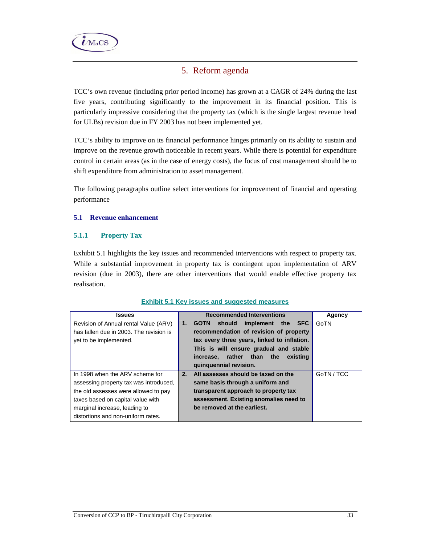

# 5. Reform agenda

TCC's own revenue (including prior period income) has grown at a CAGR of 24% during the last five years, contributing significantly to the improvement in its financial position. This is particularly impressive considering that the property tax (which is the single largest revenue head for ULBs) revision due in FY 2003 has not been implemented yet.

TCC's ability to improve on its financial performance hinges primarily on its ability to sustain and improve on the revenue growth noticeable in recent years. While there is potential for expenditure control in certain areas (as in the case of energy costs), the focus of cost management should be to shift expenditure from administration to asset management.

The following paragraphs outline select interventions for improvement of financial and operating performance

## **5.1 Revenue enhancement**

## **5.1.1 Property Tax**

Exhibit 5.1 highlights the key issues and recommended interventions with respect to property tax. While a substantial improvement in property tax is contingent upon implementation of ARV revision (due in 2003), there are other interventions that would enable effective property tax realisation.

| <b>Issues</b>                           |    | <b>Recommended Interventions</b>                     | Agency     |
|-----------------------------------------|----|------------------------------------------------------|------------|
| Revision of Annual rental Value (ARV)   | 1. | implement the<br><b>SFC</b><br>should<br><b>GOTN</b> | GoTN       |
| has fallen due in 2003. The revision is |    | recommendation of revision of property               |            |
| yet to be implemented.                  |    | tax every three years, linked to inflation.          |            |
|                                         |    | This is will ensure gradual and stable               |            |
|                                         |    | increase, rather than the<br>existing                |            |
|                                         |    | quinquennial revision.                               |            |
| In 1998 when the ARV scheme for         | 2. | All assesses should be taxed on the                  | GoTN / TCC |
| assessing property tax was introduced,  |    | same basis through a uniform and                     |            |
| the old assesses were allowed to pay    |    | transparent approach to property tax                 |            |
| taxes based on capital value with       |    | assessment. Existing anomalies need to               |            |
| marginal increase, leading to           |    | be removed at the earliest.                          |            |
| distortions and non-uniform rates.      |    |                                                      |            |

#### **Exhibit 5.1 Key issues and suggested measures**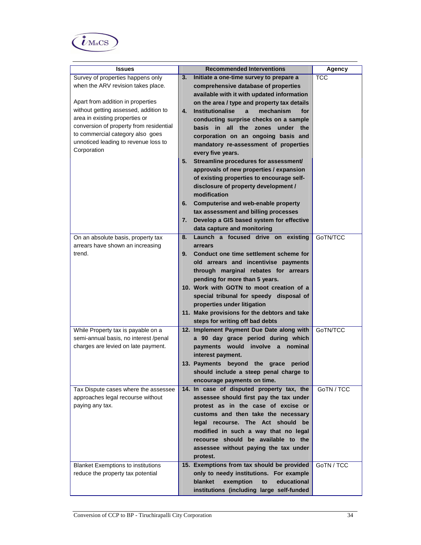

| <b>Issues</b>                              | <b>Recommended Interventions</b>                                             | <b>Agency</b> |
|--------------------------------------------|------------------------------------------------------------------------------|---------------|
| Survey of properties happens only          | 3.<br>Initiate a one-time survey to prepare a                                | <b>TCC</b>    |
| when the ARV revision takes place.         | comprehensive database of properties                                         |               |
|                                            | available with it with updated information                                   |               |
| Apart from addition in properties          | on the area / type and property tax details                                  |               |
| without getting assessed, addition to      | <b>Institutionalise</b><br>4.<br>$\mathbf{a}$<br>mechanism<br>for            |               |
| area in existing properties or             | conducting surprise checks on a sample                                       |               |
| conversion of property from residential    | basis in all the zones under<br>the                                          |               |
| to commercial category also goes           | corporation on an ongoing basis and                                          |               |
| unnoticed leading to revenue loss to       | mandatory re-assessment of properties                                        |               |
| Corporation                                | every five years.                                                            |               |
|                                            | Streamline procedures for assessment/<br>5.                                  |               |
|                                            | approvals of new properties / expansion                                      |               |
|                                            | of existing properties to encourage self-                                    |               |
|                                            | disclosure of property development /                                         |               |
|                                            | modification                                                                 |               |
|                                            | 6.<br>Computerise and web-enable property                                    |               |
|                                            | tax assessment and billing processes                                         |               |
|                                            | 7.<br>Develop a GIS based system for effective                               |               |
|                                            | data capture and monitoring                                                  |               |
| On an absolute basis, property tax         | Launch a focused drive on existing<br>8.                                     | GoTN/TCC      |
| arrears have shown an increasing<br>trend. | arrears<br>Conduct one time settlement scheme for                            |               |
|                                            | 9.                                                                           |               |
|                                            | old arrears and incentivise payments<br>through marginal rebates for arrears |               |
|                                            | pending for more than 5 years.                                               |               |
|                                            | 10. Work with GOTN to moot creation of a                                     |               |
|                                            | special tribunal for speedy disposal of                                      |               |
|                                            | properties under litigation                                                  |               |
|                                            | 11. Make provisions for the debtors and take                                 |               |
|                                            | steps for writing off bad debts                                              |               |
| While Property tax is payable on a         | 12. Implement Payment Due Date along with                                    | GoTN/TCC      |
| semi-annual basis, no interest /penal      | a 90 day grace period during which                                           |               |
| charges are levied on late payment.        | payments would involve a nominal                                             |               |
|                                            | interest payment.                                                            |               |
|                                            | 13. Payments beyond the grace<br>period                                      |               |
|                                            | should include a steep penal charge to                                       |               |
|                                            | encourage payments on time.                                                  |               |
| Tax Dispute cases where the assessee       | 14. In case of disputed property tax, the                                    | GoTN / TCC    |
| approaches legal recourse without          | assessee should first pay the tax under                                      |               |
| paying any tax.                            | protest as in the case of excise or                                          |               |
|                                            | customs and then take the necessary                                          |               |
|                                            | legal recourse. The Act should be<br>modified in such a way that no legal    |               |
|                                            | recourse should be available to the                                          |               |
|                                            | assessee without paying the tax under                                        |               |
|                                            | protest.                                                                     |               |
| <b>Blanket Exemptions to institutions</b>  | 15. Exemptions from tax should be provided                                   | GoTN / TCC    |
| reduce the property tax potential          | only to needy institutions. For example                                      |               |
|                                            | blanket<br>exemption<br>educational<br>to                                    |               |
|                                            | institutions (including large self-funded                                    |               |
|                                            |                                                                              |               |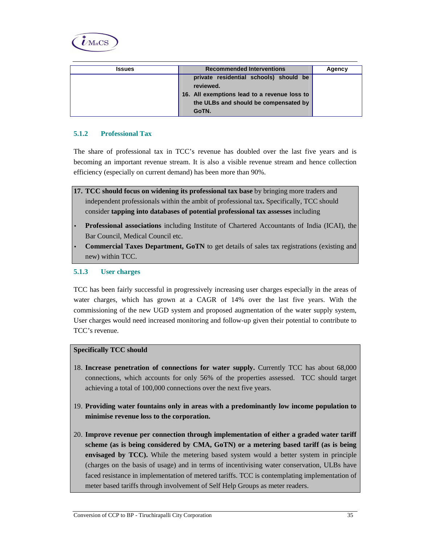

| <b>Issues</b> | <b>Recommended Interventions</b>             | Agency |
|---------------|----------------------------------------------|--------|
|               | private residential schools) should be       |        |
|               | reviewed.                                    |        |
|               | 16. All exemptions lead to a revenue loss to |        |
|               | the ULBs and should be compensated by        |        |
|               | GoTN.                                        |        |

## **5.1.2 Professional Tax**

The share of professional tax in TCC's revenue has doubled over the last five years and is becoming an important revenue stream. It is also a visible revenue stream and hence collection efficiency (especially on current demand) has been more than 90%.

- **17. TCC should focus on widening its professional tax base** by bringing more traders and independent professionals within the ambit of professional tax**.** Specifically, TCC should consider **tapping into databases of potential professional tax assesses** including
- **Professional associations** including Institute of Chartered Accountants of India (ICAI), the Bar Council, Medical Council etc.
- **Commercial Taxes Department, GoTN** to get details of sales tax registrations (existing and new) within TCC.

#### **5.1.3 User charges**

TCC has been fairly successful in progressively increasing user charges especially in the areas of water charges, which has grown at a CAGR of 14% over the last five years. With the commissioning of the new UGD system and proposed augmentation of the water supply system, User charges would need increased monitoring and follow-up given their potential to contribute to TCC's revenue.

## **Specifically TCC should**

- 18. **Increase penetration of connections for water supply.** Currently TCC has about 68,000 connections, which accounts for only 56% of the properties assessed. TCC should target achieving a total of 100,000 connections over the next five years.
- 19. **Providing water fountains only in areas with a predominantly low income population to minimise revenue loss to the corporation.**
- 20. **Improve revenue per connection through implementation of either a graded water tariff scheme (as is being considered by CMA, GoTN) or a metering based tariff (as is being envisaged by TCC).** While the metering based system would a better system in principle (charges on the basis of usage) and in terms of incentivising water conservation, ULBs have faced resistance in implementation of metered tariffs. TCC is contemplating implementation of meter based tariffs through involvement of Self Help Groups as meter readers.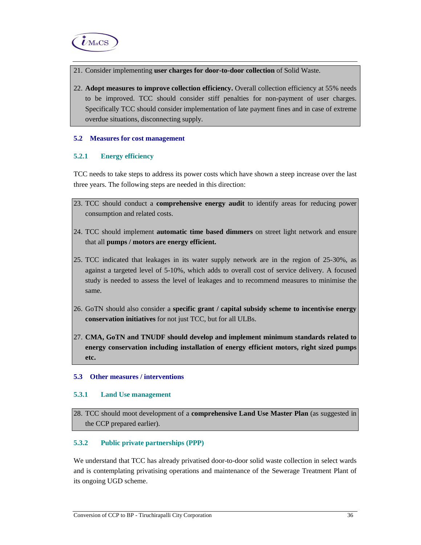

- 21. Consider implementing **user charges for door-to-door collection** of Solid Waste.
- 22. **Adopt measures to improve collection efficiency.** Overall collection efficiency at 55% needs to be improved. TCC should consider stiff penalties for non-payment of user charges. Specifically TCC should consider implementation of late payment fines and in case of extreme overdue situations, disconnecting supply.

#### **5.2 Measures for cost management**

## **5.2.1 Energy efficiency**

TCC needs to take steps to address its power costs which have shown a steep increase over the last three years. The following steps are needed in this direction:

- 23. TCC should conduct a **comprehensive energy audit** to identify areas for reducing power consumption and related costs.
- 24. TCC should implement **automatic time based dimmers** on street light network and ensure that all **pumps / motors are energy efficient.**
- 25. TCC indicated that leakages in its water supply network are in the region of 25-30%, as against a targeted level of 5-10%, which adds to overall cost of service delivery. A focused study is needed to assess the level of leakages and to recommend measures to minimise the same.
- 26. GoTN should also consider a **specific grant / capital subsidy scheme to incentivise energy conservation initiatives** for not just TCC, but for all ULBs.
- 27. **CMA, GoTN and TNUDF should develop and implement minimum standards related to energy conservation including installation of energy efficient motors, right sized pumps etc.**

#### **5.3 Other measures / interventions**

#### **5.3.1 Land Use management**

28. TCC should moot development of a **comprehensive Land Use Master Plan** (as suggested in the CCP prepared earlier).

## **5.3.2 Public private partnerships (PPP)**

We understand that TCC has already privatised door-to-door solid waste collection in select wards and is contemplating privatising operations and maintenance of the Sewerage Treatment Plant of its ongoing UGD scheme.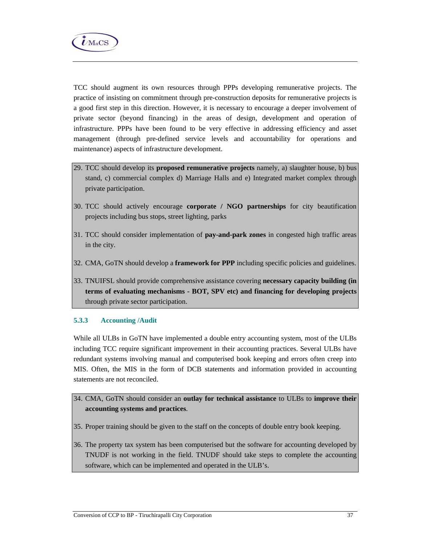

TCC should augment its own resources through PPPs developing remunerative projects. The practice of insisting on commitment through pre-construction deposits for remunerative projects is a good first step in this direction. However, it is necessary to encourage a deeper involvement of private sector (beyond financing) in the areas of design, development and operation of infrastructure. PPPs have been found to be very effective in addressing efficiency and asset management (through pre-defined service levels and accountability for operations and maintenance) aspects of infrastructure development.

- 29. TCC should develop its **proposed remunerative projects** namely, a) slaughter house, b) bus stand, c) commercial complex d) Marriage Halls and e) Integrated market complex through private participation.
- 30. TCC should actively encourage **corporate / NGO partnerships** for city beautification projects including bus stops, street lighting, parks
- 31. TCC should consider implementation of **pay-and-park zones** in congested high traffic areas in the city.
- 32. CMA, GoTN should develop a **framework for PPP** including specific policies and guidelines.
- 33. TNUIFSL should provide comprehensive assistance covering **necessary capacity building (in terms of evaluating mechanisms - BOT, SPV etc) and financing for developing projects**  through private sector participation.

## **5.3.3 Accounting /Audit**

While all ULBs in GoTN have implemented a double entry accounting system, most of the ULBs including TCC require significant improvement in their accounting practices. Several ULBs have redundant systems involving manual and computerised book keeping and errors often creep into MIS. Often, the MIS in the form of DCB statements and information provided in accounting statements are not reconciled.

- 34. CMA, GoTN should consider an **outlay for technical assistance** to ULBs to **improve their accounting systems and practices**.
- 35. Proper training should be given to the staff on the concepts of double entry book keeping.
- 36. The property tax system has been computerised but the software for accounting developed by TNUDF is not working in the field. TNUDF should take steps to complete the accounting software, which can be implemented and operated in the ULB's.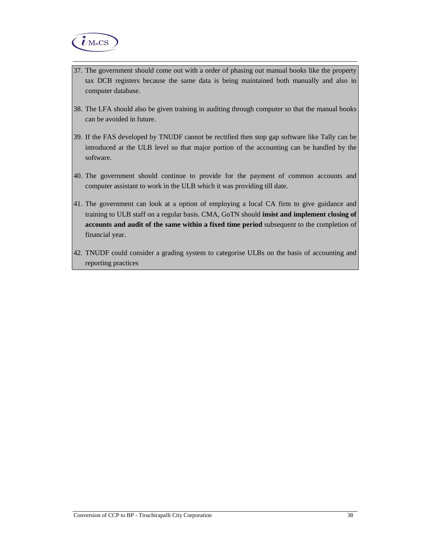

- 37. The government should come out with a order of phasing out manual books like the property tax DCB registers because the same data is being maintained both manually and also in computer database.
- 38. The LFA should also be given training in auditing through computer so that the manual books can be avoided in future.
- 39. If the FAS developed by TNUDF cannot be rectified then stop gap software like Tally can be introduced at the ULB level so that major portion of the accounting can be handled by the software.
- 40. The government should continue to provide for the payment of common accounts and computer assistant to work in the ULB which it was providing till date.
- 41. The government can look at a option of employing a local CA firm to give guidance and training to ULB staff on a regular basis. CMA, GoTN should **insist and implement closing of accounts and audit of the same within a fixed time period** subsequent to the completion of financial year.
- 42. TNUDF could consider a grading system to categorise ULBs on the basis of accounting and reporting practices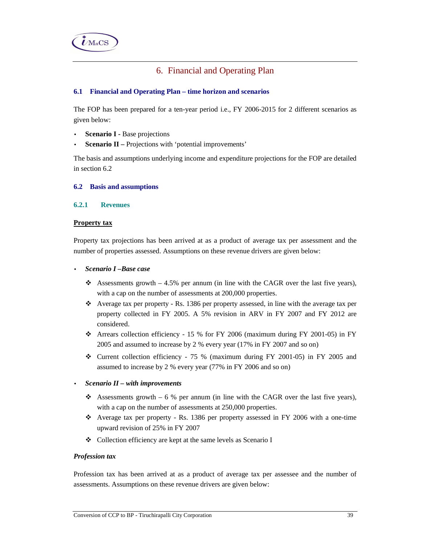

# 6. Financial and Operating Plan

## **6.1 Financial and Operating Plan – time horizon and scenarios**

The FOP has been prepared for a ten-year period i.e., FY 2006-2015 for 2 different scenarios as given below:

- **Scenario I -** Base projections
- **Scenario II –** Projections with 'potential improvements'

The basis and assumptions underlying income and expenditure projections for the FOP are detailed in section 6.2

#### **6.2 Basis and assumptions**

## **6.2.1 Revenues**

### **Property tax**

Property tax projections has been arrived at as a product of average tax per assessment and the number of properties assessed. Assumptions on these revenue drivers are given below:

### • *Scenario I –Base case*

- Assessments growth  $-4.5\%$  per annum (in line with the CAGR over the last five years), with a cap on the number of assessments at 200,000 properties.
- $\bullet$  Average tax per property Rs. 1386 per property assessed, in line with the average tax per property collected in FY 2005. A 5% revision in ARV in FY 2007 and FY 2012 are considered.
- Arrears collection efficiency 15 % for FY 2006 (maximum during FY 2001-05) in FY 2005 and assumed to increase by 2 % every year (17% in FY 2007 and so on)
- $\div$  Current collection efficiency 75 % (maximum during FY 2001-05) in FY 2005 and assumed to increase by 2 % every year (77% in FY 2006 and so on)
- *Scenario II with improvements* 
	- Assessments growth 6 % per annum (in line with the CAGR over the last five years), with a cap on the number of assessments at 250,000 properties.
	- $\div$  Average tax per property Rs. 1386 per property assessed in FY 2006 with a one-time upward revision of 25% in FY 2007
	- Collection efficiency are kept at the same levels as Scenario I

#### *Profession tax*

Profession tax has been arrived at as a product of average tax per assessee and the number of assessments. Assumptions on these revenue drivers are given below: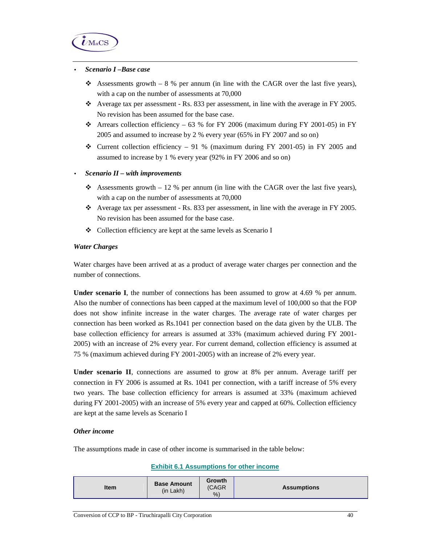

#### • *Scenario I –Base case*

- Assessments growth  $-8$  % per annum (in line with the CAGR over the last five years), with a cap on the number of assessments at 70,000
- Average tax per assessment Rs. 833 per assessment, in line with the average in FY 2005. No revision has been assumed for the base case.
- $\div$  Arrears collection efficiency 63 % for FY 2006 (maximum during FY 2001-05) in FY 2005 and assumed to increase by 2 % every year (65% in FY 2007 and so on)
- Current collection efficiency 91 % (maximum during FY 2001-05) in FY 2005 and assumed to increase by 1 % every year (92% in FY 2006 and so on)

### • *Scenario II – with improvements*

- Assessments growth  $-12$  % per annum (in line with the CAGR over the last five years), with a cap on the number of assessments at  $70,000$
- $\bullet$  Average tax per assessment Rs. 833 per assessment, in line with the average in FY 2005. No revision has been assumed for the base case.
- Collection efficiency are kept at the same levels as Scenario I

### *Water Charges*

Water charges have been arrived at as a product of average water charges per connection and the number of connections.

**Under scenario I**, the number of connections has been assumed to grow at 4.69 % per annum. Also the number of connections has been capped at the maximum level of 100,000 so that the FOP does not show infinite increase in the water charges. The average rate of water charges per connection has been worked as Rs.1041 per connection based on the data given by the ULB. The base collection efficiency for arrears is assumed at 33% (maximum achieved during FY 2001- 2005) with an increase of 2% every year. For current demand, collection efficiency is assumed at 75 % (maximum achieved during FY 2001-2005) with an increase of 2% every year.

**Under scenario II**, connections are assumed to grow at 8% per annum. Average tariff per connection in FY 2006 is assumed at Rs. 1041 per connection, with a tariff increase of 5% every two years. The base collection efficiency for arrears is assumed at 33% (maximum achieved during FY 2001-2005) with an increase of 5% every year and capped at 60%. Collection efficiency are kept at the same levels as Scenario I

#### *Other income*

The assumptions made in case of other income is summarised in the table below:

#### **Exhibit 6.1 Assumptions for other income**

| <b>Base Amount</b><br><b>Item</b><br>$(in$ Lakh $)$ | <b>Growth</b><br>(CAGR)<br>% | <b>Assumptions</b> |
|-----------------------------------------------------|------------------------------|--------------------|
|-----------------------------------------------------|------------------------------|--------------------|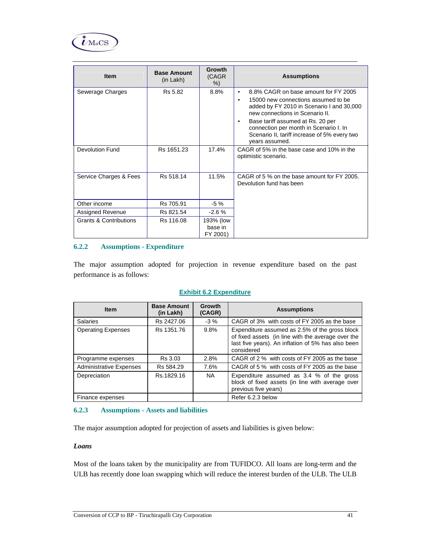

| <b>Item</b>                       | <b>Base Amount</b><br>(in Lakh) | <b>Growth</b><br>(CAGR)<br>%     | <b>Assumptions</b>                                                                                                                                                                                                                                                                                                                     |
|-----------------------------------|---------------------------------|----------------------------------|----------------------------------------------------------------------------------------------------------------------------------------------------------------------------------------------------------------------------------------------------------------------------------------------------------------------------------------|
| Sewerage Charges                  | Rs 5.82                         | 8.8%                             | 8.8% CAGR on base amount for FY 2005<br>$\bullet$<br>15000 new connections assumed to be<br>added by FY 2010 in Scenario I and 30,000<br>new connections in Scenario II.<br>Base tariff assumed at Rs. 20 per<br>$\bullet$<br>connection per month in Scenario I. In<br>Scenario II, tariff increase of 5% every two<br>years assumed. |
| <b>Devolution Fund</b>            | Rs 1651.23                      | 17.4%                            | CAGR of 5% in the base case and 10% in the<br>optimistic scenario.                                                                                                                                                                                                                                                                     |
| Service Charges & Fees            | Rs 518.14                       | 11.5%                            | CAGR of 5 % on the base amount for FY 2005.<br>Devolution fund has been                                                                                                                                                                                                                                                                |
| Other income                      | Rs 705.91                       | $-5%$                            |                                                                                                                                                                                                                                                                                                                                        |
| Assigned Revenue                  | Rs 821.54                       | $-2.6%$                          |                                                                                                                                                                                                                                                                                                                                        |
| <b>Grants &amp; Contributions</b> | Rs 116.08                       | 193% (low<br>base in<br>FY 2001) |                                                                                                                                                                                                                                                                                                                                        |

## **6.2.2 Assumptions - Expenditure**

The major assumption adopted for projection in revenue expenditure based on the past performance is as follows:

#### **Exhibit 6.2 Expenditure**

| <b>Item</b>                    | <b>Base Amount</b><br>(in Lakh) | Growth<br>(CAGR) | <b>Assumptions</b>                                                                                                                                                       |
|--------------------------------|---------------------------------|------------------|--------------------------------------------------------------------------------------------------------------------------------------------------------------------------|
| <b>Salaries</b>                | Rs 2427.06                      | $-3\%$           | CAGR of 3% with costs of FY 2005 as the base                                                                                                                             |
| <b>Operating Expenses</b>      | Rs 1351.76                      | 9.8%             | Expenditure assumed as 2.5% of the gross block<br>of fixed assets (in line with the average over the<br>last five years). An inflation of 5% has also been<br>considered |
| Programme expenses             | Rs 3.03                         | 2.8%             | CAGR of 2 % with costs of FY 2005 as the base                                                                                                                            |
| <b>Administrative Expenses</b> | Rs 584.29                       | 7.6%             | CAGR of 5 % with costs of FY 2005 as the base                                                                                                                            |
| Depreciation                   | Rs.1829.16                      | NA.              | Expenditure assumed as 3.4 % of the gross<br>block of fixed assets (in line with average over<br>previous five years)                                                    |
| Finance expenses               |                                 |                  | Refer 6.2.3 below                                                                                                                                                        |

#### **6.2.3 Assumptions - Assets and liabilities**

The major assumption adopted for projection of assets and liabilities is given below:

#### *Loans*

Most of the loans taken by the municipality are from TUFIDCO. All loans are long-term and the ULB has recently done loan swapping which will reduce the interest burden of the ULB. The ULB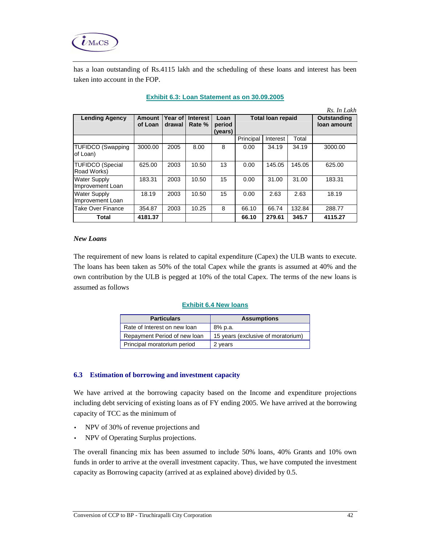

has a loan outstanding of Rs.4115 lakh and the scheduling of these loans and interest has been taken into account in the FOP.

|                                         | Rs. In Lakh       |                   |                           |                           |                          |          |        |                            |
|-----------------------------------------|-------------------|-------------------|---------------------------|---------------------------|--------------------------|----------|--------|----------------------------|
| <b>Lending Agency</b>                   | Amount<br>of Loan | Year of<br>drawal | <b>Interest</b><br>Rate % | Loan<br>period<br>(vears) | <b>Total loan repaid</b> |          |        | Outstanding<br>loan amount |
|                                         |                   |                   |                           |                           | Principal                | Interest | Total  |                            |
| <b>TUFIDCO (Swapping</b><br>of Loan)    | 3000.00           | 2005              | 8.00                      | 8                         | 0.00                     | 34.19    | 34.19  | 3000.00                    |
| TUFIDCO (Special<br>Road Works)         | 625.00            | 2003              | 10.50                     | 13                        | 0.00                     | 145.05   | 145.05 | 625.00                     |
| <b>Water Supply</b><br>Improvement Loan | 183.31            | 2003              | 10.50                     | 15                        | 0.00                     | 31.00    | 31.00  | 183.31                     |
| <b>Water Supply</b><br>Improvement Loan | 18.19             | 2003              | 10.50                     | 15                        | 0.00                     | 2.63     | 2.63   | 18.19                      |
| <b>Take Over Finance</b>                | 354.87            | 2003              | 10.25                     | 8                         | 66.10                    | 66.74    | 132.84 | 288.77                     |
| Total                                   | 4181.37           |                   |                           |                           | 66.10                    | 279.61   | 345.7  | 4115.27                    |

### **Exhibit 6.3: Loan Statement as on 30.09.2005**

#### *New Loans*

The requirement of new loans is related to capital expenditure (Capex) the ULB wants to execute. The loans has been taken as 50% of the total Capex while the grants is assumed at 40% and the own contribution by the ULB is pegged at 10% of the total Capex. The terms of the new loans is assumed as follows

#### **Exhibit 6.4 New loans**

| <b>Particulars</b>           | <b>Assumptions</b>                 |  |  |  |  |
|------------------------------|------------------------------------|--|--|--|--|
| Rate of Interest on new loan | 8% p.a.                            |  |  |  |  |
| Repayment Period of new loan | 15 years (exclusive of moratorium) |  |  |  |  |
| Principal moratorium period  | 2 years                            |  |  |  |  |

#### **6.3 Estimation of borrowing and investment capacity**

We have arrived at the borrowing capacity based on the Income and expenditure projections including debt servicing of existing loans as of FY ending 2005. We have arrived at the borrowing capacity of TCC as the minimum of

- NPV of 30% of revenue projections and
- NPV of Operating Surplus projections.

The overall financing mix has been assumed to include 50% loans, 40% Grants and 10% own funds in order to arrive at the overall investment capacity. Thus, we have computed the investment capacity as Borrowing capacity (arrived at as explained above) divided by 0.5.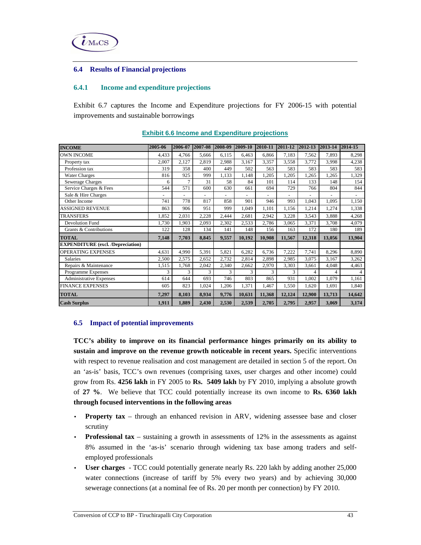

#### **6.4 Results of Financial projections**

### **6.4.1 Income and expenditure projections**

Exhibit 6.7 captures the Income and Expenditure projections for FY 2006-15 with potential improvements and sustainable borrowings

| <b>INCOME</b>                            | 2005-06  | 2006-07 | 2007-08        | 2008-09 | 2009-10        | 2010-11                  | 2011-12  | 2012-13                  | 2013-14                  | 2014-15        |
|------------------------------------------|----------|---------|----------------|---------|----------------|--------------------------|----------|--------------------------|--------------------------|----------------|
| <b>OWN INCOME</b>                        | 4,433    | 4,766   | 5.666          | 6,115   | 6,463          | 6,866                    | 7,183    | 7,562                    | 7,893                    | 8,298          |
| Property tax                             | 2,007    | 2,127   | 2,819          | 2,988   | 3,167          | 3,357                    | 3,558    | 3,772                    | 3,998                    | 4,238          |
| Profession tax                           | 319      | 358     | 400            | 449     | 502            | 563                      | 583      | 583                      | 583                      | 583            |
| <b>Water Charges</b>                     | 816      | 925     | 999            | 1,133   | 1,148          | 1,205                    | 1,205    | 1,265                    | 1,265                    | 1,329          |
| Sewerage Charges                         | 6        | 7       | 31             | 58      | 84             | 101                      | 114      | 133                      | 148                      | 154            |
| Service Charges & Fees                   | 544      | 571     | 600            | 630     | 661            | 694                      | 729      | 766                      | 804                      | 844            |
| Sale & Hire Charges                      | $\equiv$ |         | $\blacksquare$ |         | $\blacksquare$ | $\overline{\phantom{a}}$ | $\omega$ | $\overline{\phantom{a}}$ | $\overline{\phantom{a}}$ | $\blacksquare$ |
| Other Income                             | 741      | 778     | 817            | 858     | 901            | 946                      | 993      | 1,043                    | 1,095                    | 1,150          |
| <b>ASSIGNED REVENUE</b>                  | 863      | 906     | 951            | 999     | 1,049          | 1,101                    | 1.156    | 1,214                    | 1,274                    | 1,338          |
| <b>TRANSFERS</b>                         | 1,852    | 2,031   | 2,228          | 2,444   | 2,681          | 2,942                    | 3,228    | 3,543                    | 3,888                    | 4,268          |
| <b>Devolution Fund</b>                   | 1,730    | 1,903   | 2,093          | 2,302   | 2,533          | 2,786                    | 3,065    | 3,371                    | 3,708                    | 4,079          |
| Grants & Contributions                   | 122      | 128     | 134            | 141     | 148            | 156                      | 163      | 172                      | 180                      | 189            |
| <b>TOTAL</b>                             | 7.148    | 7.703   | 8.845          | 9,557   | 10.192         | 10.908                   | 11.567   | 12.318                   | 13.056                   | 13,904         |
| <b>EXPENDITURE</b> (excl. /Depreciation) |          |         |                |         |                |                          |          |                          |                          |                |
| <b>OPERATING EXPENSES</b>                | 4,631    | 4,990   | 5,391          | 5,821   | 6,282          | 6,736                    | 7,222    | 7,741                    | 8,296                    | 8,890          |
| <b>Salaries</b>                          | 2,500    | 2,575   | 2,652          | 2,732   | 2,814          | 2,898                    | 2,985    | 3,075                    | 3.167                    | 3,262          |
| Repairs & Maintenance                    | 1,515    | 1,768   | 2,042          | 2,340   | 2,662          | 2,970                    | 3,303    | 3,661                    | 4,048                    | 4,463          |
| Programme Expenses                       | 3        | 3       | 3              | 3       | 3              | 3                        | 3        | 4                        | 4                        | 4              |
| Administrative Expenses                  | 614      | 644     | 693            | 746     | 803            | 865                      | 931      | 1,002                    | 1,079                    | 1,161          |
| <b>FINANCE EXPENSES</b>                  | 605      | 823     | 1,024          | 1,206   | 1,371          | 1,467                    | 1,550    | 1,620                    | 1,691                    | 1,840          |
| <b>TOTAL</b>                             | 7,297    | 8,103   | 8,934          | 9,776   | 10,631         | 11,368                   | 12,124   | 12,900                   | 13,713                   | 14,642         |
| <b>Cash Surplus</b>                      | 1,911    | 1,889   | 2,430          | 2,530   | 2,539          | 2,705                    | 2,795    | 2,957                    | 3,069                    | 3,174          |

#### **Exhibit 6.6 Income and Expenditure projections**

#### **6.5 Impact of potential improvements**

**TCC's ability to improve on its financial performance hinges primarily on its ability to sustain and improve on the revenue growth noticeable in recent years.** Specific interventions with respect to revenue realisation and cost management are detailed in section 5 of the report. On an 'as-is' basis, TCC's own revenues (comprising taxes, user charges and other income) could grow from Rs. **4256 lakh** in FY 2005 to **Rs. 5409 lakh** by FY 2010, implying a absolute growth of **27 %**. We believe that TCC could potentially increase its own income to **Rs. 6360 lakh through focused interventions in the following areas** 

- **Property tax** through an enhanced revision in ARV, widening assessee base and closer scrutiny
- **Professional tax** sustaining a growth in assessments of 12% in the assessments as against 8% assumed in the 'as-is' scenario through widening tax base among traders and selfemployed professionals
- **User charges**  TCC could potentially generate nearly Rs. 220 lakh by adding another 25,000 water connections (increase of tariff by 5% every two years) and by achieving 30,000 sewerage connections (at a nominal fee of Rs. 20 per month per connection) by FY 2010.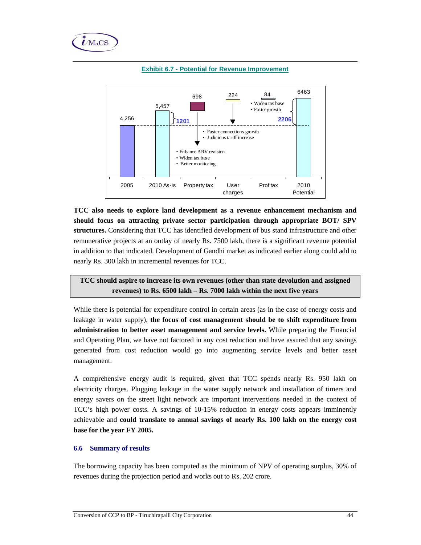



#### **Exhibit 6.7 - Potential for Revenue Improvement**

**TCC also needs to explore land development as a revenue enhancement mechanism and should focus on attracting private sector participation through appropriate BOT/ SPV structures.** Considering that TCC has identified development of bus stand infrastructure and other remunerative projects at an outlay of nearly Rs. 7500 lakh, there is a significant revenue potential in addition to that indicated. Development of Gandhi market as indicated earlier along could add to nearly Rs. 300 lakh in incremental revenues for TCC.

**TCC should aspire to increase its own revenues (other than state devolution and assigned revenues) to Rs. 6500 lakh – Rs. 7000 lakh within the next five years** 

While there is potential for expenditure control in certain areas (as in the case of energy costs and leakage in water supply), **the focus of cost management should be to shift expenditure from administration to better asset management and service levels.** While preparing the Financial and Operating Plan, we have not factored in any cost reduction and have assured that any savings generated from cost reduction would go into augmenting service levels and better asset management.

A comprehensive energy audit is required, given that TCC spends nearly Rs. 950 lakh on electricity charges. Plugging leakage in the water supply network and installation of timers and energy savers on the street light network are important interventions needed in the context of TCC's high power costs. A savings of 10-15% reduction in energy costs appears imminently achievable and **could translate to annual savings of nearly Rs. 100 lakh on the energy cost base for the year FY 2005.** 

#### **6.6 Summary of results**

The borrowing capacity has been computed as the minimum of NPV of operating surplus, 30% of revenues during the projection period and works out to Rs. 202 crore.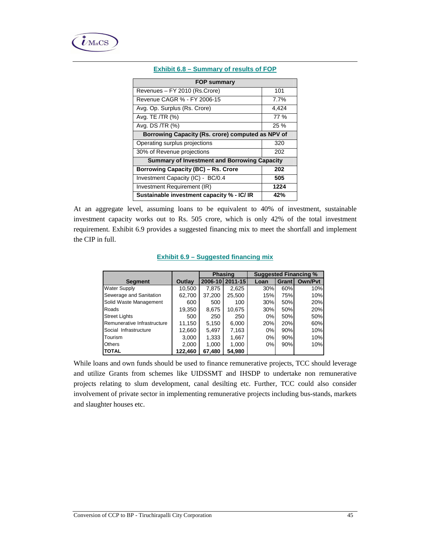

| <b>FOP summary</b>                                  |       |  |  |  |  |
|-----------------------------------------------------|-------|--|--|--|--|
| Revenues - FY 2010 (Rs.Crore)                       | 101   |  |  |  |  |
| Revenue CAGR % - FY 2006-15                         | 7.7%  |  |  |  |  |
| Avg. Op. Surplus (Rs. Crore)                        | 4,424 |  |  |  |  |
| Avg. TE /TR (%)                                     | 77 %  |  |  |  |  |
| Avg. DS /TR (%)                                     | 25 %  |  |  |  |  |
| Borrowing Capacity (Rs. crore) computed as NPV of   |       |  |  |  |  |
| Operating surplus projections                       | 320   |  |  |  |  |
| 30% of Revenue projections                          | 202   |  |  |  |  |
| <b>Summary of Investment and Borrowing Capacity</b> |       |  |  |  |  |
| <b>Borrowing Capacity (BC) - Rs. Crore</b>          | 202   |  |  |  |  |
| Investment Capacity (IC) - BC/0.4                   | 505   |  |  |  |  |
| Investment Requirement (IR)                         | 1224  |  |  |  |  |
| Sustainable investment capacity % - IC/IR           | 42%   |  |  |  |  |

#### **Exhibit 6.8 – Summary of results of FOP**

At an aggregate level, assuming loans to be equivalent to 40% of investment, sustainable investment capacity works out to Rs. 505 crore, which is only 42% of the total investment requirement. Exhibit 6.9 provides a suggested financing mix to meet the shortfall and implement the CIP in full.

|                             |         |         | <b>Phasing</b> | <b>Suggested Financing %</b> |       |                |  |
|-----------------------------|---------|---------|----------------|------------------------------|-------|----------------|--|
| <b>Segment</b>              | Outlay  | 2006-10 | 2011-15        | Loan                         | Grant | <b>Own/Pyt</b> |  |
| <b>Water Supply</b>         | 10,500  | 7,875   | 2,625          | 30%                          | 60%   | 10%            |  |
| Sewerage and Sanitation     | 62,700  | 37,200  | 25,500         | 15%                          | 75%   | 10%            |  |
| Solid Waste Management      | 600     | 500     | 100            | 30%                          | 50%   | 20%            |  |
| Roads                       | 19,350  | 8,675   | 10,675         | 30%                          | 50%   | 20%            |  |
| <b>Street Lights</b>        | 500     | 250     | 250            | 0%                           | 50%   | 50%            |  |
| Remunerative Infrastructure | 11,150  | 5,150   | 6,000          | 20%                          | 20%   | 60%            |  |
| Social Infrastructure       | 12,660  | 5,497   | 7,163          | $0\%$                        | 90%   | 10%            |  |
| Tourism                     | 3,000   | 1,333   | 1,667          | $0\%$                        | 90%   | 10%            |  |
| <b>Others</b>               | 2,000   | 1,000   | 1,000          | 0%                           | 90%   | 10%            |  |
| <b>TOTAL</b>                | 122,460 | 67,480  | 54,980         |                              |       |                |  |

While loans and own funds should be used to finance remunerative projects, TCC should leverage and utilize Grants from schemes like UIDSSMT and IHSDP to undertake non remunerative projects relating to slum development, canal desilting etc. Further, TCC could also consider involvement of private sector in implementing remunerative projects including bus-stands, markets and slaughter houses etc.